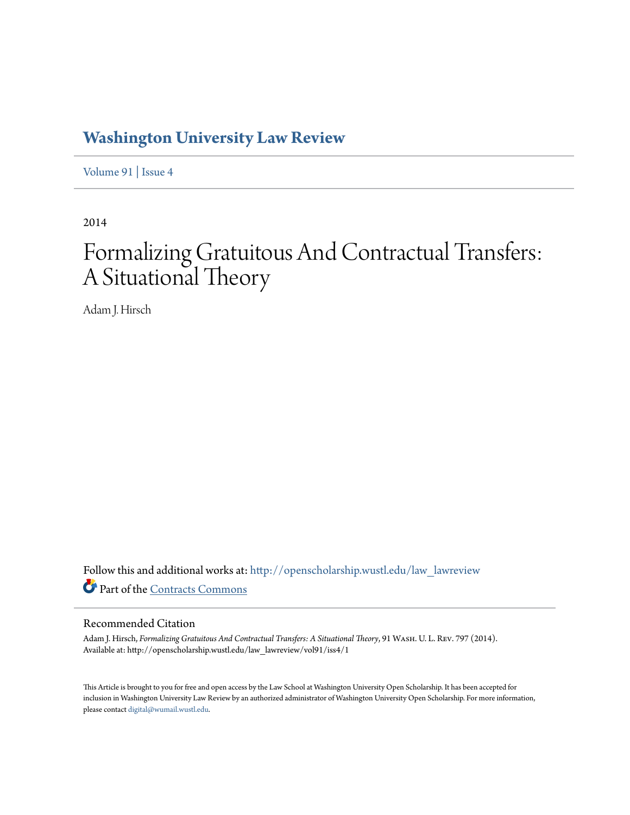## **[Washington University Law Review](http://openscholarship.wustl.edu/law_lawreview?utm_source=openscholarship.wustl.edu%2Flaw_lawreview%2Fvol91%2Fiss4%2F1&utm_medium=PDF&utm_campaign=PDFCoverPages)**

[Volume 91](http://openscholarship.wustl.edu/law_lawreview/vol91?utm_source=openscholarship.wustl.edu%2Flaw_lawreview%2Fvol91%2Fiss4%2F1&utm_medium=PDF&utm_campaign=PDFCoverPages) | [Issue 4](http://openscholarship.wustl.edu/law_lawreview/vol91/iss4?utm_source=openscholarship.wustl.edu%2Flaw_lawreview%2Fvol91%2Fiss4%2F1&utm_medium=PDF&utm_campaign=PDFCoverPages)

2014

## Formalizing Gratuitous And Contractual Transfers: A Situational Theory

Adam J. Hirsch

Follow this and additional works at: [http://openscholarship.wustl.edu/law\\_lawreview](http://openscholarship.wustl.edu/law_lawreview?utm_source=openscholarship.wustl.edu%2Flaw_lawreview%2Fvol91%2Fiss4%2F1&utm_medium=PDF&utm_campaign=PDFCoverPages) Part of the [Contracts Commons](http://network.bepress.com/hgg/discipline/591?utm_source=openscholarship.wustl.edu%2Flaw_lawreview%2Fvol91%2Fiss4%2F1&utm_medium=PDF&utm_campaign=PDFCoverPages)

#### Recommended Citation

Adam J. Hirsch, *Formalizing Gratuitous And Contractual Transfers: A Situational Theory*, 91 Wash. U. L. Rev. 797 (2014). Available at: http://openscholarship.wustl.edu/law\_lawreview/vol91/iss4/1

This Article is brought to you for free and open access by the Law School at Washington University Open Scholarship. It has been accepted for inclusion in Washington University Law Review by an authorized administrator of Washington University Open Scholarship. For more information, please contact [digital@wumail.wustl.edu.](mailto:digital@wumail.wustl.edu)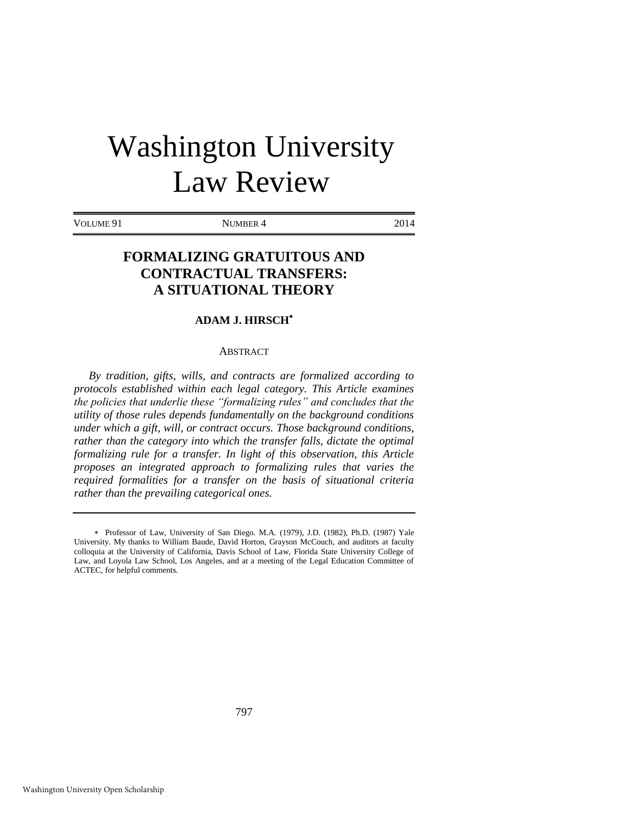# Washington University Law Review

VOLUME 91 NUMBER 4 2014

### **FORMALIZING GRATUITOUS AND CONTRACTUAL TRANSFERS: A SITUATIONAL THEORY**

#### **ADAM J. HIRSCH**

#### ABSTRACT

*By tradition, gifts, wills, and contracts are formalized according to protocols established within each legal category. This Article examines the policies that underlie these "formalizing rules" and concludes that the utility of those rules depends fundamentally on the background conditions under which a gift, will, or contract occurs. Those background conditions, rather than the category into which the transfer falls, dictate the optimal formalizing rule for a transfer. In light of this observation, this Article proposes an integrated approach to formalizing rules that varies the required formalities for a transfer on the basis of situational criteria rather than the prevailing categorical ones.*

Professor of Law, University of San Diego. M.A. (1979), J.D. (1982), Ph.D. (1987) Yale University. My thanks to William Baude, David Horton, Grayson McCouch, and auditors at faculty colloquia at the University of California, Davis School of Law, Florida State University College of Law, and Loyola Law School, Los Angeles, and at a meeting of the Legal Education Committee of ACTEC, for helpful comments.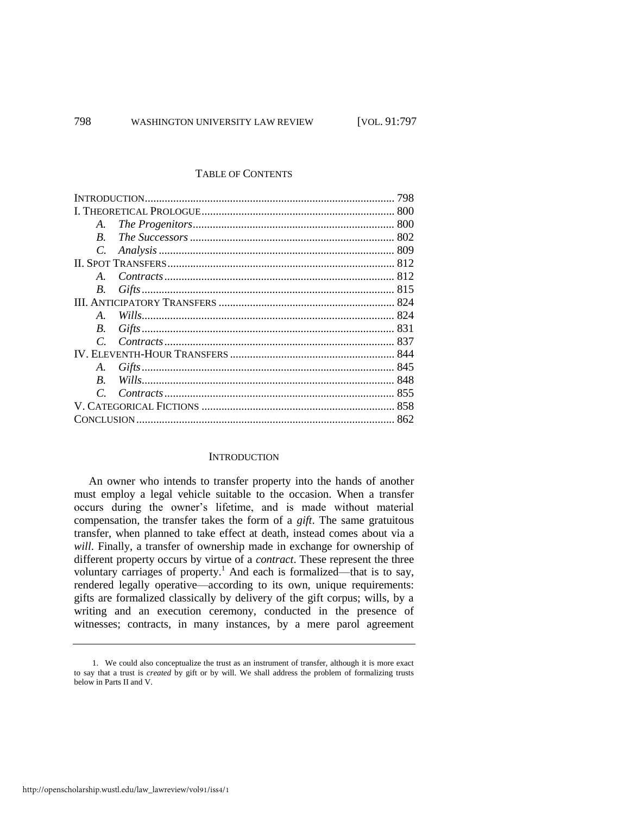#### TABLE OF CONTENTS

| A.            |  |  |
|---------------|--|--|
| $\bm{B}$      |  |  |
| $C_{\cdot}$   |  |  |
|               |  |  |
| $A_{\cdot}$   |  |  |
| B.            |  |  |
|               |  |  |
| $\mathbf{A}$  |  |  |
| B.            |  |  |
| $\mathcal{C}$ |  |  |
|               |  |  |
| A.            |  |  |
| B.            |  |  |
|               |  |  |
|               |  |  |
|               |  |  |

#### **INTRODUCTION**

An owner who intends to transfer property into the hands of another must employ a legal vehicle suitable to the occasion. When a transfer occurs during the owner's lifetime, and is made without material compensation, the transfer takes the form of a *gift*. The same gratuitous transfer, when planned to take effect at death, instead comes about via a *will*. Finally, a transfer of ownership made in exchange for ownership of different property occurs by virtue of a *contract*. These represent the three voluntary carriages of property.<sup>1</sup> And each is formalized—that is to say, rendered legally operative—according to its own, unique requirements: gifts are formalized classically by delivery of the gift corpus; wills, by a writing and an execution ceremony, conducted in the presence of witnesses; contracts, in many instances, by a mere parol agreement

<sup>1.</sup> We could also conceptualize the trust as an instrument of transfer, although it is more exact to say that a trust is *created* by gift or by will. We shall address the problem of formalizing trusts below in Parts II and V.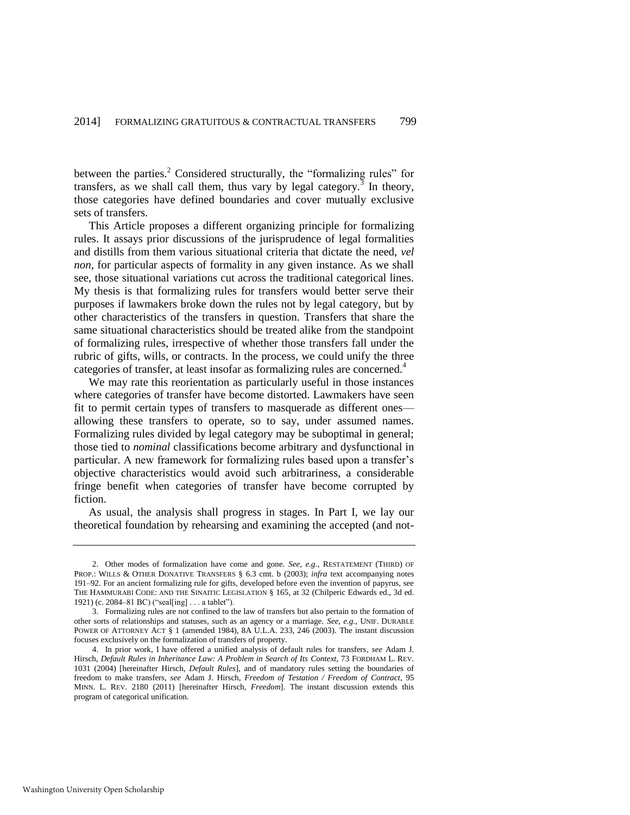between the parties.<sup>2</sup> Considered structurally, the "formalizing rules" for transfers, as we shall call them, thus vary by legal category.<sup>3</sup> In theory, those categories have defined boundaries and cover mutually exclusive sets of transfers.

This Article proposes a different organizing principle for formalizing rules. It assays prior discussions of the jurisprudence of legal formalities and distills from them various situational criteria that dictate the need, *vel non*, for particular aspects of formality in any given instance. As we shall see, those situational variations cut across the traditional categorical lines. My thesis is that formalizing rules for transfers would better serve their purposes if lawmakers broke down the rules not by legal category, but by other characteristics of the transfers in question. Transfers that share the same situational characteristics should be treated alike from the standpoint of formalizing rules, irrespective of whether those transfers fall under the rubric of gifts, wills, or contracts. In the process, we could unify the three categories of transfer, at least insofar as formalizing rules are concerned.<sup>4</sup>

<span id="page-3-0"></span>We may rate this reorientation as particularly useful in those instances where categories of transfer have become distorted. Lawmakers have seen fit to permit certain types of transfers to masquerade as different ones allowing these transfers to operate, so to say, under assumed names. Formalizing rules divided by legal category may be suboptimal in general; those tied to *nominal* classifications become arbitrary and dysfunctional in particular. A new framework for formalizing rules based upon a transfer's objective characteristics would avoid such arbitrariness, a considerable fringe benefit when categories of transfer have become corrupted by fiction.

As usual, the analysis shall progress in stages. In Part I, we lay our theoretical foundation by rehearsing and examining the accepted (and not-

<sup>2.</sup> Other modes of formalization have come and gone. *See, e.g.*, RESTATEMENT (THIRD) OF PROP.: WILLS & OTHER DONATIVE TRANSFERS § 6.3 cmt. b (2003); *infra* text accompanying notes [191–](#page-40-0)92. For an ancient formalizing rule for gifts, developed before even the invention of papyrus, see THE HAMMURABI CODE: AND THE SINAITIC LEGISLATION § 165, at 32 (Chilperic Edwards ed., 3d ed. 1921) (c. 2084–81 BC) ("seal[ing] . . . a tablet").

<sup>3.</sup> Formalizing rules are not confined to the law of transfers but also pertain to the formation of other sorts of relationships and statuses, such as an agency or a marriage. *See, e.g.*, UNIF. DURABLE POWER OF ATTORNEY ACT § 1 (amended 1984), 8A U.L.A. 233, 246 (2003). The instant discussion focuses exclusively on the formalization of transfers of property.

<sup>4.</sup> In prior work, I have offered a unified analysis of default rules for transfers, *see* Adam J. Hirsch, *Default Rules in Inheritance Law: A Problem in Search of Its Context*, 73 FORDHAM L. REV. 1031 (2004) [hereinafter Hirsch, *Default Rules*], and of mandatory rules setting the boundaries of freedom to make transfers, *see* Adam J. Hirsch, *Freedom of Testation / Freedom of Contract*, 95 MINN. L. REV. 2180 (2011) [hereinafter Hirsch, *Freedom*]. The instant discussion extends this program of categorical unification.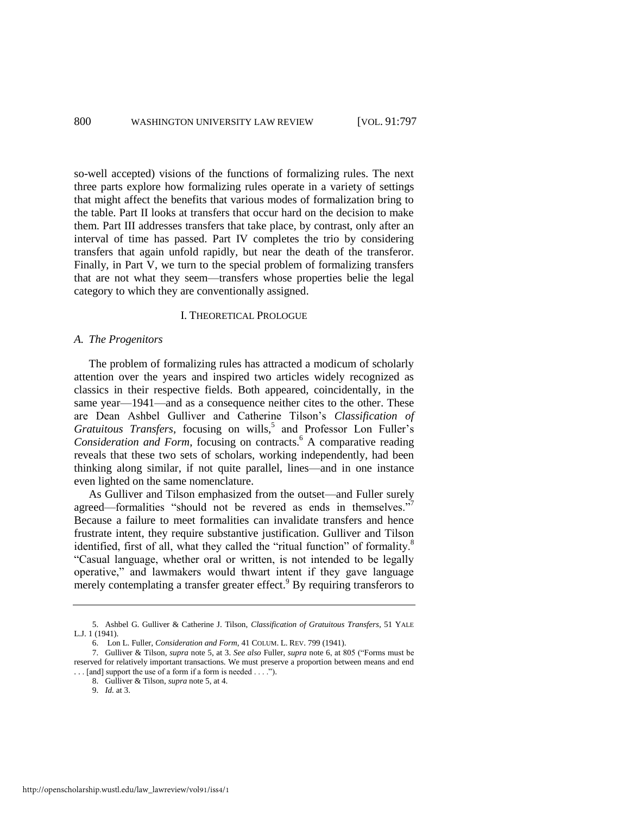so-well accepted) visions of the functions of formalizing rules. The next three parts explore how formalizing rules operate in a variety of settings that might affect the benefits that various modes of formalization bring to the table. Part II looks at transfers that occur hard on the decision to make them. Part III addresses transfers that take place, by contrast, only after an interval of time has passed. Part IV completes the trio by considering transfers that again unfold rapidly, but near the death of the transferor. Finally, in Part V, we turn to the special problem of formalizing transfers that are not what they seem—transfers whose properties belie the legal category to which they are conventionally assigned.

#### <span id="page-4-2"></span><span id="page-4-1"></span><span id="page-4-0"></span>I. THEORETICAL PROLOGUE

#### *A. The Progenitors*

The problem of formalizing rules has attracted a modicum of scholarly attention over the years and inspired two articles widely recognized as classics in their respective fields. Both appeared, coincidentally, in the same year—1941—and as a consequence neither cites to the other. These are Dean Ashbel Gulliver and Catherine Tilson's *Classification of*  Gratuitous Transfers, focusing on wills,<sup>5</sup> and Professor Lon Fuller's Consideration and Form, focusing on contracts.<sup>6</sup> A comparative reading reveals that these two sets of scholars, working independently, had been thinking along similar, if not quite parallel, lines—and in one instance even lighted on the same nomenclature.

As Gulliver and Tilson emphasized from the outset—and Fuller surely agreed—formalities "should not be revered as ends in themselves." Because a failure to meet formalities can invalidate transfers and hence frustrate intent, they require substantive justification. Gulliver and Tilson identified, first of all, what they called the "ritual function" of formality.<sup>8</sup> "Casual language, whether oral or written, is not intended to be legally operative," and lawmakers would thwart intent if they gave language merely contemplating a transfer greater effect.<sup>9</sup> By requiring transferors to

<sup>5.</sup> Ashbel G. Gulliver & Catherine J. Tilson, *Classification of Gratuitous Transfers*, 51 YALE L.J. 1 (1941).

<sup>6.</sup> Lon L. Fuller, *Consideration and Form*, 41 COLUM. L. REV. 799 (1941).

<sup>7.</sup> Gulliver & Tilson, *supra* note [5,](#page-4-0) at 3. *See also* Fuller, *supra* not[e 6,](#page-4-1) at 805 ("Forms must be reserved for relatively important transactions. We must preserve a proportion between means and end . . . [and] support the use of a form if a form is needed . . . .").

<sup>8.</sup> Gulliver & Tilson, *supra* not[e 5,](#page-4-0) at 4.

<sup>9.</sup> *Id.* at 3.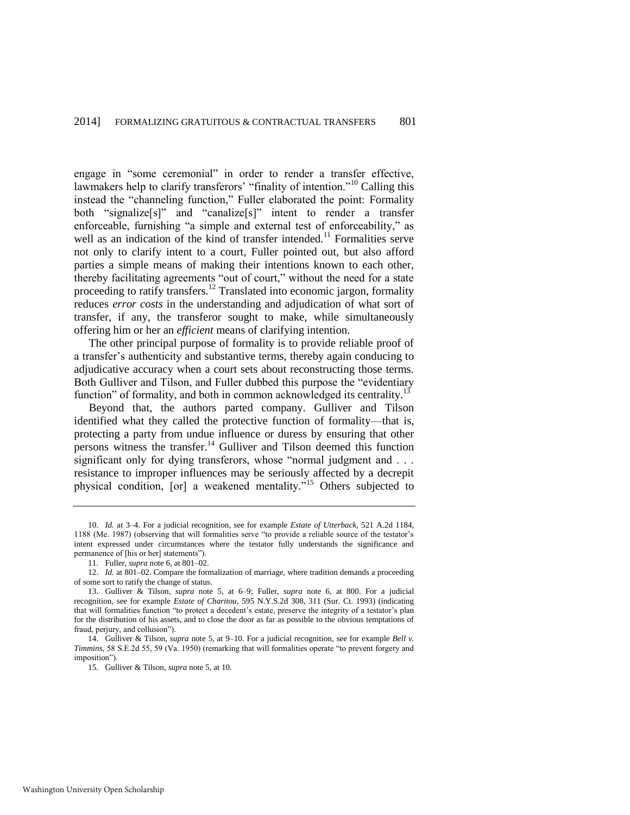<span id="page-5-2"></span><span id="page-5-1"></span>engage in "some ceremonial" in order to render a transfer effective, lawmakers help to clarify transferors' "finality of intention."<sup>10</sup> Calling this instead the "channeling function," Fuller elaborated the point: Formality both "signalize[s]" and "canalize[s]" intent to render a transfer enforceable, furnishing "a simple and external test of enforceability," as well as an indication of the kind of transfer intended.<sup>11</sup> Formalities serve not only to clarify intent to a court, Fuller pointed out, but also afford parties a simple means of making their intentions known to each other, thereby facilitating agreements "out of court," without the need for a state proceeding to ratify transfers.<sup>12</sup> Translated into economic jargon, formality reduces *error costs* in the understanding and adjudication of what sort of transfer, if any, the transferor sought to make, while simultaneously offering him or her an *efficient* means of clarifying intention.

The other principal purpose of formality is to provide reliable proof of a transfer's authenticity and substantive terms, thereby again conducing to adjudicative accuracy when a court sets about reconstructing those terms. Both Gulliver and Tilson, and Fuller dubbed this purpose the "evidentiary function" of formality, and both in common acknowledged its centrality.<sup>13</sup>

<span id="page-5-0"></span>Beyond that, the authors parted company. Gulliver and Tilson identified what they called the protective function of formality—that is, protecting a party from undue influence or duress by ensuring that other persons witness the transfer.<sup>14</sup> Gulliver and Tilson deemed this function significant only for dying transferors, whose "normal judgment and . . . resistance to improper influences may be seriously affected by a decrepit physical condition, [or] a weakened mentality."<sup>15</sup> Others subjected to

<sup>10.</sup> *Id.* at 3–4. For a judicial recognition, see for example *Estate of Utterback*, 521 A.2d 1184, 1188 (Me. 1987) (observing that will formalities serve "to provide a reliable source of the testator's intent expressed under circumstances where the testator fully understands the significance and permanence of [his or her] statements").

<sup>11.</sup> Fuller, *supra* not[e 6,](#page-4-1) at 801–02.

<sup>12.</sup> *Id.* at 801–02. Compare the formalization of marriage, where tradition demands a proceeding of some sort to ratify the change of status.

<sup>13.</sup> Gulliver & Tilson, *supra* note [5,](#page-4-0) at 6–9; Fuller, *supra* note [6,](#page-4-1) at 800. For a judicial recognition, see for example *Estate of Charitou*, 595 N.Y.S.2d 308, 311 (Sur. Ct. 1993) (indicating that will formalities function "to protect a decedent's estate, preserve the integrity of a testator's plan for the distribution of his assets, and to close the door as far as possible to the obvious temptations of fraud, perjury, and collusion").

<sup>14.</sup> Gulliver & Tilson, *supra* not[e 5,](#page-4-0) at 9–10. For a judicial recognition, see for example *Bell v. Timmins*, 58 S.E.2d 55, 59 (Va. 1950) (remarking that will formalities operate "to prevent forgery and imposition").

<sup>15.</sup> Gulliver & Tilson, *supra* not[e 5,](#page-4-0) at 10.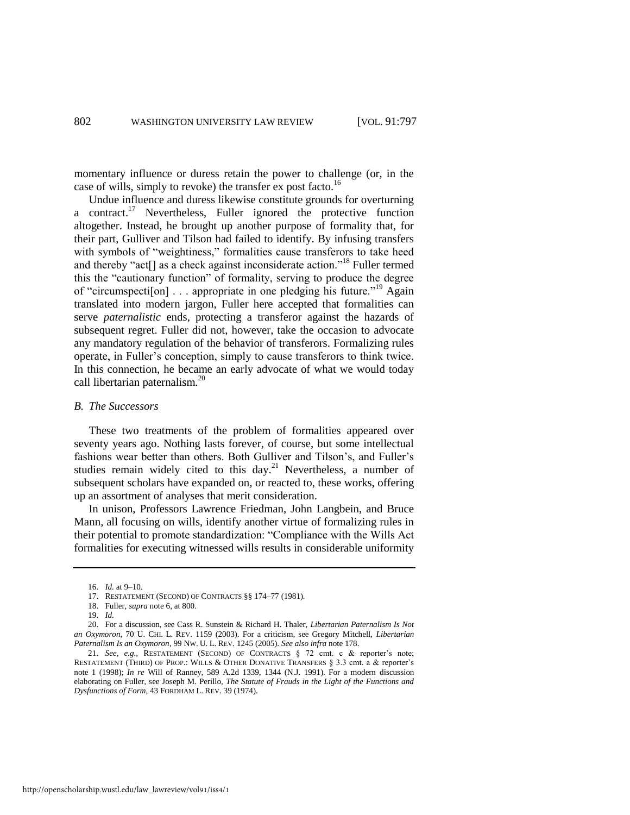<span id="page-6-2"></span>momentary influence or duress retain the power to challenge (or, in the case of wills, simply to revoke) the transfer ex post facto.<sup>16</sup>

<span id="page-6-1"></span><span id="page-6-0"></span>Undue influence and duress likewise constitute grounds for overturning a contract.<sup>17</sup> Nevertheless, Fuller ignored the protective function altogether. Instead, he brought up another purpose of formality that, for their part, Gulliver and Tilson had failed to identify. By infusing transfers with symbols of "weightiness," formalities cause transferors to take heed and thereby "act<sup>[]</sup> as a check against inconsiderate action."<sup>18</sup> Fuller termed this the "cautionary function" of formality, serving to produce the degree of "circumspecti[on] . . . appropriate in one pledging his future."<sup>19</sup> Again translated into modern jargon, Fuller here accepted that formalities can serve *paternalistic* ends, protecting a transferor against the hazards of subsequent regret. Fuller did not, however, take the occasion to advocate any mandatory regulation of the behavior of transferors. Formalizing rules operate, in Fuller's conception, simply to cause transferors to think twice. In this connection, he became an early advocate of what we would today call libertarian paternalism.<sup>20</sup>

#### <span id="page-6-3"></span>*B. The Successors*

These two treatments of the problem of formalities appeared over seventy years ago. Nothing lasts forever, of course, but some intellectual fashions wear better than others. Both Gulliver and Tilson's, and Fuller's studies remain widely cited to this day.<sup>21</sup> Nevertheless, a number of subsequent scholars have expanded on, or reacted to, these works, offering up an assortment of analyses that merit consideration.

In unison, Professors Lawrence Friedman, John Langbein, and Bruce Mann, all focusing on wills, identify another virtue of formalizing rules in their potential to promote standardization: "Compliance with the Wills Act formalities for executing witnessed wills results in considerable uniformity

<sup>16.</sup> *Id.* at 9–10.

<sup>17.</sup> RESTATEMENT (SECOND) OF CONTRACTS §§ 174–77 (1981).

<sup>18.</sup> Fuller, *supra* not[e 6,](#page-4-1) at 800.

<sup>19.</sup> *Id.*

<sup>20.</sup> For a discussion, see Cass R. Sunstein & Richard H. Thaler, *Libertarian Paternalism Is Not an Oxymoron*, 70 U. CHI. L. REV. 1159 (2003). For a criticism, see Gregory Mitchell, *Libertarian Paternalism Is an Oxymoron*, 99 NW. U. L. REV. 1245 (2005). *See also infra* not[e 178.](#page-37-0)

<sup>21.</sup> *See, e.g.*, RESTATEMENT (SECOND) OF CONTRACTS § 72 cmt. c & reporter's note; RESTATEMENT (THIRD) OF PROP.: WILLS & OTHER DONATIVE TRANSFERS § 3.3 cmt. a & reporter's note 1 (1998); *In re* Will of Ranney, 589 A.2d 1339, 1344 (N.J. 1991). For a modern discussion elaborating on Fuller, see Joseph M. Perillo, *The Statute of Frauds in the Light of the Functions and Dysfunctions of Form*, 43 FORDHAM L. REV. 39 (1974).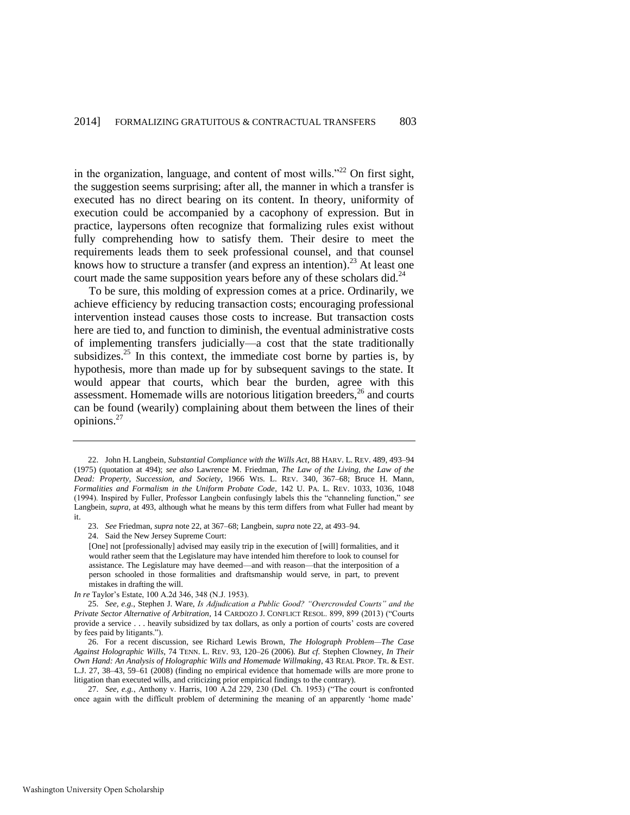<span id="page-7-0"></span>in the organization, language, and content of most wills. $12^{22}$  On first sight, the suggestion seems surprising; after all, the manner in which a transfer is executed has no direct bearing on its content. In theory, uniformity of execution could be accompanied by a cacophony of expression. But in practice, laypersons often recognize that formalizing rules exist without fully comprehending how to satisfy them. Their desire to meet the requirements leads them to seek professional counsel, and that counsel knows how to structure a transfer (and express an intention).<sup>23</sup> At least one court made the same supposition years before any of these scholars did.<sup>24</sup>

<span id="page-7-1"></span>To be sure, this molding of expression comes at a price. Ordinarily, we achieve efficiency by reducing transaction costs; encouraging professional intervention instead causes those costs to increase. But transaction costs here are tied to, and function to diminish, the eventual administrative costs of implementing transfers judicially—a cost that the state traditionally subsidizes.<sup>25</sup> In this context, the immediate cost borne by parties is, by hypothesis, more than made up for by subsequent savings to the state. It would appear that courts, which bear the burden, agree with this assessment. Homemade wills are notorious litigation breeders, $26$  and courts can be found (wearily) complaining about them between the lines of their opinions.<sup>27</sup>

24. Said the New Jersey Supreme Court:

[One] not [professionally] advised may easily trip in the execution of [will] formalities, and it would rather seem that the Legislature may have intended him therefore to look to counsel for assistance. The Legislature may have deemed—and with reason—that the interposition of a person schooled in those formalities and draftsmanship would serve, in part, to prevent mistakes in drafting the will.

*In re* Taylor's Estate, 100 A.2d 346, 348 (N.J. 1953).

25. *See, e.g.*, Stephen J. Ware, *Is Adjudication a Public Good? "Overcrowded Courts" and the Private Sector Alternative of Arbitration*, 14 CARDOZO J. CONFLICT RESOL. 899, 899 (2013) ("Courts provide a service . . . heavily subsidized by tax dollars, as only a portion of courts' costs are covered by fees paid by litigants.").

26. For a recent discussion, see Richard Lewis Brown, *The Holograph Problem—The Case Against Holographic Wills*, 74 TENN. L. REV. 93, 120–26 (2006). *But cf.* Stephen Clowney, *In Their Own Hand: An Analysis of Holographic Wills and Homemade Willmaking*, 43 REAL PROP. TR. & EST. L.J. 27, 38–43, 59–61 (2008) (finding no empirical evidence that homemade wills are more prone to litigation than executed wills, and criticizing prior empirical findings to the contrary).

27. *See, e.g.*, Anthony v. Harris, 100 A.2d 229, 230 (Del. Ch. 1953) ("The court is confronted once again with the difficult problem of determining the meaning of an apparently 'home made'

<span id="page-7-2"></span><sup>22.</sup> John H. Langbein, *Substantial Compliance with the Wills Act*, 88 HARV. L. REV. 489, 493–94 (1975) (quotation at 494); *see also* Lawrence M. Friedman, *The Law of the Living, the Law of the Dead: Property, Succession, and Society*, 1966 WIS. L. REV. 340, 367–68; Bruce H. Mann, *Formalities and Formalism in the Uniform Probate Code*, 142 U. PA. L. REV. 1033, 1036, 1048 (1994). Inspired by Fuller, Professor Langbein confusingly labels this the "channeling function," *see* Langbein, *supra*, at 493, although what he means by this term differs from what Fuller had meant by it.

<sup>23.</sup> *See* Friedman, *supra* not[e 22,](#page-7-0) at 367–68; Langbein, *supra* not[e 22,](#page-7-0) at 493–94.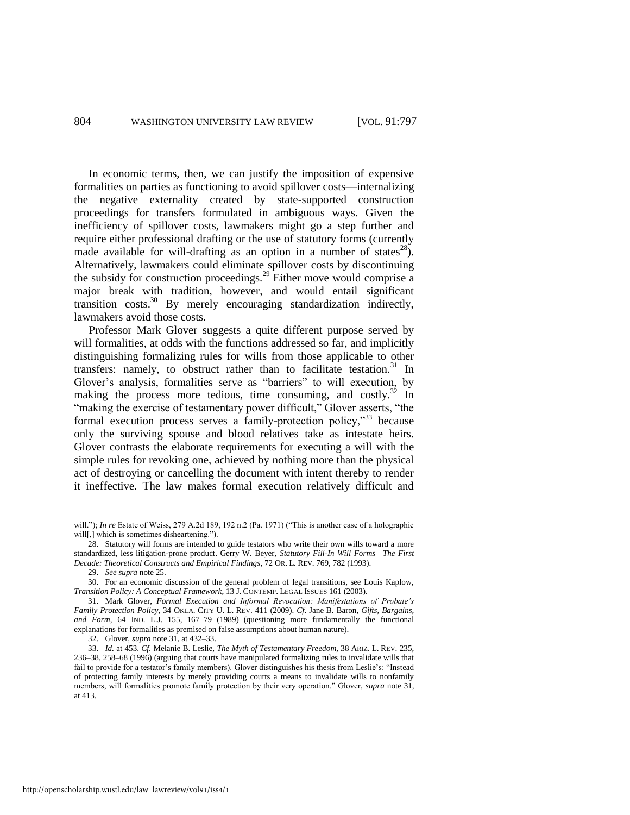In economic terms, then, we can justify the imposition of expensive formalities on parties as functioning to avoid spillover costs—internalizing the negative externality created by state-supported construction proceedings for transfers formulated in ambiguous ways. Given the inefficiency of spillover costs, lawmakers might go a step further and require either professional drafting or the use of statutory forms (currently made available for will-drafting as an option in a number of states<sup>28</sup>). Alternatively, lawmakers could eliminate spillover costs by discontinuing the subsidy for construction proceedings.<sup>29</sup> Either move would comprise a major break with tradition, however, and would entail significant transition costs.<sup>30</sup> By merely encouraging standardization indirectly, lawmakers avoid those costs.

<span id="page-8-3"></span><span id="page-8-2"></span><span id="page-8-1"></span><span id="page-8-0"></span>Professor Mark Glover suggests a quite different purpose served by will formalities, at odds with the functions addressed so far, and implicitly distinguishing formalizing rules for wills from those applicable to other transfers: namely, to obstruct rather than to facilitate testation. $31$  In Glover's analysis, formalities serve as "barriers" to will execution, by making the process more tedious, time consuming, and costly.<sup>32</sup> In "making the exercise of testamentary power difficult," Glover asserts, "the formal execution process serves a family-protection policy, $\frac{333}{2}$  because only the surviving spouse and blood relatives take as intestate heirs. Glover contrasts the elaborate requirements for executing a will with the simple rules for revoking one, achieved by nothing more than the physical act of destroying or cancelling the document with intent thereby to render it ineffective. The law makes formal execution relatively difficult and

will."); *In re* Estate of Weiss, 279 A.2d 189, 192 n.2 (Pa. 1971) ("This is another case of a holographic will[,] which is sometimes disheartening.").

<sup>28.</sup> Statutory will forms are intended to guide testators who write their own wills toward a more standardized, less litigation-prone product. Gerry W. Beyer, *Statutory Fill-In Will Forms—The First Decade: Theoretical Constructs and Empirical Findings*, 72 OR. L. REV. 769, 782 (1993).

<sup>29.</sup> *See supra* not[e 25.](#page-7-1) 

<sup>30.</sup> For an economic discussion of the general problem of legal transitions, see Louis Kaplow, *Transition Policy: A Conceptual Framework*, 13 J. CONTEMP. LEGAL ISSUES 161 (2003).

<sup>31.</sup> Mark Glover, *Formal Execution and Informal Revocation: Manifestations of Probate's Family Protection Policy*, 34 OKLA. CITY U. L. REV. 411 (2009). *Cf.* Jane B. Baron, *Gifts, Bargains, and Form*, 64 IND. L.J. 155, 167–79 (1989) (questioning more fundamentally the functional explanations for formalities as premised on false assumptions about human nature).

<sup>32.</sup> Glover, *supra* not[e 31,](#page-8-0) at 432–33.

<sup>33.</sup> *Id.* at 453. *Cf.* Melanie B. Leslie, *The Myth of Testamentary Freedom*, 38 ARIZ. L. REV. 235, 236–38, 258–68 (1996) (arguing that courts have manipulated formalizing rules to invalidate wills that fail to provide for a testator's family members). Glover distinguishes his thesis from Leslie's: "Instead of protecting family interests by merely providing courts a means to invalidate wills to nonfamily members, will formalities promote family protection by their very operation." Glover, *supra* not[e 31,](#page-8-0)  at 413.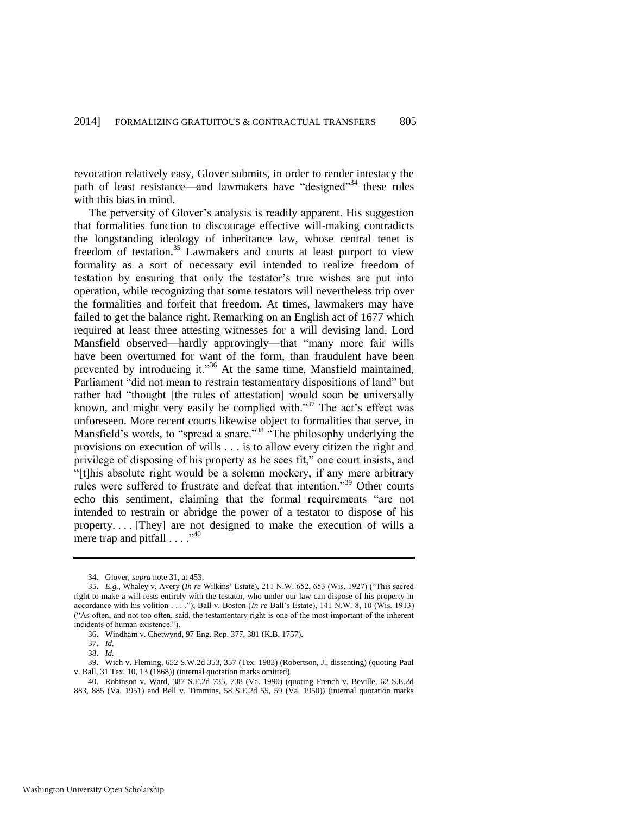revocation relatively easy, Glover submits, in order to render intestacy the path of least resistance—and lawmakers have "designed"<sup>34</sup> these rules with this bias in mind.

The perversity of Glover's analysis is readily apparent. His suggestion that formalities function to discourage effective will-making contradicts the longstanding ideology of inheritance law, whose central tenet is freedom of testation.<sup>35</sup> Lawmakers and courts at least purport to view formality as a sort of necessary evil intended to realize freedom of testation by ensuring that only the testator's true wishes are put into operation, while recognizing that some testators will nevertheless trip over the formalities and forfeit that freedom. At times, lawmakers may have failed to get the balance right. Remarking on an English act of 1677 which required at least three attesting witnesses for a will devising land, Lord Mansfield observed—hardly approvingly—that "many more fair wills have been overturned for want of the form, than fraudulent have been prevented by introducing it."<sup>36</sup> At the same time, Mansfield maintained, Parliament "did not mean to restrain testamentary dispositions of land" but rather had "thought [the rules of attestation] would soon be universally known, and might very easily be complied with."<sup>37</sup> The act's effect was unforeseen. More recent courts likewise object to formalities that serve, in Mansfield's words, to "spread a snare."<sup>38</sup> "The philosophy underlying the provisions on execution of wills . . . is to allow every citizen the right and privilege of disposing of his property as he sees fit," one court insists, and "[t]his absolute right would be a solemn mockery, if any mere arbitrary rules were suffered to frustrate and defeat that intention."<sup>39</sup> Other courts echo this sentiment, claiming that the formal requirements "are not intended to restrain or abridge the power of a testator to dispose of his property. . . . [They] are not designed to make the execution of wills a mere trap and pitfall . . . ."<sup>40</sup>

<sup>34.</sup> Glover, *supra* not[e 31,](#page-8-0) at 453.

<sup>35.</sup> *E.g.*, Whaley v. Avery (*In re* Wilkins' Estate), 211 N.W. 652, 653 (Wis. 1927) ("This sacred right to make a will rests entirely with the testator, who under our law can dispose of his property in accordance with his volition . . . ."); Ball v. Boston (*In re* Ball's Estate), 141 N.W. 8, 10 (Wis. 1913) ("As often, and not too often, said, the testamentary right is one of the most important of the inherent incidents of human existence.").

<sup>36.</sup> Windham v. Chetwynd, 97 Eng. Rep. 377, 381 (K.B. 1757).

<sup>37.</sup> *Id.*

<sup>38.</sup> *Id.*

<sup>39.</sup> Wich v. Fleming, 652 S.W.2d 353, 357 (Tex. 1983) (Robertson, J., dissenting) (quoting Paul v. Ball, 31 Tex. 10, 13 (1868)) (internal quotation marks omitted).

<sup>40.</sup> Robinson v. Ward, 387 S.E.2d 735, 738 (Va. 1990) (quoting French v. Beville, 62 S.E.2d 883, 885 (Va. 1951) and Bell v. Timmins, 58 S.E.2d 55, 59 (Va. 1950)) (internal quotation marks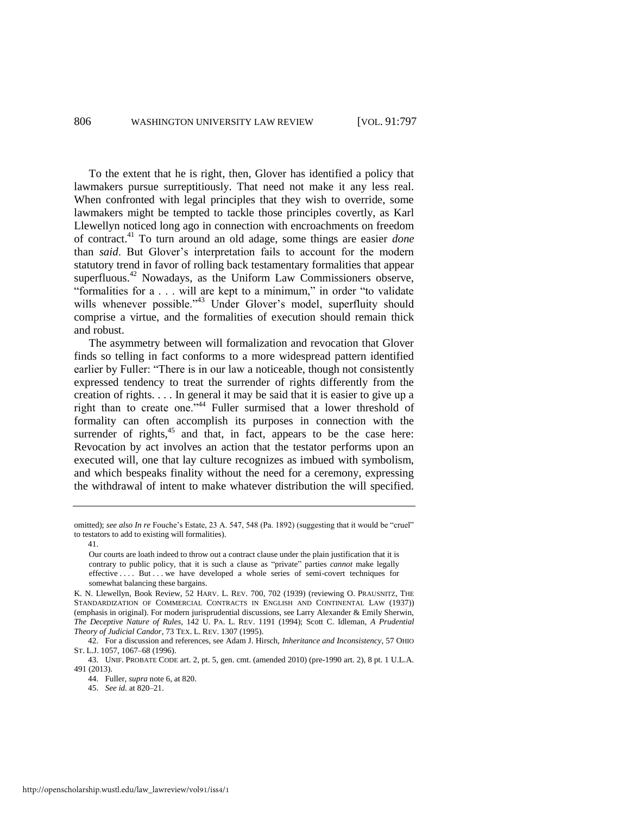To the extent that he is right, then, Glover has identified a policy that lawmakers pursue surreptitiously. That need not make it any less real. When confronted with legal principles that they wish to override, some lawmakers might be tempted to tackle those principles covertly, as Karl Llewellyn noticed long ago in connection with encroachments on freedom of contract.<sup>41</sup> To turn around an old adage, some things are easier *done* than *said*. But Glover's interpretation fails to account for the modern statutory trend in favor of rolling back testamentary formalities that appear superfluous.<sup>42</sup> Nowadays, as the Uniform Law Commissioners observe, "formalities for a . . . will are kept to a minimum," in order "to validate wills whenever possible."<sup>43</sup> Under Glover's model, superfluity should comprise a virtue, and the formalities of execution should remain thick and robust.

<span id="page-10-0"></span>The asymmetry between will formalization and revocation that Glover finds so telling in fact conforms to a more widespread pattern identified earlier by Fuller: "There is in our law a noticeable, though not consistently expressed tendency to treat the surrender of rights differently from the creation of rights. . . . In general it may be said that it is easier to give up a right than to create one."<sup>44</sup> Fuller surmised that a lower threshold of formality can often accomplish its purposes in connection with the surrender of rights, $45$  and that, in fact, appears to be the case here: Revocation by act involves an action that the testator performs upon an executed will, one that lay culture recognizes as imbued with symbolism, and which bespeaks finality without the need for a ceremony, expressing the withdrawal of intent to make whatever distribution the will specified.

41.

omitted); *see also In re* Fouche's Estate, 23 A. 547, 548 (Pa. 1892) (suggesting that it would be "cruel" to testators to add to existing will formalities).

Our courts are loath indeed to throw out a contract clause under the plain justification that it is contrary to public policy, that it is such a clause as "private" parties *cannot* make legally effective . . . . But . . . we have developed a whole series of semi-covert techniques for somewhat balancing these bargains.

K. N. Llewellyn, Book Review, 52 HARV. L. REV. 700, 702 (1939) (reviewing O. PRAUSNITZ, THE STANDARDIZATION OF COMMERCIAL CONTRACTS IN ENGLISH AND CONTINENTAL LAW (1937)) (emphasis in original). For modern jurisprudential discussions, see Larry Alexander & Emily Sherwin, *The Deceptive Nature of Rules*, 142 U. PA. L. REV. 1191 (1994); Scott C. Idleman, *A Prudential Theory of Judicial Candor*, 73 TEX. L. REV. 1307 (1995).

<sup>42.</sup> For a discussion and references, see Adam J. Hirsch, *Inheritance and Inconsistency*, 57 OHIO ST. L.J. 1057, 1067–68 (1996).

<sup>43.</sup> UNIF. PROBATE CODE art. 2, pt. 5, gen. cmt. (amended 2010) (pre-1990 art. 2), 8 pt. 1 U.L.A. 491 (2013).

<sup>44.</sup> Fuller, *supra* not[e 6,](#page-4-1) at 820.

<sup>45.</sup> *See id.* at 820–21.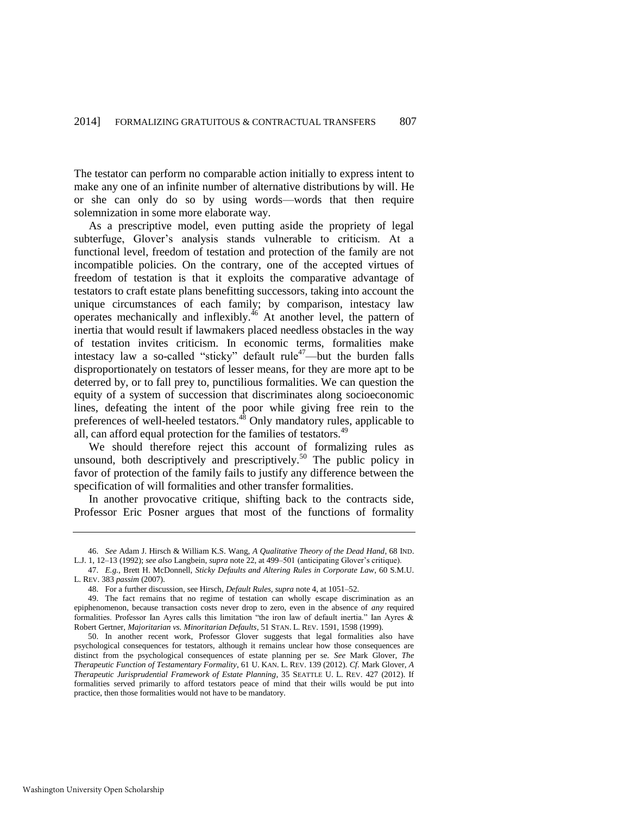The testator can perform no comparable action initially to express intent to make any one of an infinite number of alternative distributions by will. He or she can only do so by using words—words that then require solemnization in some more elaborate way.

As a prescriptive model, even putting aside the propriety of legal subterfuge, Glover's analysis stands vulnerable to criticism. At a functional level, freedom of testation and protection of the family are not incompatible policies. On the contrary, one of the accepted virtues of freedom of testation is that it exploits the comparative advantage of testators to craft estate plans benefitting successors, taking into account the unique circumstances of each family; by comparison, intestacy law operates mechanically and inflexibly.<sup>46</sup> At another level, the pattern of inertia that would result if lawmakers placed needless obstacles in the way of testation invites criticism. In economic terms, formalities make intestacy law a so-called "sticky" default rule<sup>47</sup>—but the burden falls disproportionately on testators of lesser means, for they are more apt to be deterred by, or to fall prey to, punctilious formalities. We can question the equity of a system of succession that discriminates along socioeconomic lines, defeating the intent of the poor while giving free rein to the preferences of well-heeled testators.<sup>48</sup> Only mandatory rules, applicable to all, can afford equal protection for the families of testators.<sup>49</sup>

We should therefore reject this account of formalizing rules as unsound, both descriptively and prescriptively.<sup>50</sup> The public policy in favor of protection of the family fails to justify any difference between the specification of will formalities and other transfer formalities.

In another provocative critique, shifting back to the contracts side, Professor Eric Posner argues that most of the functions of formality

<sup>46.</sup> *See* Adam J. Hirsch & William K.S. Wang, *A Qualitative Theory of the Dead Hand*, 68 IND. L.J. 1, 12–13 (1992); *see also* Langbein, *supra* not[e 22,](#page-7-0) at 499–501 (anticipating Glover's critique).

<sup>47.</sup> *E.g.*, Brett H. McDonnell, *Sticky Defaults and Altering Rules in Corporate Law*, 60 S.M.U. L. REV. 383 *passim* (2007).

<sup>48.</sup> For a further discussion, see Hirsch, *Default Rules, supra* not[e 4,](#page-3-0) at 1051–52.

<sup>49.</sup> The fact remains that no regime of testation can wholly escape discrimination as an epiphenomenon, because transaction costs never drop to zero, even in the absence of *any* required formalities. Professor Ian Ayres calls this limitation "the iron law of default inertia." Ian Ayres & Robert Gertner, *Majoritarian vs. Minoritarian Defaults*, 51 STAN. L. REV. 1591, 1598 (1999).

<sup>50.</sup> In another recent work, Professor Glover suggests that legal formalities also have psychological consequences for testators, although it remains unclear how those consequences are distinct from the psychological consequences of estate planning per se. *See* Mark Glover, *The Therapeutic Function of Testamentary Formality*, 61 U. KAN. L. REV. 139 (2012). *Cf.* Mark Glover, *A Therapeutic Jurisprudential Framework of Estate Planning*, 35 SEATTLE U. L. REV. 427 (2012). If formalities served primarily to afford testators peace of mind that their wills would be put into practice, then those formalities would not have to be mandatory.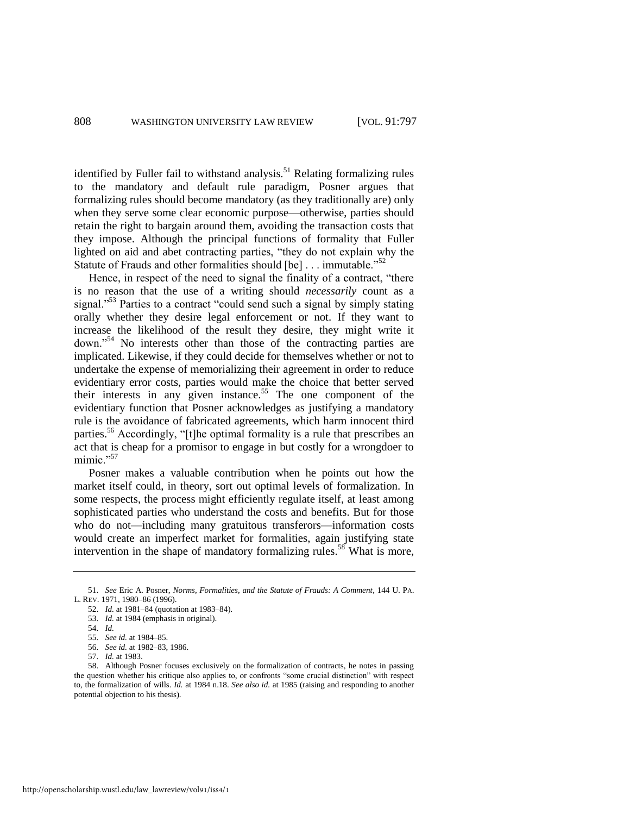identified by Fuller fail to withstand analysis.<sup>51</sup> Relating formalizing rules to the mandatory and default rule paradigm, Posner argues that formalizing rules should become mandatory (as they traditionally are) only when they serve some clear economic purpose—otherwise, parties should retain the right to bargain around them, avoiding the transaction costs that they impose. Although the principal functions of formality that Fuller lighted on aid and abet contracting parties, "they do not explain why the Statute of Frauds and other formalities should [be] . . . immutable.<sup>552</sup>

Hence, in respect of the need to signal the finality of a contract, "there is no reason that the use of a writing should *necessarily* count as a signal."<sup>53</sup> Parties to a contract "could send such a signal by simply stating orally whether they desire legal enforcement or not. If they want to increase the likelihood of the result they desire, they might write it down."<sup>54</sup> No interests other than those of the contracting parties are implicated. Likewise, if they could decide for themselves whether or not to undertake the expense of memorializing their agreement in order to reduce evidentiary error costs, parties would make the choice that better served their interests in any given instance.<sup>55</sup> The one component of the evidentiary function that Posner acknowledges as justifying a mandatory rule is the avoidance of fabricated agreements, which harm innocent third parties.<sup>56</sup> Accordingly, "[t]he optimal formality is a rule that prescribes an act that is cheap for a promisor to engage in but costly for a wrongdoer to mimic."<sup>57</sup>

<span id="page-12-2"></span><span id="page-12-1"></span><span id="page-12-0"></span>Posner makes a valuable contribution when he points out how the market itself could, in theory, sort out optimal levels of formalization. In some respects, the process might efficiently regulate itself, at least among sophisticated parties who understand the costs and benefits. But for those who do not—including many gratuitous transferors—information costs would create an imperfect market for formalities, again justifying state intervention in the shape of mandatory formalizing rules.<sup>58</sup> What is more,

<sup>51.</sup> *See* Eric A. Posner, *Norms, Formalities, and the Statute of Frauds: A Comment*, 144 U. PA. L. REV. 1971, 1980–86 (1996).

<sup>52.</sup> *Id.* at 1981–84 (quotation at 1983–84).

<sup>53.</sup> *Id.* at 1984 (emphasis in original).

<sup>54.</sup> *Id.*

<sup>55.</sup> *See id.* at 1984–85.

<sup>56.</sup> *See id.* at 1982–83, 1986.

<sup>57.</sup> *Id.* at 1983.

<sup>58.</sup> Although Posner focuses exclusively on the formalization of contracts, he notes in passing the question whether his critique also applies to, or confronts "some crucial distinction" with respect to, the formalization of wills. *Id.* at 1984 n.18. *See also id.* at 1985 (raising and responding to another potential objection to his thesis).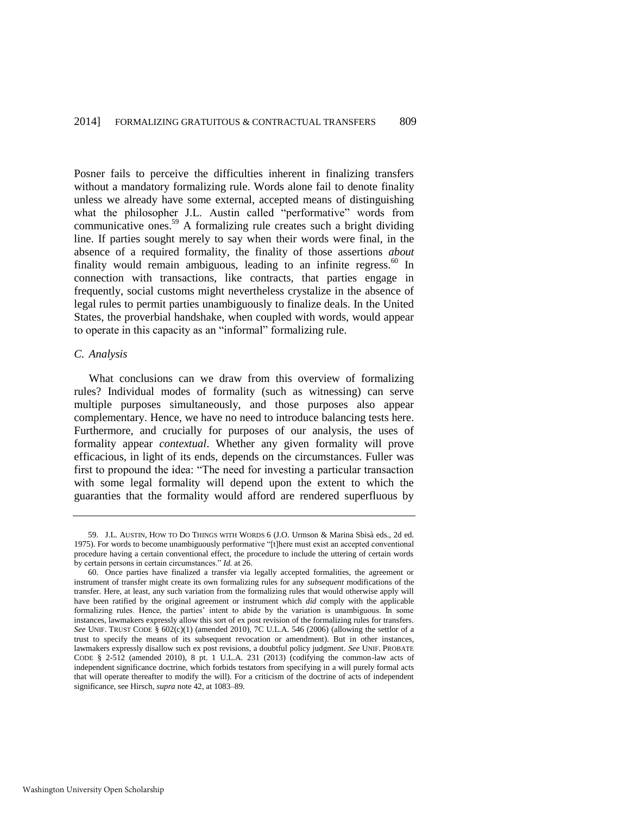<span id="page-13-1"></span><span id="page-13-0"></span>Posner fails to perceive the difficulties inherent in finalizing transfers without a mandatory formalizing rule. Words alone fail to denote finality unless we already have some external, accepted means of distinguishing what the philosopher J.L. Austin called "performative" words from communicative ones.<sup>59</sup> A formalizing rule creates such a bright dividing line. If parties sought merely to say when their words were final, in the absence of a required formality, the finality of those assertions *about* finality would remain ambiguous, leading to an infinite regress. $60$  In connection with transactions, like contracts, that parties engage in frequently, social customs might nevertheless crystalize in the absence of legal rules to permit parties unambiguously to finalize deals. In the United States, the proverbial handshake, when coupled with words, would appear to operate in this capacity as an "informal" formalizing rule.

#### *C. Analysis*

What conclusions can we draw from this overview of formalizing rules? Individual modes of formality (such as witnessing) can serve multiple purposes simultaneously, and those purposes also appear complementary. Hence, we have no need to introduce balancing tests here. Furthermore, and crucially for purposes of our analysis, the uses of formality appear *contextual*. Whether any given formality will prove efficacious, in light of its ends, depends on the circumstances. Fuller was first to propound the idea: "The need for investing a particular transaction with some legal formality will depend upon the extent to which the guaranties that the formality would afford are rendered superfluous by

<sup>59.</sup> J.L. AUSTIN, HOW TO DO THINGS WITH WORDS 6 (J.O. Urmson & Marina Sbisà eds., 2d ed. 1975). For words to become unambiguously performative "[t]here must exist an accepted conventional procedure having a certain conventional effect, the procedure to include the uttering of certain words by certain persons in certain circumstances." *Id.* at 26.

<sup>60.</sup> Once parties have finalized a transfer via legally accepted formalities, the agreement or instrument of transfer might create its own formalizing rules for any *subsequent* modifications of the transfer. Here, at least, any such variation from the formalizing rules that would otherwise apply will have been ratified by the original agreement or instrument which *did* comply with the applicable formalizing rules. Hence, the parties' intent to abide by the variation is unambiguous. In some instances, lawmakers expressly allow this sort of ex post revision of the formalizing rules for transfers. *See* UNIF. TRUST CODE § 602(c)(1) (amended 2010), 7C U.L.A. 546 (2006) (allowing the settlor of a trust to specify the means of its subsequent revocation or amendment). But in other instances, lawmakers expressly disallow such ex post revisions, a doubtful policy judgment. *See* UNIF. PROBATE CODE § 2-512 (amended 2010), 8 pt. 1 U.L.A. 231 (2013) (codifying the common-law acts of independent significance doctrine, which forbids testators from specifying in a will purely formal acts that will operate thereafter to modify the will). For a criticism of the doctrine of acts of independent significance, see Hirsch, *supra* not[e 42,](#page-10-0) at 1083–89.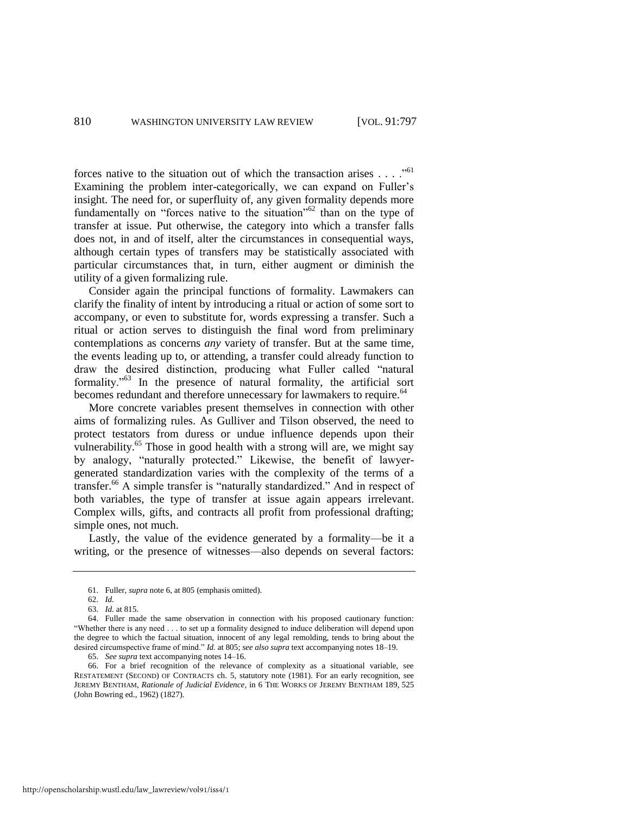forces native to the situation out of which the transaction arises  $\dots$ ."<sup>61</sup> Examining the problem inter-categorically, we can expand on Fuller's insight. The need for, or superfluity of, any given formality depends more fundamentally on "forces native to the situation"<sup>62</sup> than on the type of transfer at issue. Put otherwise, the category into which a transfer falls does not, in and of itself, alter the circumstances in consequential ways, although certain types of transfers may be statistically associated with particular circumstances that, in turn, either augment or diminish the utility of a given formalizing rule.

Consider again the principal functions of formality. Lawmakers can clarify the finality of intent by introducing a ritual or action of some sort to accompany, or even to substitute for, words expressing a transfer. Such a ritual or action serves to distinguish the final word from preliminary contemplations as concerns *any* variety of transfer. But at the same time, the events leading up to, or attending, a transfer could already function to draw the desired distinction, producing what Fuller called "natural formality."<sup>63</sup> In the presence of natural formality, the artificial sort becomes redundant and therefore unnecessary for lawmakers to require.<sup>64</sup>

<span id="page-14-2"></span><span id="page-14-1"></span>More concrete variables present themselves in connection with other aims of formalizing rules. As Gulliver and Tilson observed, the need to protect testators from duress or undue influence depends upon their vulnerability.<sup>65</sup> Those in good health with a strong will are, we might say by analogy, "naturally protected." Likewise, the benefit of lawyergenerated standardization varies with the complexity of the terms of a transfer.<sup>66</sup> A simple transfer is "naturally standardized." And in respect of both variables, the type of transfer at issue again appears irrelevant. Complex wills, gifts, and contracts all profit from professional drafting; simple ones, not much.

<span id="page-14-0"></span>Lastly, the value of the evidence generated by a formality—be it a writing, or the presence of witnesses—also depends on several factors:

65. *See supra* text accompanying note[s 14](#page-5-0)[–16.](#page-6-2)

<sup>61.</sup> Fuller, *supra* not[e 6,](#page-4-1) at 805 (emphasis omitted).

<sup>62.</sup> *Id.*

<sup>63.</sup> *Id.* at 815.

<sup>64.</sup> Fuller made the same observation in connection with his proposed cautionary function: "Whether there is any need . . . to set up a formality designed to induce deliberation will depend upon the degree to which the factual situation, innocent of any legal remolding, tends to bring about the desired circumspective frame of mind." *Id.* at 805; *see also supra* text accompanying note[s 18](#page-6-0)[–19.](#page-6-1) 

<sup>66.</sup> For a brief recognition of the relevance of complexity as a situational variable, see RESTATEMENT (SECOND) OF CONTRACTS ch. 5, statutory note (1981). For an early recognition, see JEREMY BENTHAM, *Rationale of Judicial Evidence*, in 6 THE WORKS OF JEREMY BENTHAM 189, 525 (John Bowring ed., 1962) (1827).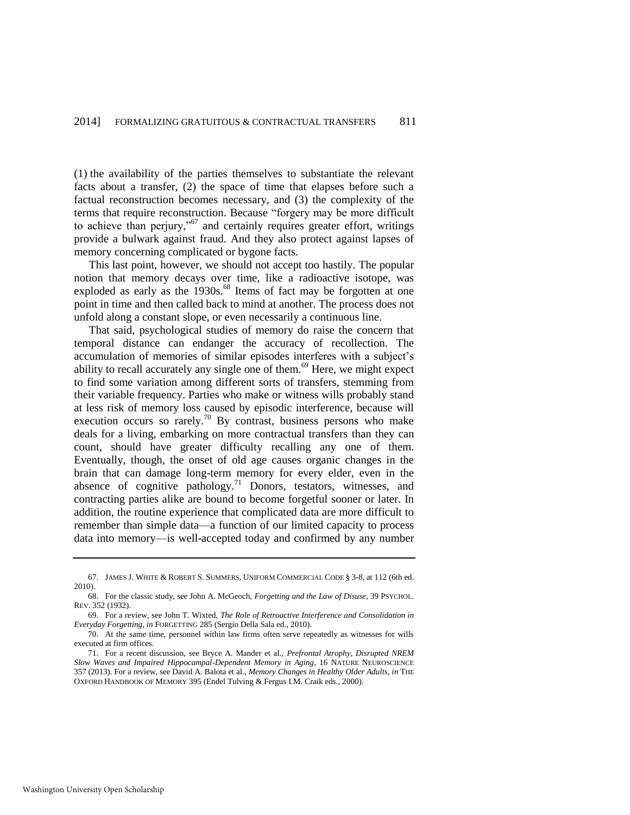(1) the availability of the parties themselves to substantiate the relevant facts about a transfer, (2) the space of time that elapses before such a factual reconstruction becomes necessary, and (3) the complexity of the terms that require reconstruction. Because "forgery may be more difficult to achieve than perjury,"<sup>67</sup> and certainly requires greater effort, writings provide a bulwark against fraud. And they also protect against lapses of memory concerning complicated or bygone facts.

<span id="page-15-0"></span>This last point, however, we should not accept too hastily. The popular notion that memory decays over time, like a radioactive isotope, was exploded as early as the  $1930s$ .<sup>68</sup> Items of fact may be forgotten at one point in time and then called back to mind at another. The process does not unfold along a constant slope, or even necessarily a continuous line.

That said, psychological studies of memory do raise the concern that temporal distance can endanger the accuracy of recollection. The accumulation of memories of similar episodes interferes with a subject's ability to recall accurately any single one of them.<sup>69</sup> Here, we might expect to find some variation among different sorts of transfers, stemming from their variable frequency. Parties who make or witness wills probably stand at less risk of memory loss caused by episodic interference, because will execution occurs so rarely.<sup>70</sup> By contrast, business persons who make deals for a living, embarking on more contractual transfers than they can count, should have greater difficulty recalling any one of them. Eventually, though, the onset of old age causes organic changes in the brain that can damage long-term memory for every elder, even in the absence of cognitive pathology.<sup>71</sup> Donors, testators, witnesses, and contracting parties alike are bound to become forgetful sooner or later. In addition, the routine experience that complicated data are more difficult to remember than simple data—a function of our limited capacity to process data into memory—is well-accepted today and confirmed by any number

<sup>67.</sup> JAMES J. WHITE & ROBERT S. SUMMERS, UNIFORM COMMERCIAL CODE § 3-8, at 112 (6th ed. 2010).

<sup>68.</sup> For the classic study, see John A. McGeoch, *Forgetting and the Law of Disuse*, 39 PSYCHOL. REV. 352 (1932).

<sup>69.</sup> For a review, see John T. Wixted, *The Role of Retroactive Interference and Consolidation in Everyday Forgetting*, *in* FORGETTING 285 (Sergio Della Sala ed., 2010).

<sup>70.</sup> At the same time, personnel within law firms often serve repeatedly as witnesses for wills executed at firm offices.

<sup>71.</sup> For a recent discussion, see Bryce A. Mander et al., *Prefrontal Atrophy, Disrupted NREM Slow Waves and Impaired Hippocampal-Dependent Memory in Aging*, 16 NATURE NEUROSCIENCE 357 (2013). For a review, see David A. Balota et al., *Memory Changes in Healthy Older Adults*, *in* THE OXFORD HANDBOOK OF MEMORY 395 (Endel Tulving & Fergus I.M. Craik eds., 2000).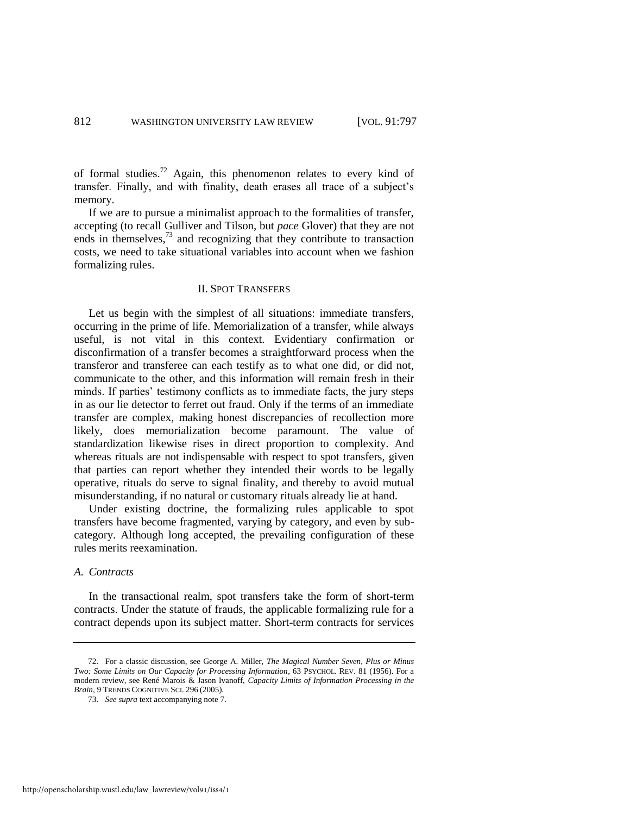of formal studies.<sup>72</sup> Again, this phenomenon relates to every kind of transfer. Finally, and with finality, death erases all trace of a subject's memory.

If we are to pursue a minimalist approach to the formalities of transfer, accepting (to recall Gulliver and Tilson, but *pace* Glover) that they are not ends in themselves, $^{73}$  and recognizing that they contribute to transaction costs, we need to take situational variables into account when we fashion formalizing rules.

#### II. SPOT TRANSFERS

Let us begin with the simplest of all situations: immediate transfers, occurring in the prime of life. Memorialization of a transfer, while always useful, is not vital in this context. Evidentiary confirmation or disconfirmation of a transfer becomes a straightforward process when the transferor and transferee can each testify as to what one did, or did not, communicate to the other, and this information will remain fresh in their minds. If parties' testimony conflicts as to immediate facts, the jury steps in as our lie detector to ferret out fraud. Only if the terms of an immediate transfer are complex, making honest discrepancies of recollection more likely, does memorialization become paramount. The value of standardization likewise rises in direct proportion to complexity. And whereas rituals are not indispensable with respect to spot transfers, given that parties can report whether they intended their words to be legally operative, rituals do serve to signal finality, and thereby to avoid mutual misunderstanding, if no natural or customary rituals already lie at hand.

Under existing doctrine, the formalizing rules applicable to spot transfers have become fragmented, varying by category, and even by subcategory. Although long accepted, the prevailing configuration of these rules merits reexamination.

#### *A. Contracts*

In the transactional realm, spot transfers take the form of short-term contracts. Under the statute of frauds, the applicable formalizing rule for a contract depends upon its subject matter. Short-term contracts for services

<sup>72.</sup> For a classic discussion, see George A. Miller, *The Magical Number Seven, Plus or Minus Two: Some Limits on Our Capacity for Processing Information*, 63 PSYCHOL. REV. 81 (1956). For a modern review, see René Marois & Jason Ivanoff, *Capacity Limits of Information Processing in the Brain*, 9 TRENDS COGNITIVE SCI. 296 (2005).

<sup>73.</sup> *See supra* text accompanying not[e 7.](#page-4-2)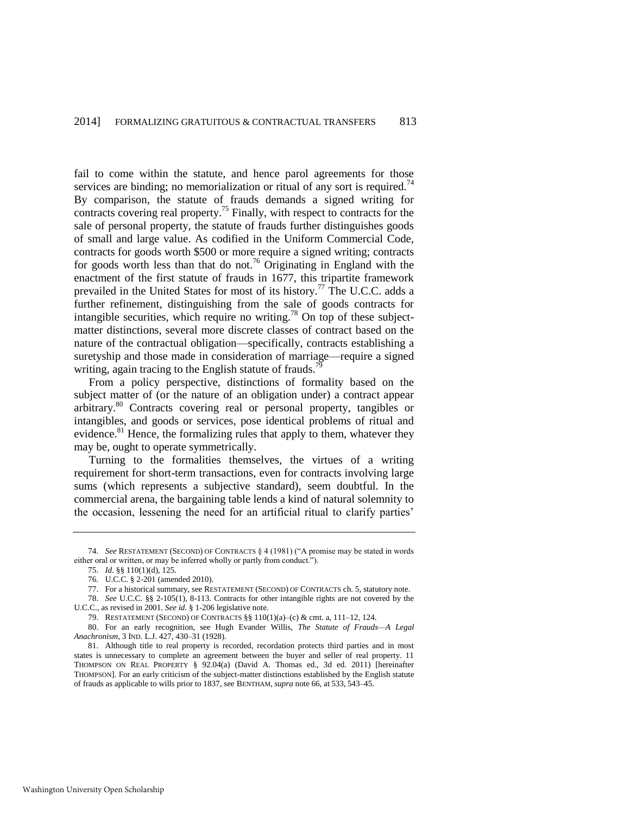<span id="page-17-5"></span><span id="page-17-2"></span><span id="page-17-0"></span>fail to come within the statute, and hence parol agreements for those services are binding; no memorialization or ritual of any sort is required.<sup>74</sup> By comparison, the statute of frauds demands a signed writing for contracts covering real property.<sup>75</sup> Finally, with respect to contracts for the sale of personal property, the statute of frauds further distinguishes goods of small and large value. As codified in the Uniform Commercial Code, contracts for goods worth \$500 or more require a signed writing; contracts for goods worth less than that do not.<sup>76</sup> Originating in England with the enactment of the first statute of frauds in 1677, this tripartite framework prevailed in the United States for most of its history.<sup>77</sup> The U.C.C. adds a further refinement, distinguishing from the sale of goods contracts for intangible securities, which require no writing.<sup>78</sup> On top of these subjectmatter distinctions, several more discrete classes of contract based on the nature of the contractual obligation—specifically, contracts establishing a suretyship and those made in consideration of marriage—require a signed writing, again tracing to the English statute of frauds.<sup>7</sup>

<span id="page-17-4"></span><span id="page-17-3"></span>From a policy perspective, distinctions of formality based on the subject matter of (or the nature of an obligation under) a contract appear arbitrary.<sup>80</sup> Contracts covering real or personal property, tangibles or intangibles, and goods or services, pose identical problems of ritual and evidence.<sup>81</sup> Hence, the formalizing rules that apply to them, whatever they may be, ought to operate symmetrically.

<span id="page-17-1"></span>Turning to the formalities themselves, the virtues of a writing requirement for short-term transactions, even for contracts involving large sums (which represents a subjective standard), seem doubtful. In the commercial arena, the bargaining table lends a kind of natural solemnity to the occasion, lessening the need for an artificial ritual to clarify parties'

<sup>74.</sup> *See* RESTATEMENT (SECOND) OF CONTRACTS § 4 (1981) ("A promise may be stated in words either oral or written, or may be inferred wholly or partly from conduct.").

<sup>75.</sup> *Id*. §§ 110(1)(d), 125.

<sup>76.</sup> U.C.C. § 2-201 (amended 2010).

<sup>77.</sup> For a historical summary, see RESTATEMENT (SECOND) OF CONTRACTS ch. 5, statutory note.

<sup>78.</sup> *See* U.C.C. §§ 2-105(1), 8-113. Contracts for other intangible rights are not covered by the U.C.C., as revised in 2001. *See id.* § 1-206 legislative note.

<sup>79.</sup> RESTATEMENT (SECOND) OF CONTRACTS §§ 110(1)(a)–(c) & cmt. a, 111–12, 124.

<sup>80.</sup> For an early recognition, see Hugh Evander Willis, *The Statute of Frauds—A Legal Anachronism*, 3 IND. L.J. 427, 430–31 (1928).

<sup>81.</sup> Although title to real property is recorded, recordation protects third parties and in most states is unnecessary to complete an agreement between the buyer and seller of real property. 11 THOMPSON ON REAL PROPERTY § 92.04(a) (David A. Thomas ed., 3d ed. 2011) [hereinafter THOMPSON]. For an early criticism of the subject-matter distinctions established by the English statute of frauds as applicable to wills prior to 1837, see BENTHAM, *supra* not[e 66,](#page-14-0) at 533, 543–45.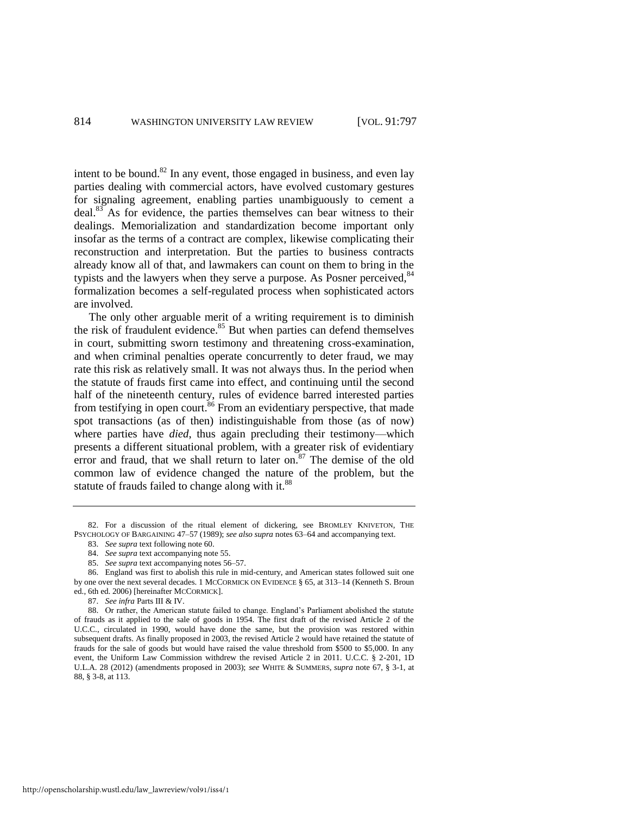<span id="page-18-1"></span><span id="page-18-0"></span>intent to be bound.<sup>82</sup> In any event, those engaged in business, and even lay parties dealing with commercial actors, have evolved customary gestures for signaling agreement, enabling parties unambiguously to cement a deal.<sup>83</sup> As for evidence, the parties themselves can bear witness to their dealings. Memorialization and standardization become important only insofar as the terms of a contract are complex, likewise complicating their reconstruction and interpretation. But the parties to business contracts already know all of that, and lawmakers can count on them to bring in the typists and the lawyers when they serve a purpose. As Posner perceived, $84$ formalization becomes a self-regulated process when sophisticated actors are involved.

<span id="page-18-2"></span>The only other arguable merit of a writing requirement is to diminish the risk of fraudulent evidence.<sup>85</sup> But when parties can defend themselves in court, submitting sworn testimony and threatening cross-examination, and when criminal penalties operate concurrently to deter fraud, we may rate this risk as relatively small. It was not always thus. In the period when the statute of frauds first came into effect, and continuing until the second half of the nineteenth century, rules of evidence barred interested parties from testifying in open court.<sup>86</sup> From an evidentiary perspective, that made spot transactions (as of then) indistinguishable from those (as of now) where parties have *died*, thus again precluding their testimony—which presents a different situational problem, with a greater risk of evidentiary error and fraud, that we shall return to later on. $87$  The demise of the old common law of evidence changed the nature of the problem, but the statute of frauds failed to change along with it.<sup>88</sup>

<sup>82.</sup> For a discussion of the ritual element of dickering, see BROMLEY KNIVETON, THE PSYCHOLOGY OF BARGAINING 47–57 (1989); *see also supra* note[s 63](#page-14-1)[–64 a](#page-14-2)nd accompanying text.

<sup>83.</sup> *See supra* text following not[e 60.](#page-13-0) 

<sup>84.</sup> *See supra* text accompanying not[e 55.](#page-12-0)

<sup>85.</sup> *See supra* text accompanying note[s 56](#page-12-1)[–57.](#page-12-2)

<sup>86.</sup> England was first to abolish this rule in mid-century, and American states followed suit one by one over the next several decades. 1 MCCORMICK ON EVIDENCE § 65, at 313–14 (Kenneth S. Broun ed., 6th ed. 2006) [hereinafter MCCORMICK].

<sup>87.</sup> *See infra* Parts III & IV.

<sup>88.</sup> Or rather, the American statute failed to change. England's Parliament abolished the statute of frauds as it applied to the sale of goods in 1954. The first draft of the revised Article 2 of the U.C.C., circulated in 1990, would have done the same, but the provision was restored within subsequent drafts. As finally proposed in 2003, the revised Article 2 would have retained the statute of frauds for the sale of goods but would have raised the value threshold from \$500 to \$5,000. In any event, the Uniform Law Commission withdrew the revised Article 2 in 2011. U.C.C. § 2-201, 1D U.L.A. 28 (2012) (amendments proposed in 2003); *see* WHITE & SUMMERS, *supra* note [67,](#page-15-0) § 3-1, at 88, § 3-8, at 113.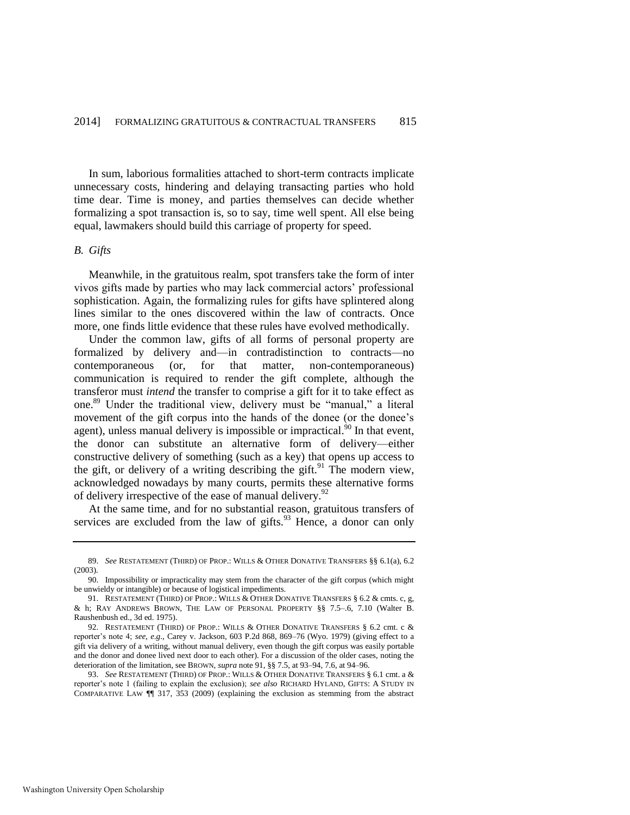In sum, laborious formalities attached to short-term contracts implicate unnecessary costs, hindering and delaying transacting parties who hold time dear. Time is money, and parties themselves can decide whether formalizing a spot transaction is, so to say, time well spent. All else being equal, lawmakers should build this carriage of property for speed.

#### *B. Gifts*

Meanwhile, in the gratuitous realm, spot transfers take the form of inter vivos gifts made by parties who may lack commercial actors' professional sophistication. Again, the formalizing rules for gifts have splintered along lines similar to the ones discovered within the law of contracts. Once more, one finds little evidence that these rules have evolved methodically.

<span id="page-19-1"></span>Under the common law, gifts of all forms of personal property are formalized by delivery and—in contradistinction to contracts—no contemporaneous (or, for that matter, non-contemporaneous) communication is required to render the gift complete, although the transferor must *intend* the transfer to comprise a gift for it to take effect as one.<sup>89</sup> Under the traditional view, delivery must be "manual," a literal movement of the gift corpus into the hands of the donee (or the donee's agent), unless manual delivery is impossible or impractical.<sup>90</sup> In that event, the donor can substitute an alternative form of delivery—either constructive delivery of something (such as a key) that opens up access to the gift, or delivery of a writing describing the gift.<sup>91</sup> The modern view, acknowledged nowadays by many courts, permits these alternative forms of delivery irrespective of the ease of manual delivery.<sup>92</sup>

<span id="page-19-2"></span><span id="page-19-0"></span>At the same time, and for no substantial reason, gratuitous transfers of services are excluded from the law of gifts. $93$  Hence, a donor can only

<sup>89.</sup> *See* RESTATEMENT (THIRD) OF PROP.: WILLS & OTHER DONATIVE TRANSFERS §§ 6.1(a), 6.2 (2003).

<sup>90.</sup> Impossibility or impracticality may stem from the character of the gift corpus (which might be unwieldy or intangible) or because of logistical impediments.

<sup>91.</sup> RESTATEMENT (THIRD) OF PROP.: WILLS & OTHER DONATIVE TRANSFERS § 6.2 & cmts. c, g, & h; RAY ANDREWS BROWN, THE LAW OF PERSONAL PROPERTY §§ 7.5–.6, 7.10 (Walter B. Raushenbush ed., 3d ed. 1975).

<sup>92.</sup> RESTATEMENT (THIRD) OF PROP.: WILLS & OTHER DONATIVE TRANSFERS § 6.2 cmt. c & reporter's note 4; *see, e.g*., Carey v. Jackson, 603 P.2d 868, 869–76 (Wyo. 1979) (giving effect to a gift via delivery of a writing, without manual delivery, even though the gift corpus was easily portable and the donor and donee lived next door to each other). For a discussion of the older cases, noting the deterioration of the limitation, see BROWN, *supra* not[e 91,](#page-19-0) §§ 7.5, at 93–94, 7.6, at 94–96.

<sup>93.</sup> *See* RESTATEMENT (THIRD) OF PROP.: WILLS & OTHER DONATIVE TRANSFERS § 6.1 cmt. a & reporter's note 1 (failing to explain the exclusion); *see also* RICHARD HYLAND, GIFTS: A STUDY IN COMPARATIVE LAW ¶¶ 317, 353 (2009) (explaining the exclusion as stemming from the abstract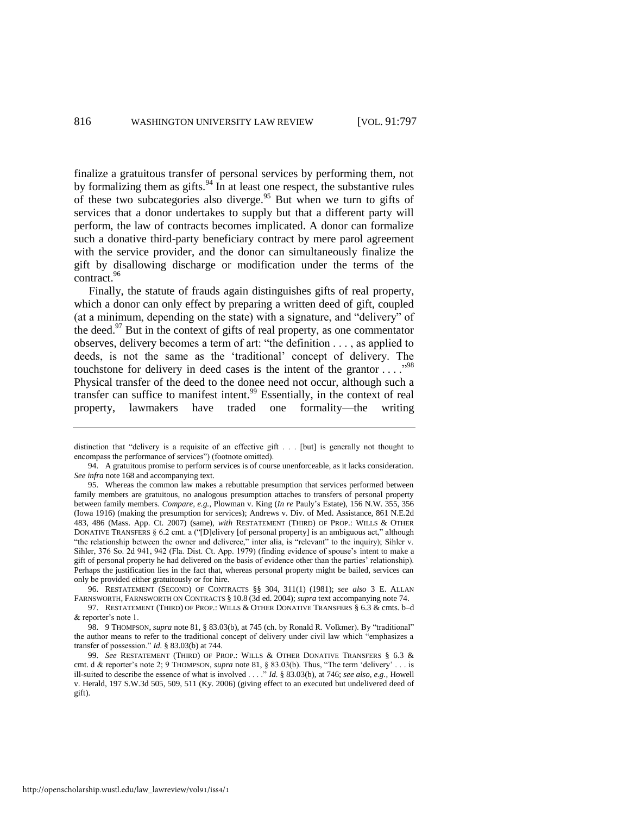<span id="page-20-0"></span>finalize a gratuitous transfer of personal services by performing them, not by formalizing them as gifts. $94$  In at least one respect, the substantive rules of these two subcategories also diverge.<sup>95</sup> But when we turn to gifts of services that a donor undertakes to supply but that a different party will perform, the law of contracts becomes implicated. A donor can formalize such a donative third-party beneficiary contract by mere parol agreement with the service provider, and the donor can simultaneously finalize the gift by disallowing discharge or modification under the terms of the contract.<sup>96</sup>

<span id="page-20-2"></span><span id="page-20-1"></span>Finally, the statute of frauds again distinguishes gifts of real property, which a donor can only effect by preparing a written deed of gift, coupled (at a minimum, depending on the state) with a signature, and "delivery" of the deed.<sup>97</sup> But in the context of gifts of real property, as one commentator observes, delivery becomes a term of art: "the definition . . . , as applied to deeds, is not the same as the 'traditional' concept of delivery. The touchstone for delivery in deed cases is the intent of the grantor  $\dots$ ."<sup>98</sup> Physical transfer of the deed to the donee need not occur, although such a transfer can suffice to manifest intent.<sup>99</sup> Essentially, in the context of real property, lawmakers have traded one formality—the writing

96. RESTATEMENT (SECOND) OF CONTRACTS §§ 304, 311(1) (1981); *see also* 3 E. ALLAN FARNSWORTH, FARNSWORTH ON CONTRACTS § 10.8 (3d ed. 2004); *supra* text accompanying not[e 74.](#page-17-0)

97. RESTATEMENT (THIRD) OF PROP.: WILLS & OTHER DONATIVE TRANSFERS § 6.3 & cmts. b–d & reporter's note 1.

98. 9 THOMPSON, *supra* not[e 81,](#page-17-1) § 83.03(b), at 745 (ch. by Ronald R. Volkmer). By "traditional" the author means to refer to the traditional concept of delivery under civil law which "emphasizes a transfer of possession." *Id.* § 83.03(b) at 744.

99. *See* RESTATEMENT (THIRD) OF PROP.: WILLS & OTHER DONATIVE TRANSFERS § 6.3 & cmt. d & reporter's note 2; 9 THOMPSON, *supra* not[e 81,](#page-17-1) § 83.03(b). Thus, "The term 'delivery' . . . is ill-suited to describe the essence of what is involved . . . ." *Id.* § 83.03(b), at 746; *see also, e.g.*, Howell v. Herald, 197 S.W.3d 505, 509, 511 (Ky. 2006) (giving effect to an executed but undelivered deed of gift).

distinction that "delivery is a requisite of an effective gift . . . [but] is generally not thought to encompass the performance of services") (footnote omitted).

<sup>94.</sup> A gratuitous promise to perform services is of course unenforceable, as it lacks consideration. *See infra* not[e 168 a](#page-35-0)nd accompanying text.

<sup>95.</sup> Whereas the common law makes a rebuttable presumption that services performed between family members are gratuitous, no analogous presumption attaches to transfers of personal property between family members. *Compare, e.g.*, Plowman v. King (*In re* Pauly's Estate), 156 N.W. 355, 356 (Iowa 1916) (making the presumption for services); Andrews v. Div. of Med. Assistance, 861 N.E.2d 483, 486 (Mass. App. Ct. 2007) (same), *with* RESTATEMENT (THIRD) OF PROP.: WILLS & OTHER DONATIVE TRANSFERS § 6.2 cmt. a ("[D]elivery [of personal property] is an ambiguous act," although "the relationship between the owner and deliveree," inter alia, is "relevant" to the inquiry); Sihler v. Sihler, 376 So. 2d 941, 942 (Fla. Dist. Ct. App. 1979) (finding evidence of spouse's intent to make a gift of personal property he had delivered on the basis of evidence other than the parties' relationship). Perhaps the justification lies in the fact that, whereas personal property might be bailed, services can only be provided either gratuitously or for hire.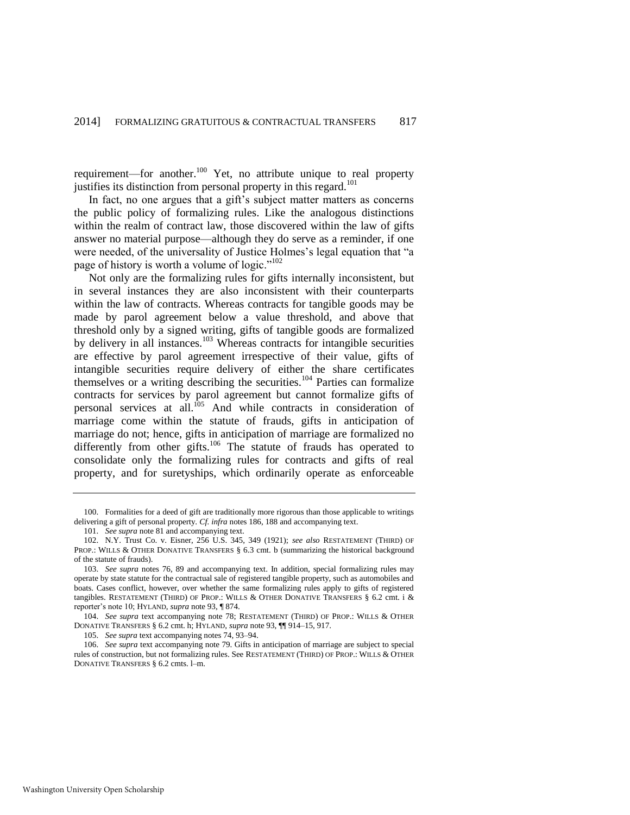<span id="page-21-0"></span>requirement—for another.<sup>100</sup> Yet, no attribute unique to real property justifies its distinction from personal property in this regard.<sup>101</sup>

In fact, no one argues that a gift's subject matter matters as concerns the public policy of formalizing rules. Like the analogous distinctions within the realm of contract law, those discovered within the law of gifts answer no material purpose—although they do serve as a reminder, if one were needed, of the universality of Justice Holmes's legal equation that "a page of history is worth a volume of logic."<sup>102</sup>

Not only are the formalizing rules for gifts internally inconsistent, but in several instances they are also inconsistent with their counterparts within the law of contracts. Whereas contracts for tangible goods may be made by parol agreement below a value threshold, and above that threshold only by a signed writing, gifts of tangible goods are formalized by delivery in all instances.<sup>103</sup> Whereas contracts for intangible securities are effective by parol agreement irrespective of their value, gifts of intangible securities require delivery of either the share certificates themselves or a writing describing the securities.<sup>104</sup> Parties can formalize contracts for services by parol agreement but cannot formalize gifts of personal services at all.<sup>105</sup> And while contracts in consideration of marriage come within the statute of frauds, gifts in anticipation of marriage do not; hence, gifts in anticipation of marriage are formalized no differently from other gifts.<sup>106</sup> The statute of frauds has operated to consolidate only the formalizing rules for contracts and gifts of real property, and for suretyships, which ordinarily operate as enforceable

<sup>100.</sup> Formalities for a deed of gift are traditionally more rigorous than those applicable to writings delivering a gift of personal property. *Cf. infra* note[s 186,](#page-39-0) [188](#page-40-1) and accompanying text.

<sup>101.</sup> *See supra* not[e 81 a](#page-17-1)nd accompanying text.

<sup>102.</sup> N.Y. Trust Co. v. Eisner, 256 U.S. 345, 349 (1921); *see also* RESTATEMENT (THIRD) OF PROP.: WILLS & OTHER DONATIVE TRANSFERS § 6.3 cmt. b (summarizing the historical background of the statute of frauds).

<sup>103.</sup> *See supra* notes [76,](#page-17-2) [89](#page-19-1) and accompanying text. In addition, special formalizing rules may operate by state statute for the contractual sale of registered tangible property, such as automobiles and boats. Cases conflict, however, over whether the same formalizing rules apply to gifts of registered tangibles. RESTATEMENT (THIRD) OF PROP.: WILLS & OTHER DONATIVE TRANSFERS § 6.2 cmt. i & reporter's note 10; HYLAND, *supra* not[e 93,](#page-19-2) ¶ 874.

<sup>104.</sup> *See supra* text accompanying note [78;](#page-17-3) RESTATEMENT (THIRD) OF PROP.: WILLS & OTHER DONATIVE TRANSFERS § 6.2 cmt. h; HYLAND, *supra* not[e 93,](#page-19-2) ¶¶ 914–15, 917.

<sup>105.</sup> *See supra* text accompanying note[s 74,](#page-17-0) [93](#page-19-2)[–94.](#page-20-0)

<sup>106.</sup> *See supra* text accompanying not[e 79.](#page-17-4) Gifts in anticipation of marriage are subject to special rules of construction, but not formalizing rules. See RESTATEMENT (THIRD) OF PROP.: WILLS & OTHER DONATIVE TRANSFERS § 6.2 cmts. l–m.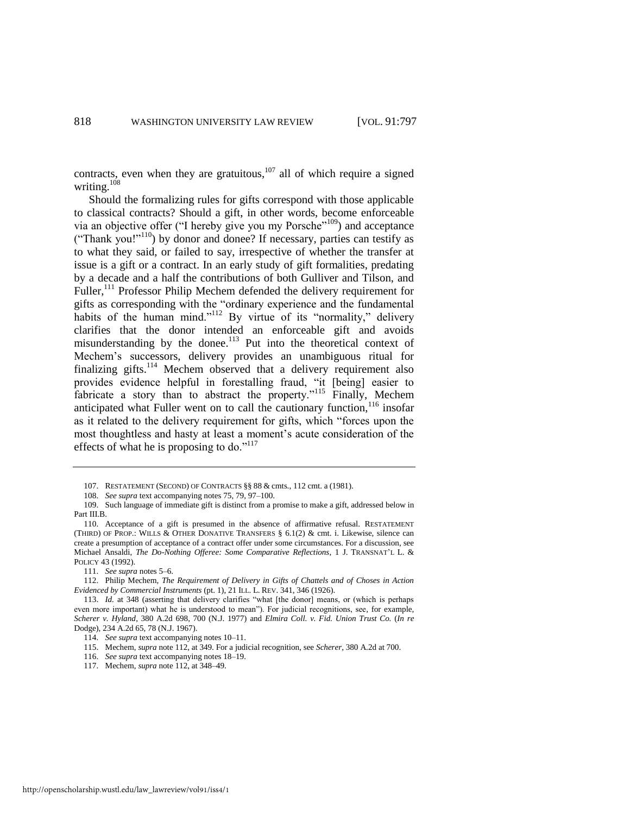contracts, even when they are gratuitous, $107$  all of which require a signed writing.<sup>108</sup>

<span id="page-22-0"></span>Should the formalizing rules for gifts correspond with those applicable to classical contracts? Should a gift, in other words, become enforceable via an objective offer ("I hereby give you my Porsche"<sup>109</sup>) and acceptance ("Thank you!"<sup>110</sup>) by donor and donee? If necessary, parties can testify as to what they said, or failed to say, irrespective of whether the transfer at issue is a gift or a contract. In an early study of gift formalities, predating by a decade and a half the contributions of both Gulliver and Tilson, and Fuller,<sup>111</sup> Professor Philip Mechem defended the delivery requirement for gifts as corresponding with the "ordinary experience and the fundamental habits of the human mind."<sup>112</sup> By virtue of its "normality," delivery clarifies that the donor intended an enforceable gift and avoids misunderstanding by the donee.<sup>113</sup> Put into the theoretical context of Mechem's successors, delivery provides an unambiguous ritual for finalizing gifts.<sup>114</sup> Mechem observed that a delivery requirement also provides evidence helpful in forestalling fraud, "it [being] easier to fabricate a story than to abstract the property."<sup>115</sup> Finally, Mechem anticipated what Fuller went on to call the cautionary function, $116$  insofar as it related to the delivery requirement for gifts, which "forces upon the most thoughtless and hasty at least a moment's acute consideration of the effects of what he is proposing to do." $117$ 

- 116. *See supra* text accompanying note[s 18](#page-6-0)[–19.](#page-6-1)
- 117. Mechem, *supra* not[e 112,](#page-22-0) at 348–49.

<sup>107.</sup> RESTATEMENT (SECOND) OF CONTRACTS §§ 88 & cmts., 112 cmt. a (1981).

<sup>108.</sup> *See supra* text accompanying note[s 75,](#page-17-5) [79,](#page-17-4) [97](#page-20-1)[–100.](#page-21-0)

<sup>109.</sup> Such language of immediate gift is distinct from a promise to make a gift, addressed below in Part III.B.

<sup>110.</sup> Acceptance of a gift is presumed in the absence of affirmative refusal. RESTATEMENT (THIRD) OF PROP.: WILLS & OTHER DONATIVE TRANSFERS § 6.1(2) & cmt. i. Likewise, silence can create a presumption of acceptance of a contract offer under some circumstances. For a discussion, see Michael Ansaldi, *The Do-Nothing Offeree: Some Comparative Reflections*, 1 J. TRANSNAT'L L. & POLICY 43 (1992).

<sup>111.</sup> *See supra* note[s 5](#page-4-0)[–6.](#page-4-1) 

<sup>112.</sup> Philip Mechem, *The Requirement of Delivery in Gifts of Chattels and of Choses in Action Evidenced by Commercial Instruments* (pt. 1), 21 ILL. L. REV. 341, 346 (1926).

<sup>113.</sup> *Id.* at 348 (asserting that delivery clarifies "what [the donor] means, or (which is perhaps even more important) what he is understood to mean"). For judicial recognitions, see*,* for example, *Scherer v. Hyland*, 380 A.2d 698, 700 (N.J. 1977) and *Elmira Coll. v. Fid. Union Trust Co.* (*In re* Dodge), 234 A.2d 65, 78 (N.J. 1967).

<sup>114.</sup> *See supra* text accompanying note[s 10](#page-5-1)[–11.](#page-5-2)

<sup>115.</sup> Mechem, *supra* not[e 112,](#page-22-0) at 349. For a judicial recognition, see *Scherer*, 380 A.2d at 700.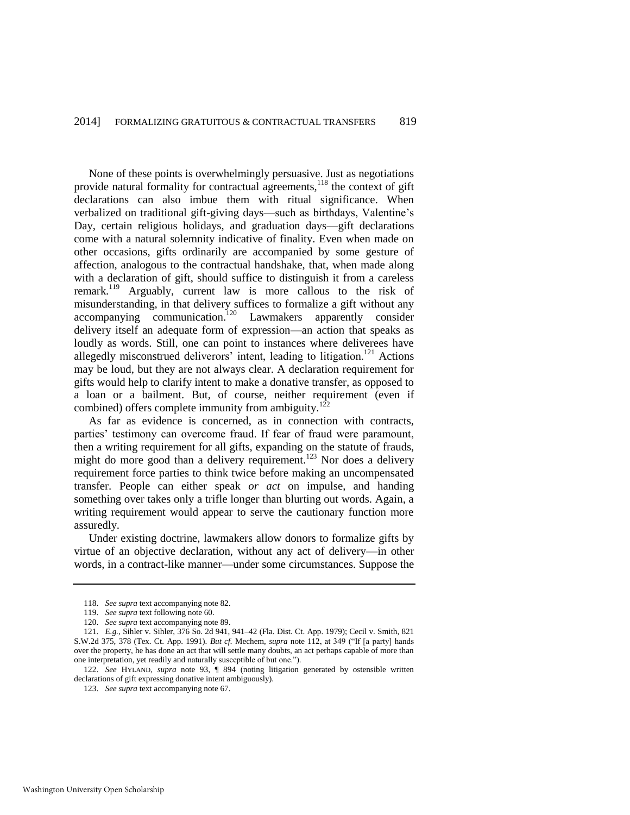<span id="page-23-0"></span>None of these points is overwhelmingly persuasive. Just as negotiations provide natural formality for contractual agreements,<sup>118</sup> the context of gift declarations can also imbue them with ritual significance. When verbalized on traditional gift-giving days—such as birthdays, Valentine's Day, certain religious holidays, and graduation days—gift declarations come with a natural solemnity indicative of finality. Even when made on other occasions, gifts ordinarily are accompanied by some gesture of affection, analogous to the contractual handshake, that, when made along with a declaration of gift, should suffice to distinguish it from a careless remark.<sup>119</sup> Arguably, current law is more callous to the risk of misunderstanding, in that delivery suffices to formalize a gift without any  $accompanying<sub>commutation</sub>.<sup>120</sup> *Lawmakers apparently<sub>consider</sub>*$ delivery itself an adequate form of expression—an action that speaks as loudly as words. Still, one can point to instances where deliverees have allegedly misconstrued deliverors' intent, leading to litigation.<sup>121</sup> Actions may be loud, but they are not always clear. A declaration requirement for gifts would help to clarify intent to make a donative transfer, as opposed to a loan or a bailment. But, of course, neither requirement (even if combined) offers complete immunity from ambiguity.<sup>122</sup>

As far as evidence is concerned, as in connection with contracts, parties' testimony can overcome fraud. If fear of fraud were paramount, then a writing requirement for all gifts, expanding on the statute of frauds, might do more good than a delivery requirement.<sup>123</sup> Nor does a delivery requirement force parties to think twice before making an uncompensated transfer. People can either speak *or act* on impulse, and handing something over takes only a trifle longer than blurting out words. Again, a writing requirement would appear to serve the cautionary function more assuredly.

Under existing doctrine, lawmakers allow donors to formalize gifts by virtue of an objective declaration, without any act of delivery—in other words, in a contract-like manner—under some circumstances. Suppose the

<sup>118.</sup> *See supra* text accompanying not[e 82.](#page-18-0)

<sup>119.</sup> *See supra* text following not[e 60.](#page-13-0) 

<sup>120.</sup> *See supra* text accompanying not[e 89.](#page-19-1)

<sup>121.</sup> *E.g.*, Sihler v. Sihler, 376 So. 2d 941, 941–42 (Fla. Dist. Ct. App. 1979); Cecil v. Smith, 821 S.W.2d 375, 378 (Tex. Ct. App. 1991). *But cf.* Mechem, *supra* note [112,](#page-22-0) at 349 ("If [a party] hands over the property, he has done an act that will settle many doubts, an act perhaps capable of more than one interpretation, yet readily and naturally susceptible of but one.").

<sup>122.</sup> *See* HYLAND, *supra* note [93,](#page-19-2) ¶ 894 (noting litigation generated by ostensible written declarations of gift expressing donative intent ambiguously).

<sup>123.</sup> *See supra* text accompanying not[e 67.](#page-15-0)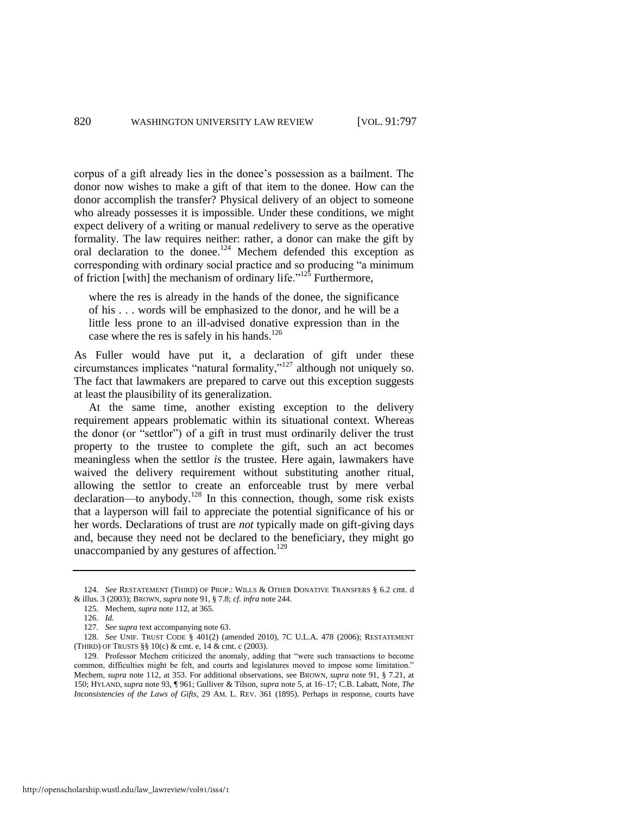corpus of a gift already lies in the donee's possession as a bailment. The donor now wishes to make a gift of that item to the donee. How can the donor accomplish the transfer? Physical delivery of an object to someone who already possesses it is impossible. Under these conditions, we might expect delivery of a writing or manual *re*delivery to serve as the operative formality. The law requires neither: rather, a donor can make the gift by oral declaration to the donee.<sup>124</sup> Mechem defended this exception as corresponding with ordinary social practice and so producing "a minimum of friction [with] the mechanism of ordinary life."<sup>125</sup> Furthermore,

<span id="page-24-1"></span>where the res is already in the hands of the donee, the significance of his . . . words will be emphasized to the donor, and he will be a little less prone to an ill-advised donative expression than in the case where the res is safely in his hands.<sup>126</sup>

As Fuller would have put it, a declaration of gift under these circumstances implicates "natural formality,"<sup>127</sup> although not uniquely so. The fact that lawmakers are prepared to carve out this exception suggests at least the plausibility of its generalization.

At the same time, another existing exception to the delivery requirement appears problematic within its situational context. Whereas the donor (or "settlor") of a gift in trust must ordinarily deliver the trust property to the trustee to complete the gift, such an act becomes meaningless when the settlor *is* the trustee. Here again, lawmakers have waived the delivery requirement without substituting another ritual, allowing the settlor to create an enforceable trust by mere verbal  $\alpha$  declaration—to anybody.<sup>128</sup> In this connection, though, some risk exists that a layperson will fail to appreciate the potential significance of his or her words. Declarations of trust are *not* typically made on gift-giving days and, because they need not be declared to the beneficiary, they might go unaccompanied by any gestures of affection.<sup>129</sup>

<sup>124.</sup> *See* RESTATEMENT (THIRD) OF PROP.: WILLS & OTHER DONATIVE TRANSFERS § 6.2 cmt. d & illus. 3 (2003); BROWN, *supra* not[e 91,](#page-19-0) § 7.8; *cf. infra* not[e 244.](#page-51-0) 

<sup>125.</sup> Mechem, *supra* not[e 112,](#page-22-0) at 365.

<span id="page-24-0"></span><sup>126.</sup> *Id.*

<sup>127.</sup> *See supra* text accompanying not[e 63.](#page-14-1)

<sup>128.</sup> *See* UNIF. TRUST CODE § 401(2) (amended 2010), 7C U.L.A. 478 (2006); RESTATEMENT (THIRD) OF TRUSTS §§ 10(c) & cmt. e, 14 & cmt. c (2003).

<sup>129.</sup> Professor Mechem criticized the anomaly, adding that "were such transactions to become common, difficulties might be felt, and courts and legislatures moved to impose some limitation." Mechem, *supra* note [112,](#page-22-0) at 353. For additional observations, see BROWN, *supra* note [91,](#page-19-0) § 7.21, at 150; HYLAND, *supra* note [93,](#page-19-2) ¶ 961; Gulliver & Tilson, *supra* not[e 5,](#page-4-0) at 16–17; C.B. Labatt, Note, *The Inconsistencies of the Laws of Gifts*, 29 AM. L. REV. 361 (1895). Perhaps in response, courts have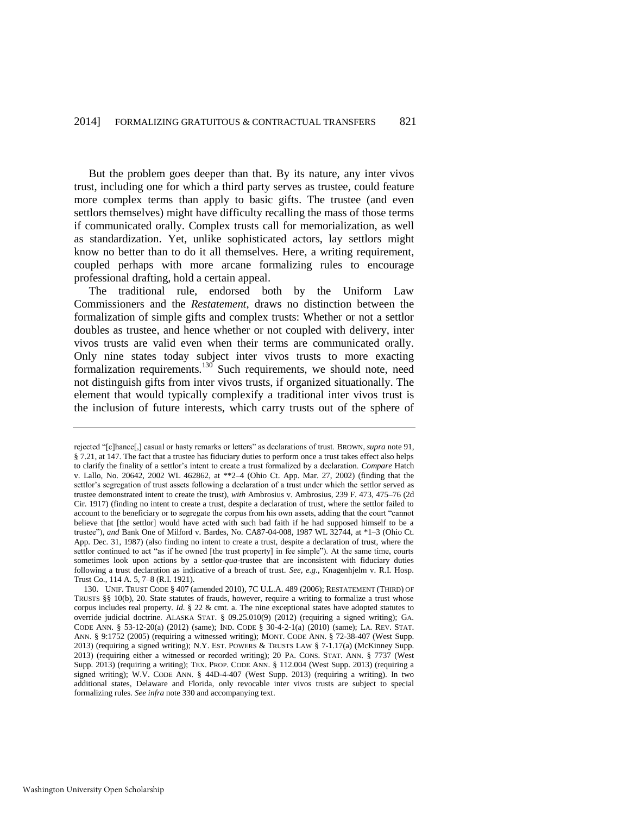But the problem goes deeper than that. By its nature, any inter vivos trust, including one for which a third party serves as trustee, could feature more complex terms than apply to basic gifts. The trustee (and even settlors themselves) might have difficulty recalling the mass of those terms if communicated orally. Complex trusts call for memorialization, as well as standardization. Yet, unlike sophisticated actors, lay settlors might know no better than to do it all themselves. Here, a writing requirement, coupled perhaps with more arcane formalizing rules to encourage professional drafting, hold a certain appeal.

The traditional rule, endorsed both by the Uniform Law Commissioners and the *Restatement*, draws no distinction between the formalization of simple gifts and complex trusts: Whether or not a settlor doubles as trustee, and hence whether or not coupled with delivery, inter vivos trusts are valid even when their terms are communicated orally. Only nine states today subject inter vivos trusts to more exacting formalization requirements.<sup>130</sup> Such requirements, we should note, need not distinguish gifts from inter vivos trusts, if organized situationally. The element that would typically complexify a traditional inter vivos trust is the inclusion of future interests, which carry trusts out of the sphere of

rejected "[c]hance[,] casual or hasty remarks or letters" as declarations of trust. BROWN, *supra* not[e 91,](#page-19-0)  § 7.21, at 147. The fact that a trustee has fiduciary duties to perform once a trust takes effect also helps to clarify the finality of a settlor's intent to create a trust formalized by a declaration. *Compare* Hatch v. Lallo, No. 20642, 2002 WL 462862, at \*\*2–4 (Ohio Ct. App. Mar. 27, 2002) (finding that the settlor's segregation of trust assets following a declaration of a trust under which the settlor served as trustee demonstrated intent to create the trust), *with* Ambrosius v. Ambrosius, 239 F. 473, 475–76 (2d Cir. 1917) (finding no intent to create a trust, despite a declaration of trust, where the settlor failed to account to the beneficiary or to segregate the corpus from his own assets, adding that the court "cannot believe that [the settlor] would have acted with such bad faith if he had supposed himself to be a trustee"), *and* Bank One of Milford v. Bardes, No. CA87-04-008, 1987 WL 32744, at \*1–3 (Ohio Ct. App. Dec. 31, 1987) (also finding no intent to create a trust, despite a declaration of trust, where the settlor continued to act "as if he owned [the trust property] in fee simple"). At the same time, courts sometimes look upon actions by a settlor-*qua*-trustee that are inconsistent with fiduciary duties following a trust declaration as indicative of a breach of trust. *See, e.g*., Knagenhjelm v. R.I. Hosp. Trust Co., 114 A. 5, 7–8 (R.I. 1921).

<sup>130.</sup> UNIF. TRUST CODE § 407 (amended 2010), 7C U.L.A. 489 (2006); RESTATEMENT (THIRD) OF TRUSTS §§ 10(b), 20. State statutes of frauds, however, require a writing to formalize a trust whose corpus includes real property. *Id.* § 22 & cmt. a. The nine exceptional states have adopted statutes to override judicial doctrine. ALASKA STAT. § 09.25.010(9) (2012) (requiring a signed writing); GA. CODE ANN. § 53-12-20(a) (2012) (same); IND. CODE § 30-4-2-1(a) (2010) (same); LA. REV. STAT. ANN. § 9:1752 (2005) (requiring a witnessed writing); MONT. CODE ANN. § 72-38-407 (West Supp. 2013) (requiring a signed writing); N.Y. EST. POWERS & TRUSTS LAW § 7-1.17(a) (McKinney Supp. 2013) (requiring either a witnessed or recorded writing); 20 PA. CONS. STAT. ANN. § 7737 (West Supp. 2013) (requiring a writing); TEX. PROP. CODE ANN. § 112.004 (West Supp. 2013) (requiring a signed writing); W.V. CODE ANN. § 44D-4-407 (West Supp. 2013) (requiring a writing). In two additional states, Delaware and Florida, only revocable inter vivos trusts are subject to special formalizing rules. *See infra* not[e 330 a](#page-66-0)nd accompanying text.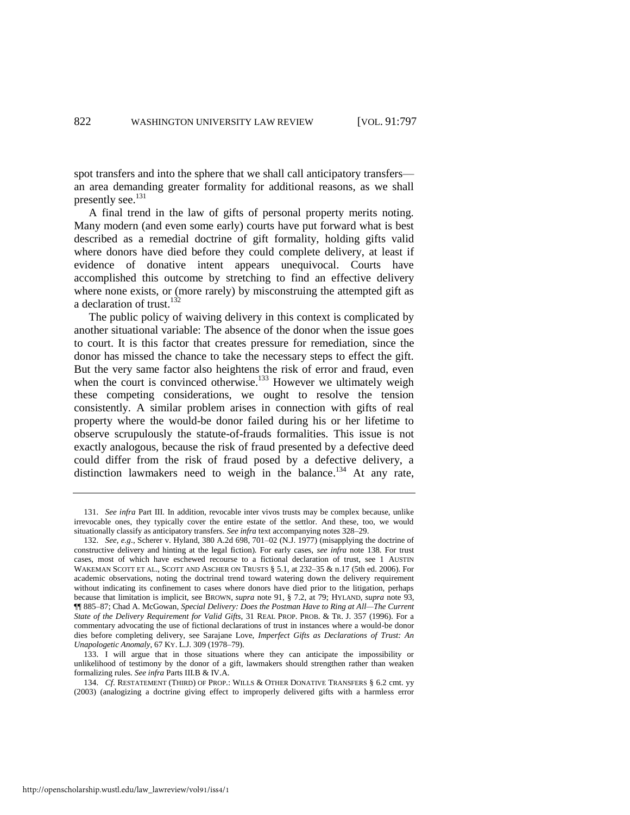spot transfers and into the sphere that we shall call anticipatory transfers an area demanding greater formality for additional reasons, as we shall presently see.<sup>131</sup>

A final trend in the law of gifts of personal property merits noting. Many modern (and even some early) courts have put forward what is best described as a remedial doctrine of gift formality, holding gifts valid where donors have died before they could complete delivery, at least if evidence of donative intent appears unequivocal. Courts have accomplished this outcome by stretching to find an effective delivery where none exists, or (more rarely) by misconstruing the attempted gift as a declaration of trust.<sup>132</sup>

<span id="page-26-0"></span>The public policy of waiving delivery in this context is complicated by another situational variable: The absence of the donor when the issue goes to court. It is this factor that creates pressure for remediation, since the donor has missed the chance to take the necessary steps to effect the gift. But the very same factor also heightens the risk of error and fraud, even when the court is convinced otherwise. $133$  However we ultimately weigh these competing considerations, we ought to resolve the tension consistently. A similar problem arises in connection with gifts of real property where the would-be donor failed during his or her lifetime to observe scrupulously the statute-of-frauds formalities. This issue is not exactly analogous, because the risk of fraud presented by a defective deed could differ from the risk of fraud posed by a defective delivery, a distinction lawmakers need to weigh in the balance.<sup>134</sup> At any rate,

<sup>131.</sup> *See infra* Part III. In addition, revocable inter vivos trusts may be complex because, unlike irrevocable ones, they typically cover the entire estate of the settlor. And these, too, we would situationally classify as anticipatory transfers. *See infra* text accompanying notes 328–29.

<sup>132.</sup> *See, e.g*., Scherer v. Hyland, 380 A.2d 698, 701–02 (N.J. 1977) (misapplying the doctrine of constructive delivery and hinting at the legal fiction). For early cases, *see infra* note [138.](#page-27-0) For trust cases, most of which have eschewed recourse to a fictional declaration of trust, see 1 AUSTIN WAKEMAN SCOTT ET AL., SCOTT AND ASCHER ON TRUSTS § 5.1, at 232–35 & n.17 (5th ed. 2006). For academic observations, noting the doctrinal trend toward watering down the delivery requirement without indicating its confinement to cases where donors have died prior to the litigation, perhaps because that limitation is implicit, see BROWN, *supra* note [91,](#page-19-0) § 7.2, at 79; HYLAND, *supra* not[e 93,](#page-19-2)  ¶¶ 885–87; Chad A. McGowan, *Special Delivery: Does the Postman Have to Ring at All—The Current State of the Delivery Requirement for Valid Gifts*, 31 REAL PROP. PROB. & TR. J. 357 (1996). For a commentary advocating the use of fictional declarations of trust in instances where a would-be donor dies before completing delivery, see Sarajane Love, *Imperfect Gifts as Declarations of Trust: An Unapologetic Anomaly*, 67 KY. L.J. 309 (1978–79).

<sup>133.</sup> I will argue that in those situations where they can anticipate the impossibility or unlikelihood of testimony by the donor of a gift, lawmakers should strengthen rather than weaken formalizing rules. *See infra* Parts III.B & IV.A.

<sup>134.</sup> *Cf*. RESTATEMENT (THIRD) OF PROP.: WILLS & OTHER DONATIVE TRANSFERS § 6.2 cmt. yy (2003) (analogizing a doctrine giving effect to improperly delivered gifts with a harmless error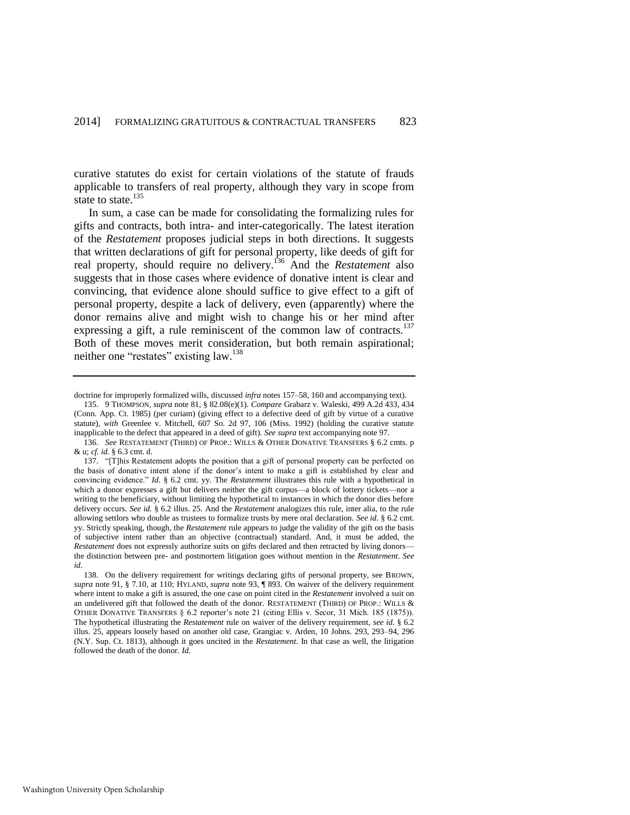curative statutes do exist for certain violations of the statute of frauds applicable to transfers of real property, although they vary in scope from state to state.<sup>135</sup>

<span id="page-27-2"></span>In sum, a case can be made for consolidating the formalizing rules for gifts and contracts, both intra- and inter-categorically. The latest iteration of the *Restatement* proposes judicial steps in both directions. It suggests that written declarations of gift for personal property, like deeds of gift for real property, should require no delivery.<sup>136</sup> And the *Restatement* also suggests that in those cases where evidence of donative intent is clear and convincing, that evidence alone should suffice to give effect to a gift of personal property, despite a lack of delivery, even (apparently) where the donor remains alive and might wish to change his or her mind after expressing a gift, a rule reminiscent of the common law of contracts.<sup>137</sup> Both of these moves merit consideration, but both remain aspirational; neither one "restates" existing law.<sup>138</sup>

<span id="page-27-1"></span><span id="page-27-0"></span>doctrine for improperly formalized wills, discussed *infra* note[s 157–](#page-32-0)58[, 160 a](#page-33-0)nd accompanying text).

<sup>135. 9</sup> THOMPSON, *supra* not[e 81,](#page-17-1) § 82.08(e)(1). *Compare* Grabarz v. Waleski, 499 A.2d 433, 434 (Conn. App. Ct. 1985) (per curiam) (giving effect to a defective deed of gift by virtue of a curative statute), *with* Greenlee v. Mitchell, 607 So. 2d 97, 106 (Miss. 1992) (holding the curative statute inapplicable to the defect that appeared in a deed of gift). *See supra* text accompanying not[e 97.](#page-20-1) 

<sup>136.</sup> *See* RESTATEMENT (THIRD) OF PROP.: WILLS & OTHER DONATIVE TRANSFERS § 6.2 cmts. p & u; *cf. id.* § 6.3 cmt. d.

<sup>137. &</sup>quot;[T]his Restatement adopts the position that a gift of personal property can be perfected on the basis of donative intent alone if the donor's intent to make a gift is established by clear and convincing evidence." *Id.* § 6.2 cmt. yy. The *Restatement* illustrates this rule with a hypothetical in which a donor expresses a gift but delivers neither the gift corpus—a block of lottery tickets—nor a writing to the beneficiary, without limiting the hypothetical to instances in which the donor dies before delivery occurs. *See id.* § 6.2 illus. 25. And the *Restatement* analogizes this rule, inter alia, to the rule allowing settlors who double as trustees to formalize trusts by mere oral declaration. *See id.* § 6.2 cmt. yy. Strictly speaking, though, the *Restatement* rule appears to judge the validity of the gift on the basis of subjective intent rather than an objective (contractual) standard. And, it must be added, the *Restatement* does not expressly authorize suits on gifts declared and then retracted by living donors the distinction between pre- and postmortem litigation goes without mention in the *Restatement*. *See id.*

<sup>138.</sup> On the delivery requirement for writings declaring gifts of personal property, see BROWN, *supra* note [91,](#page-19-0) § 7.10, at 110; HYLAND, *supra* not[e 93,](#page-19-2) ¶ 893. On waiver of the delivery requirement where intent to make a gift is assured, the one case on point cited in the *Restatement* involved a suit on an undelivered gift that followed the death of the donor. RESTATEMENT (THIRD) OF PROP.: WILLS & OTHER DONATIVE TRANSFERS § 6.2 reporter's note 21 (citing Ellis v. Secor, 31 Mich. 185 (1875)). The hypothetical illustrating the *Restatement* rule on waiver of the delivery requirement, *see id.* § 6.2 illus. 25, appears loosely based on another old case, Grangiac v. Arden, 10 Johns. 293, 293–94, 296 (N.Y. Sup. Ct. 1813), although it goes uncited in the *Restatement*. In that case as well, the litigation followed the death of the donor. *Id.*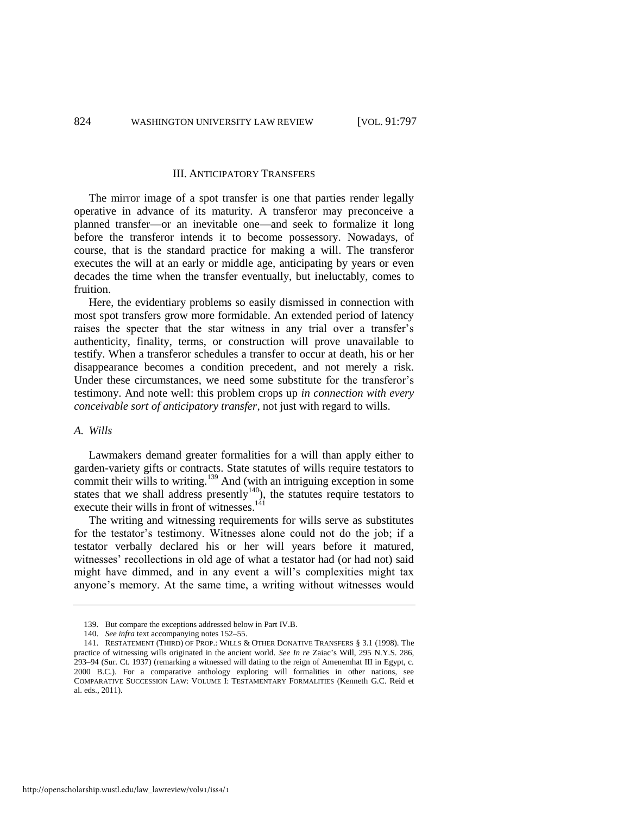#### III. ANTICIPATORY TRANSFERS

The mirror image of a spot transfer is one that parties render legally operative in advance of its maturity. A transferor may preconceive a planned transfer—or an inevitable one—and seek to formalize it long before the transferor intends it to become possessory. Nowadays, of course, that is the standard practice for making a will. The transferor executes the will at an early or middle age, anticipating by years or even decades the time when the transfer eventually, but ineluctably, comes to fruition.

Here, the evidentiary problems so easily dismissed in connection with most spot transfers grow more formidable. An extended period of latency raises the specter that the star witness in any trial over a transfer's authenticity, finality, terms, or construction will prove unavailable to testify. When a transferor schedules a transfer to occur at death, his or her disappearance becomes a condition precedent, and not merely a risk. Under these circumstances, we need some substitute for the transferor's testimony. And note well: this problem crops up *in connection with every conceivable sort of anticipatory transfer*, not just with regard to wills.

#### *A. Wills*

Lawmakers demand greater formalities for a will than apply either to garden-variety gifts or contracts. State statutes of wills require testators to commit their wills to writing.<sup>139</sup> And (with an intriguing exception in some states that we shall address presently<sup>140</sup>), the statutes require testators to execute their wills in front of witnesses.<sup>141</sup>

The writing and witnessing requirements for wills serve as substitutes for the testator's testimony. Witnesses alone could not do the job; if a testator verbally declared his or her will years before it matured, witnesses' recollections in old age of what a testator had (or had not) said might have dimmed, and in any event a will's complexities might tax anyone's memory. At the same time, a writing without witnesses would

<sup>139.</sup> But compare the exceptions addressed below in Part IV.B.

<sup>140.</sup> *See infra* text accompanying note[s 152–](#page-31-0)55.

<sup>141.</sup> RESTATEMENT (THIRD) OF PROP.: WILLS & OTHER DONATIVE TRANSFERS § 3.1 (1998). The practice of witnessing wills originated in the ancient world. *See In re* Zaiac's Will, 295 N.Y.S. 286, 293–94 (Sur. Ct. 1937) (remarking a witnessed will dating to the reign of Amenemhat III in Egypt, c. 2000 B.C.). For a comparative anthology exploring will formalities in other nations, see COMPARATIVE SUCCESSION LAW: VOLUME I: TESTAMENTARY FORMALITIES (Kenneth G.C. Reid et al. eds., 2011).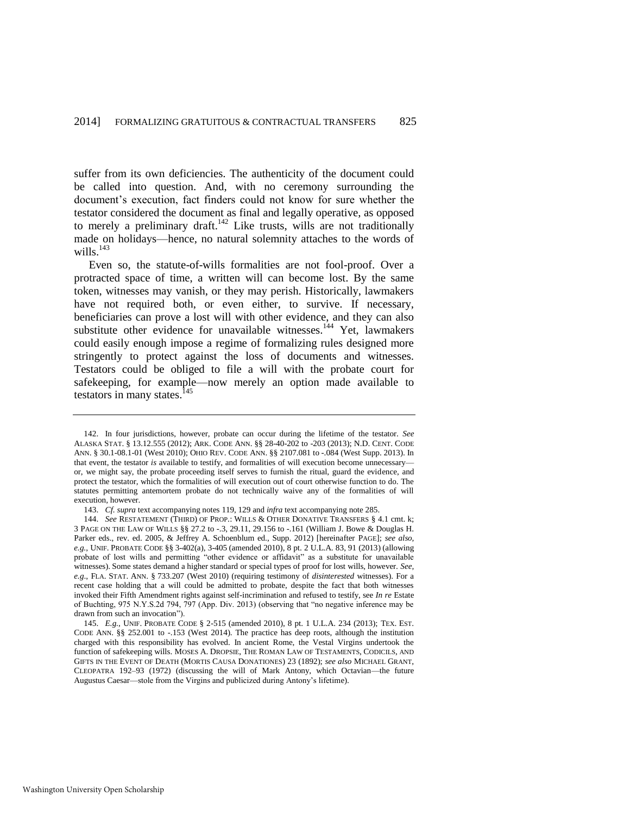suffer from its own deficiencies. The authenticity of the document could be called into question. And, with no ceremony surrounding the document's execution, fact finders could not know for sure whether the testator considered the document as final and legally operative, as opposed to merely a preliminary draft.<sup>142</sup> Like trusts, wills are not traditionally made on holidays—hence, no natural solemnity attaches to the words of wills. $^{143}$ 

<span id="page-29-0"></span>Even so, the statute-of-wills formalities are not fool-proof. Over a protracted space of time, a written will can become lost. By the same token, witnesses may vanish, or they may perish. Historically, lawmakers have not required both, or even either, to survive. If necessary, beneficiaries can prove a lost will with other evidence, and they can also substitute other evidence for unavailable witnesses.<sup>144</sup> Yet, lawmakers could easily enough impose a regime of formalizing rules designed more stringently to protect against the loss of documents and witnesses. Testators could be obliged to file a will with the probate court for safekeeping, for example—now merely an option made available to testators in many states.<sup>145</sup>

<sup>142.</sup> In four jurisdictions, however, probate can occur during the lifetime of the testator. *See*  ALASKA STAT. § 13.12.555 (2012); ARK. CODE ANN. §§ 28-40-202 to -203 (2013); N.D. CENT. CODE ANN. § 30.1-08.1-01 (West 2010); OHIO REV. CODE ANN. §§ 2107.081 to -.084 (West Supp. 2013). In that event, the testator *is* available to testify, and formalities of will execution become unnecessary or, we might say, the probate proceeding itself serves to furnish the ritual, guard the evidence, and protect the testator, which the formalities of will execution out of court otherwise function to do. The statutes permitting antemortem probate do not technically waive any of the formalities of will execution, however.

<sup>143.</sup> *Cf. supra* text accompanying note[s 119,](#page-23-0) [129 a](#page-24-0)nd *infra* text accompanying not[e 285.](#page-57-0)

<sup>144.</sup> *See* RESTATEMENT (THIRD) OF PROP.: WILLS & OTHER DONATIVE TRANSFERS § 4.1 cmt. k; 3 PAGE ON THE LAW OF WILLS §§ 27.2 to -.3, 29.11, 29.156 to -.161 (William J. Bowe & Douglas H. Parker eds., rev. ed. 2005, & Jeffrey A. Schoenblum ed., Supp. 2012) [hereinafter PAGE]; *see also, e.g.*, UNIF. PROBATE CODE §§ 3-402(a), 3-405 (amended 2010), 8 pt. 2 U.L.A. 83, 91 (2013) (allowing probate of lost wills and permitting "other evidence or affidavit" as a substitute for unavailable witnesses). Some states demand a higher standard or special types of proof for lost wills, however. *See, e.g*., FLA. STAT. ANN. § 733.207 (West 2010) (requiring testimony of *disinterested* witnesses). For a recent case holding that a will could be admitted to probate, despite the fact that both witnesses invoked their Fifth Amendment rights against self-incrimination and refused to testify, see *In re* Estate of Buchting, 975 N.Y.S.2d 794, 797 (App. Div. 2013) (observing that "no negative inference may be drawn from such an invocation").

<sup>145.</sup> *E.g.*, UNIF. PROBATE CODE § 2-515 (amended 2010), 8 pt. 1 U.L.A. 234 (2013); TEX. EST. CODE ANN. §§ 252.001 to -.153 (West 2014). The practice has deep roots, although the institution charged with this responsibility has evolved. In ancient Rome, the Vestal Virgins undertook the function of safekeeping wills. MOSES A. DROPSIE, THE ROMAN LAW OF TESTAMENTS, CODICILS, AND GIFTS IN THE EVENT OF DEATH (MORTIS CAUSA DONATIONES) 23 (1892); *see also* MICHAEL GRANT, CLEOPATRA 192–93 (1972) (discussing the will of Mark Antony, which Octavian—the future Augustus Caesar—stole from the Virgins and publicized during Antony's lifetime).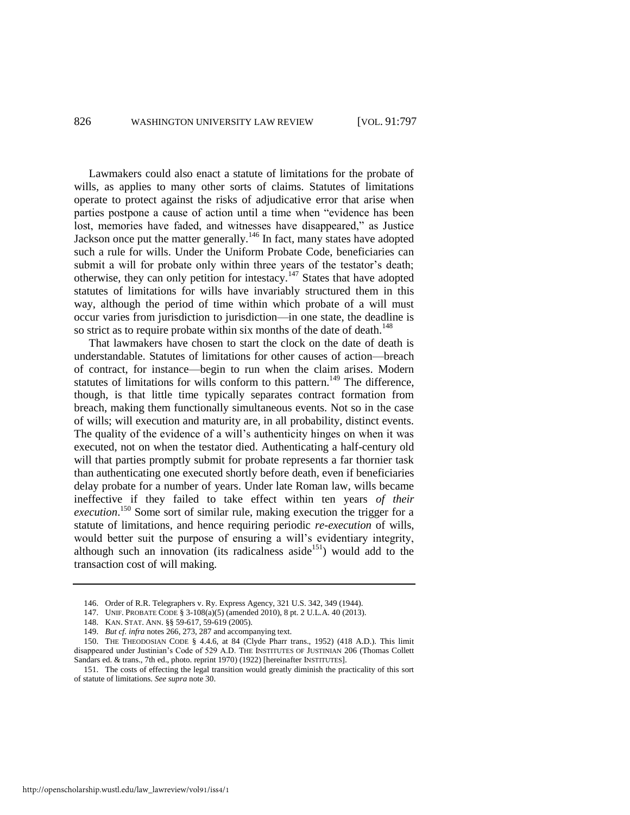Lawmakers could also enact a statute of limitations for the probate of wills, as applies to many other sorts of claims. Statutes of limitations operate to protect against the risks of adjudicative error that arise when parties postpone a cause of action until a time when "evidence has been lost, memories have faded, and witnesses have disappeared," as Justice Jackson once put the matter generally.<sup>146</sup> In fact, many states have adopted such a rule for wills. Under the Uniform Probate Code, beneficiaries can submit a will for probate only within three years of the testator's death; otherwise, they can only petition for intestacy.<sup>147</sup> States that have adopted statutes of limitations for wills have invariably structured them in this way, although the period of time within which probate of a will must occur varies from jurisdiction to jurisdiction—in one state, the deadline is so strict as to require probate within six months of the date of death.<sup>148</sup>

That lawmakers have chosen to start the clock on the date of death is understandable. Statutes of limitations for other causes of action—breach of contract, for instance—begin to run when the claim arises. Modern statutes of limitations for wills conform to this pattern.<sup>149</sup> The difference, though, is that little time typically separates contract formation from breach, making them functionally simultaneous events. Not so in the case of wills; will execution and maturity are, in all probability, distinct events. The quality of the evidence of a will's authenticity hinges on when it was executed, not on when the testator died. Authenticating a half-century old will that parties promptly submit for probate represents a far thornier task than authenticating one executed shortly before death, even if beneficiaries delay probate for a number of years. Under late Roman law, wills became ineffective if they failed to take effect within ten years *of their execution*. <sup>150</sup> Some sort of similar rule, making execution the trigger for a statute of limitations, and hence requiring periodic *re-execution* of wills, would better suit the purpose of ensuring a will's evidentiary integrity, although such an innovation (its radicalness aside<sup>151</sup>) would add to the transaction cost of will making.

<sup>146.</sup> Order of R.R. Telegraphers v. Ry. Express Agency, 321 U.S. 342, 349 (1944).

<sup>147.</sup> UNIF. PROBATE CODE § 3-108(a)(5) (amended 2010), 8 pt. 2 U.L.A. 40 (2013).

<sup>148.</sup> KAN. STAT. ANN. §§ 59-617, 59-619 (2005).

<sup>149.</sup> *But cf. infra* note[s 266,](#page-54-0) [273,](#page-55-0) [287 a](#page-58-0)nd accompanying text.

<sup>150.</sup> THE THEODOSIAN CODE § 4.4.6, at 84 (Clyde Pharr trans., 1952) (418 A.D.). This limit disappeared under Justinian's Code of 529 A.D. THE INSTITUTES OF JUSTINIAN 206 (Thomas Collett Sandars ed. & trans., 7th ed., photo. reprint 1970) (1922) [hereinafter INSTITUTES].

<sup>151.</sup> The costs of effecting the legal transition would greatly diminish the practicality of this sort of statute of limitations. *See supra* not[e 30.](#page-8-1)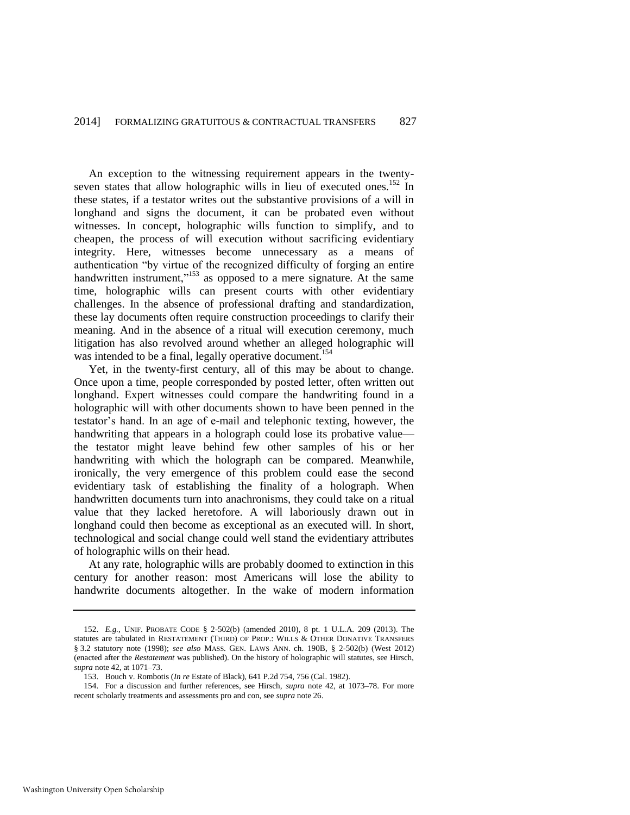<span id="page-31-0"></span>An exception to the witnessing requirement appears in the twentyseven states that allow holographic wills in lieu of executed ones.<sup>152</sup> In these states, if a testator writes out the substantive provisions of a will in longhand and signs the document, it can be probated even without witnesses. In concept, holographic wills function to simplify, and to cheapen, the process of will execution without sacrificing evidentiary integrity. Here, witnesses become unnecessary as a means of authentication "by virtue of the recognized difficulty of forging an entire handwritten instrument,"<sup>153</sup> as opposed to a mere signature. At the same time, holographic wills can present courts with other evidentiary challenges. In the absence of professional drafting and standardization, these lay documents often require construction proceedings to clarify their meaning. And in the absence of a ritual will execution ceremony, much litigation has also revolved around whether an alleged holographic will was intended to be a final, legally operative document.<sup>154</sup>

Yet, in the twenty-first century, all of this may be about to change. Once upon a time, people corresponded by posted letter, often written out longhand. Expert witnesses could compare the handwriting found in a holographic will with other documents shown to have been penned in the testator's hand. In an age of e-mail and telephonic texting, however, the handwriting that appears in a holograph could lose its probative value the testator might leave behind few other samples of his or her handwriting with which the holograph can be compared. Meanwhile, ironically, the very emergence of this problem could ease the second evidentiary task of establishing the finality of a holograph. When handwritten documents turn into anachronisms, they could take on a ritual value that they lacked heretofore. A will laboriously drawn out in longhand could then become as exceptional as an executed will. In short, technological and social change could well stand the evidentiary attributes of holographic wills on their head.

At any rate, holographic wills are probably doomed to extinction in this century for another reason: most Americans will lose the ability to handwrite documents altogether. In the wake of modern information

<sup>152.</sup> *E.g.*, UNIF. PROBATE CODE § 2-502(b) (amended 2010), 8 pt. 1 U.L.A. 209 (2013). The statutes are tabulated in RESTATEMENT (THIRD) OF PROP.: WILLS & OTHER DONATIVE TRANSFERS § 3.2 statutory note (1998); *see also* MASS. GEN. LAWS ANN. ch. 190B, § 2-502(b) (West 2012) (enacted after the *Restatement* was published). On the history of holographic will statutes, see Hirsch, *supra* not[e 42,](#page-10-0) at 1071–73.

<sup>153.</sup> Bouch v. Rombotis (*In re* Estate of Black), 641 P.2d 754, 756 (Cal. 1982).

<sup>154.</sup> For a discussion and further references, see Hirsch, *supra* note [42,](#page-10-0) at 1073–78. For more recent scholarly treatments and assessments pro and con, see *supra* not[e 26.](#page-7-2)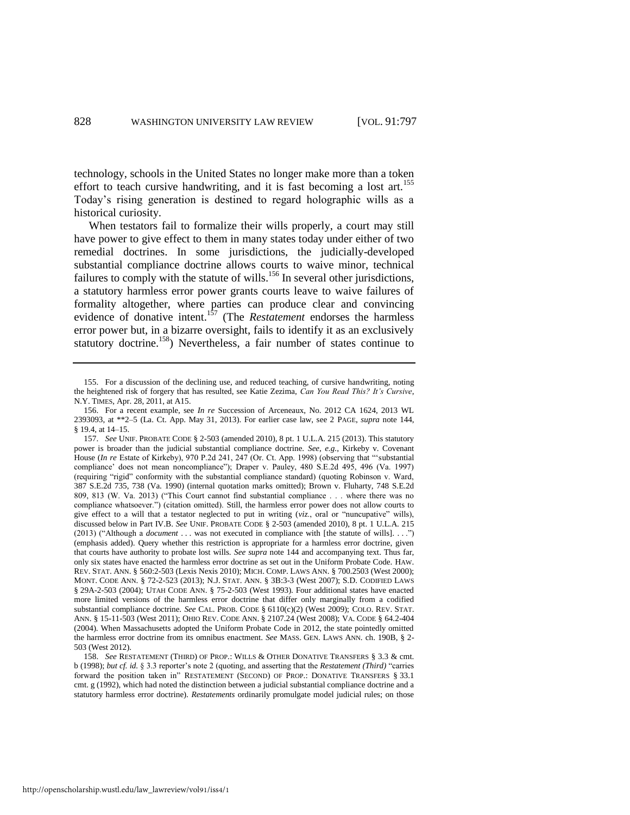technology, schools in the United States no longer make more than a token effort to teach cursive handwriting, and it is fast becoming a lost art.<sup>155</sup> Today's rising generation is destined to regard holographic wills as a historical curiosity.

<span id="page-32-2"></span>When testators fail to formalize their wills properly, a court may still have power to give effect to them in many states today under either of two remedial doctrines. In some jurisdictions, the judicially-developed substantial compliance doctrine allows courts to waive minor, technical failures to comply with the statute of wills.<sup>156</sup> In several other jurisdictions, a statutory harmless error power grants courts leave to waive failures of formality altogether, where parties can produce clear and convincing evidence of donative intent.<sup>157</sup> (The *Restatement* endorses the harmless error power but, in a bizarre oversight, fails to identify it as an exclusively statutory doctrine.<sup>158</sup>) Nevertheless, a fair number of states continue to

<span id="page-32-1"></span><span id="page-32-0"></span><sup>155.</sup> For a discussion of the declining use, and reduced teaching, of cursive handwriting, noting the heightened risk of forgery that has resulted, see Katie Zezima, *Can You Read This? It's Cursive*, N.Y. TIMES, Apr. 28, 2011, at A15.

<sup>156.</sup> For a recent example, see *In re* Succession of Arceneaux, No. 2012 CA 1624, 2013 WL 2393093, at \*\*2–5 (La. Ct. App. May 31, 2013). For earlier case law, see 2 PAGE, *supra* note [144,](#page-29-0)  § 19.4, at 14–15.

<sup>157.</sup> *See* UNIF. PROBATE CODE § 2-503 (amended 2010), 8 pt. 1 U.L.A. 215 (2013). This statutory power is broader than the judicial substantial compliance doctrine. *See, e.g.*, Kirkeby v. Covenant House (*In re* Estate of Kirkeby), 970 P.2d 241, 247 (Or. Ct. App. 1998) (observing that "'substantial compliance' does not mean noncompliance"); Draper v. Pauley, 480 S.E.2d 495, 496 (Va. 1997) (requiring "rigid" conformity with the substantial compliance standard) (quoting Robinson v. Ward, 387 S.E.2d 735, 738 (Va. 1990) (internal quotation marks omitted); Brown v. Fluharty, 748 S.E.2d 809, 813 (W. Va. 2013) ("This Court cannot find substantial compliance . . . where there was no compliance whatsoever.") (citation omitted). Still, the harmless error power does not allow courts to give effect to a will that a testator neglected to put in writing (*viz*., oral or "nuncupative" wills), discussed below in Part IV.B. *See* UNIF. PROBATE CODE § 2-503 (amended 2010), 8 pt. 1 U.L.A. 215 (2013) ("Although a *document* . . . was not executed in compliance with [the statute of wills]. . . .") (emphasis added). Query whether this restriction is appropriate for a harmless error doctrine, given that courts have authority to probate lost wills. *See supra* not[e 144](#page-29-0) and accompanying text. Thus far, only six states have enacted the harmless error doctrine as set out in the Uniform Probate Code. HAW. REV. STAT. ANN. § 560:2-503 (Lexis Nexis 2010); MICH. COMP. LAWS ANN. § 700.2503 (West 2000); MONT. CODE ANN. § 72-2-523 (2013); N.J. STAT. ANN. § 3B:3-3 (West 2007); S.D. CODIFIED LAWS § 29A-2-503 (2004); UTAH CODE ANN. § 75-2-503 (West 1993). Four additional states have enacted more limited versions of the harmless error doctrine that differ only marginally from a codified substantial compliance doctrine. *See* CAL. PROB. CODE § 6110(c)(2) (West 2009); COLO. REV. STAT. ANN. § 15-11-503 (West 2011); OHIO REV. CODE ANN. § 2107.24 (West 2008); VA. CODE § 64.2-404 (2004). When Massachusetts adopted the Uniform Probate Code in 2012, the state pointedly omitted the harmless error doctrine from its omnibus enactment. *See* MASS. GEN. LAWS ANN. ch. 190B, § 2- 503 (West 2012).

<sup>158.</sup> *See* RESTATEMENT (THIRD) OF PROP.: WILLS & OTHER DONATIVE TRANSFERS § 3.3 & cmt. b (1998); *but cf. id.* § 3.3 reporter's note 2 (quoting, and asserting that the *Restatement (Third)* "carries forward the position taken in" RESTATEMENT (SECOND) OF PROP.: DONATIVE TRANSFERS § 33.1 cmt. g (1992), which had noted the distinction between a judicial substantial compliance doctrine and a statutory harmless error doctrine). *Restatements* ordinarily promulgate model judicial rules; on those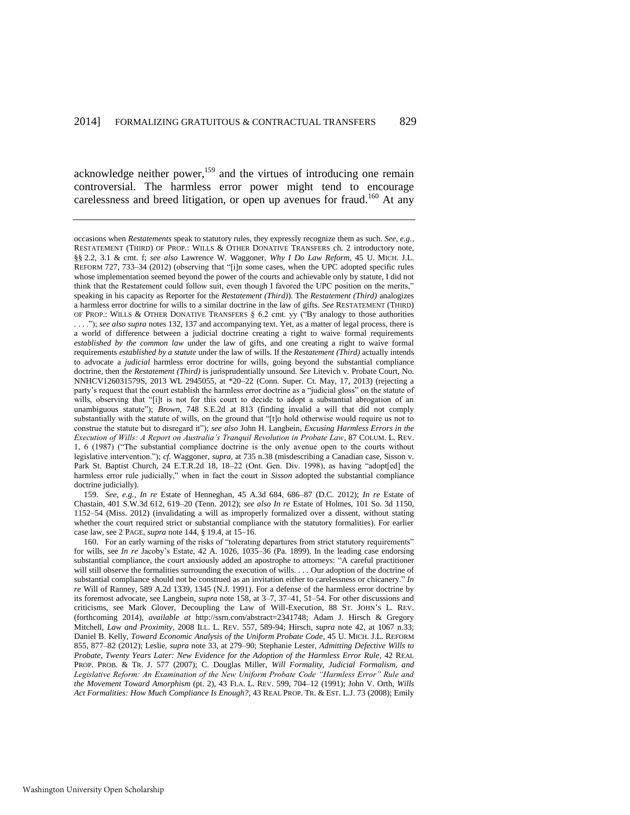<span id="page-33-0"></span>acknowledge neither power,<sup>159</sup> and the virtues of introducing one remain controversial. The harmless error power might tend to encourage carelessness and breed litigation, or open up avenues for fraud.<sup>160</sup> At any

159. *See, e.g.*, *In re* Estate of Henneghan, 45 A.3d 684, 686–87 (D.C. 2012); *In re* Estate of Chastain, 401 S.W.3d 612, 619–20 (Tenn. 2012); *see also In re* Estate of Holmes, 101 So. 3d 1150, 1152–54 (Miss. 2012) (invalidating a will as improperly formalized over a dissent, without stating whether the court required strict or substantial compliance with the statutory formalities). For earlier case law, see 2 PAGE, *supra* not[e 144,](#page-29-0) § 19.4, at 15–16.

160. For an early warning of the risks of "tolerating departures from strict statutory requirements" for wills, see *In re* Jacoby's Estate, 42 A. 1026, 1035–36 (Pa. 1899). In the leading case endorsing substantial compliance, the court anxiously added an apostrophe to attorneys: "A careful practitioner will still observe the formalities surrounding the execution of wills. . . . Our adoption of the doctrine of substantial compliance should not be construed as an invitation either to carelessness or chicanery." *In re* Will of Ranney, 589 A.2d 1339, 1345 (N.J. 1991). For a defense of the harmless error doctrine by its foremost advocate, see Langbein, *supra* note [158,](#page-32-1) at 3–7, 37–41, 51–54. For other discussions and criticisms, see Mark Glover, Decoupling the Law of Will-Execution, 88 ST. JOHN'S L. REV. (forthcoming 2014), *available at* http://ssrn.com/abstract=2341748; Adam J. Hirsch & Gregory Mitchell, *Law and Proximity*, 2008 ILL. L. REV. 557, 589-94; Hirsch, *supra* note [42,](#page-10-0) at 1067 n.33; Daniel B. Kelly, *Toward Economic Analysis of the Uniform Probate Code*, 45 U. MICH. J.L. REFORM 855, 877–82 (2012); Leslie, *supra* note [33,](#page-8-2) at 279–90; Stephanie Lester, *Admitting Defective Wills to Probate, Twenty Years Later: New Evidence for the Adoption of the Harmless Error Rule*, 42 REAL PROP. PROB. & TR. J. 577 (2007); C. Douglas Miller, *Will Formality, Judicial Formalism, and Legislative Reform: An Examination of the New Uniform Probate Code "Harmless Error" Rule and the Movement Toward Amorphism* (pt. 2), 43 FLA. L. REV. 599, 704–12 (1991); John V. Orth, *Wills Act Formalities: How Much Compliance Is Enough?*, 43 REAL PROP. TR. & EST. L.J. 73 (2008); Emily

occasions when *Restatements* speak to statutory rules, they expressly recognize them as such. *See, e.g.*, RESTATEMENT (THIRD) OF PROP.: WILLS & OTHER DONATIVE TRANSFERS ch. 2 introductory note, §§ 2.2, 3.1 & cmt. f; *see also* Lawrence W. Waggoner, *Why I Do Law Reform*, 45 U. MICH. J.L. REFORM 727, 733–34 (2012) (observing that "[i]n some cases, when the UPC adopted specific rules whose implementation seemed beyond the power of the courts and achievable only by statute, I did not think that the Restatement could follow suit, even though I favored the UPC position on the merits," speaking in his capacity as Reporter for the *Restatement (Third)*). The *Restatement (Third)* analogizes a harmless error doctrine for wills to a similar doctrine in the law of gifts. *See* RESTATEMENT (THIRD) OF PROP.: WILLS & OTHER DONATIVE TRANSFERS  $\S$  6.2 cmt. yy ("By analogy to those authorities . . . ."); *see also supra* note[s 132,](#page-26-0) [137 a](#page-27-1)nd accompanying text. Yet, as a matter of legal process, there is a world of difference between a judicial doctrine creating a right to waive formal requirements *established by the common law* under the law of gifts, and one creating a right to waive formal requirements *established by a statute* under the law of wills. If the *Restatement (Third)* actually intends to advocate a *judicial* harmless error doctrine for wills, going beyond the substantial compliance doctrine, then the *Restatement (Third)* is jurisprudentially unsound. *See* Litevich v. Probate Court, No. NNHCV126031579S, 2013 WL 2945055, at \*20–22 (Conn. Super. Ct. May, 17, 2013) (rejecting a party's request that the court establish the harmless error doctrine as a "judicial gloss" on the statute of wills, observing that "[i]t is not for this court to decide to adopt a substantial abrogation of an unambiguous statute"); *Brown*, 748 S.E.2d at 813 (finding invalid a will that did not comply substantially with the statute of wills, on the ground that "[t]o hold otherwise would require us not to construe the statute but to disregard it"); *see also* John H. Langbein, *Excusing Harmless Errors in the Execution of Wills: A Report on Australia's Tranquil Revolution in Probate Law*, 87 COLUM. L. REV. 1, 6 (1987) ("The substantial compliance doctrine is the only avenue open to the courts without legislative intervention."); *cf.* Waggoner, *supra*, at 735 n.38 (misdescribing a Canadian case, Sisson v. Park St. Baptist Church, 24 E.T.R.2d 18, 18–22 (Ont. Gen. Div. 1998), as having "adopt[ed] the harmless error rule judicially," when in fact the court in *Sisson* adopted the substantial compliance doctrine judicially).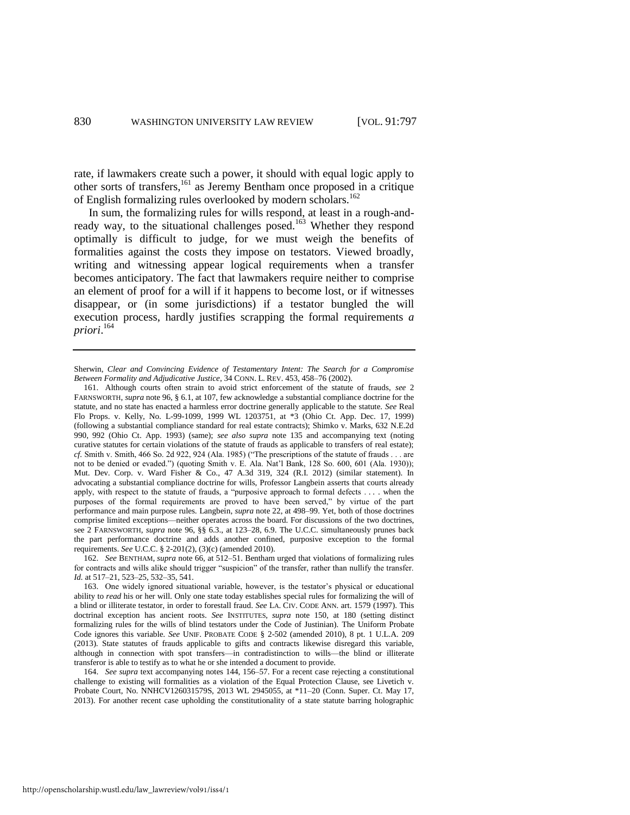rate, if lawmakers create such a power, it should with equal logic apply to other sorts of transfers,<sup>161</sup> as Jeremy Bentham once proposed in a critique of English formalizing rules overlooked by modern scholars.<sup>162</sup>

In sum, the formalizing rules for wills respond, at least in a rough-andready way, to the situational challenges posed.<sup>163</sup> Whether they respond optimally is difficult to judge, for we must weigh the benefits of formalities against the costs they impose on testators. Viewed broadly, writing and witnessing appear logical requirements when a transfer becomes anticipatory. The fact that lawmakers require neither to comprise an element of proof for a will if it happens to become lost, or if witnesses disappear, or (in some jurisdictions) if a testator bungled the will execution process, hardly justifies scrapping the formal requirements *a priori*. 164

Sherwin, *Clear and Convincing Evidence of Testamentary Intent: The Search for a Compromise Between Formality and Adjudicative Justice*, 34 CONN. L. REV. 453, 458–76 (2002).

<sup>161.</sup> Although courts often strain to avoid strict enforcement of the statute of frauds, *see* 2 FARNSWORTH, *supra* note [96,](#page-20-2) § 6.1, at 107, few acknowledge a substantial compliance doctrine for the statute, and no state has enacted a harmless error doctrine generally applicable to the statute. *See* Real Flo Props. v. Kelly, No. L-99-1099, 1999 WL 1203751, at \*3 (Ohio Ct. App. Dec. 17, 1999) (following a substantial compliance standard for real estate contracts); Shimko v. Marks, 632 N.E.2d 990, 992 (Ohio Ct. App. 1993) (same); *see also supra* note [135](#page-27-2) and accompanying text (noting curative statutes for certain violations of the statute of frauds as applicable to transfers of real estate); *cf.* Smith v. Smith, 466 So. 2d 922, 924 (Ala. 1985) ("The prescriptions of the statute of frauds . . . are not to be denied or evaded.") (quoting Smith v. E. Ala. Nat'l Bank, 128 So. 600, 601 (Ala. 1930)); Mut. Dev. Corp. v. Ward Fisher & Co., 47 A.3d 319, 324 (R.I. 2012) (similar statement). In advocating a substantial compliance doctrine for wills, Professor Langbein asserts that courts already apply, with respect to the statute of frauds, a "purposive approach to formal defects . . . . when the purposes of the formal requirements are proved to have been served," by virtue of the part performance and main purpose rules. Langbein, *supra* not[e 22,](#page-7-0) at 498–99. Yet, both of those doctrines comprise limited exceptions—neither operates across the board. For discussions of the two doctrines, see 2 FARNSWORTH, *supra* note [96,](#page-20-2) §§ 6.3., at 123–28, 6.9. The U.C.C. simultaneously prunes back the part performance doctrine and adds another confined, purposive exception to the formal requirements. *See* U.C.C. § 2-201(2), (3)(c) (amended 2010).

<sup>162.</sup> *See* BENTHAM, *supra* not[e 66,](#page-14-0) at 512–51. Bentham urged that violations of formalizing rules for contracts and wills alike should trigger "suspicion" of the transfer, rather than nullify the transfer. *Id.* at 517–21, 523–25, 532–35, 541.

<sup>163.</sup> One widely ignored situational variable, however, is the testator's physical or educational ability to *read* his or her will. Only one state today establishes special rules for formalizing the will of a blind or illiterate testator, in order to forestall fraud. *See* LA. CIV. CODE ANN. art. 1579 (1997). This doctrinal exception has ancient roots. *See* INSTITUTES, *supra* note 150, at 180 (setting distinct formalizing rules for the wills of blind testators under the Code of Justinian). The Uniform Probate Code ignores this variable. *See* UNIF. PROBATE CODE § 2-502 (amended 2010), 8 pt. 1 U.L.A. 209 (2013). State statutes of frauds applicable to gifts and contracts likewise disregard this variable, although in connection with spot transfers—in contradistinction to wills—the blind or illiterate transferor is able to testify as to what he or she intended a document to provide.

<sup>164.</sup> *See supra* text accompanying note[s 144,](#page-29-0) [156–](#page-32-2)57. For a recent case rejecting a constitutional challenge to existing will formalities as a violation of the Equal Protection Clause, see Livetich v. Probate Court, No. NNHCV126031579S, 2013 WL 2945055, at \*11–20 (Conn. Super. Ct. May 17, 2013). For another recent case upholding the constitutionality of a state statute barring holographic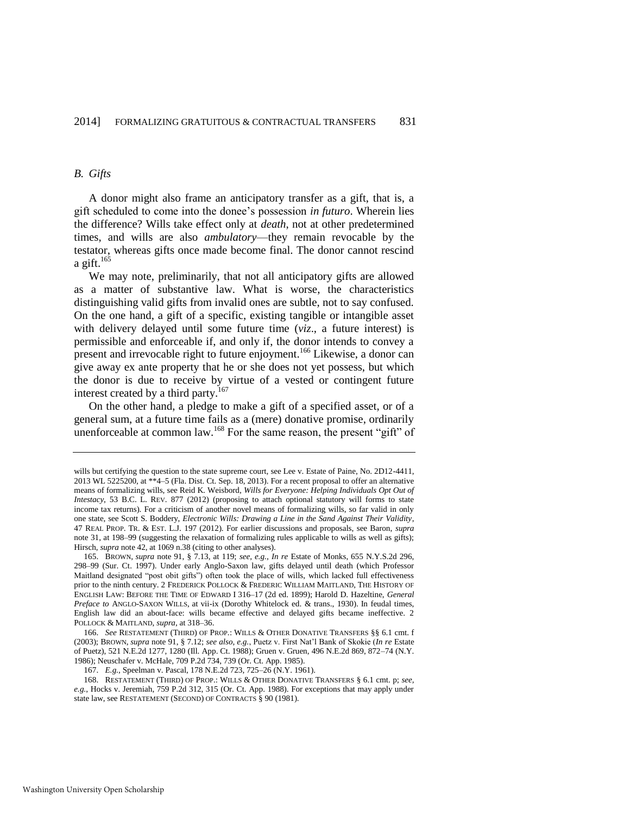#### *B. Gifts*

A donor might also frame an anticipatory transfer as a gift, that is, a gift scheduled to come into the donee's possession *in futuro*. Wherein lies the difference? Wills take effect only at *death*, not at other predetermined times, and wills are also *ambulatory*—they remain revocable by the testator, whereas gifts once made become final. The donor cannot rescind a gift.<sup>165</sup>

<span id="page-35-1"></span>We may note, preliminarily, that not all anticipatory gifts are allowed as a matter of substantive law. What is worse, the characteristics distinguishing valid gifts from invalid ones are subtle, not to say confused. On the one hand, a gift of a specific, existing tangible or intangible asset with delivery delayed until some future time (*viz*., a future interest) is permissible and enforceable if, and only if, the donor intends to convey a present and irrevocable right to future enjoyment.<sup>166</sup> Likewise, a donor can give away ex ante property that he or she does not yet possess, but which the donor is due to receive by virtue of a vested or contingent future interest created by a third party.<sup>167</sup>

<span id="page-35-0"></span>On the other hand, a pledge to make a gift of a specified asset, or of a general sum, at a future time fails as a (mere) donative promise, ordinarily unenforceable at common law.<sup>168</sup> For the same reason, the present "gift" of

wills but certifying the question to the state supreme court, see Lee v. Estate of Paine, No. 2D12-4411, 2013 WL 5225200, at \*\*4–5 (Fla. Dist. Ct. Sep. 18, 2013). For a recent proposal to offer an alternative means of formalizing wills, see Reid K. Weisbord, *Wills for Everyone: Helping Individuals Opt Out of Intestacy*, 53 B.C. L. REV. 877 (2012) (proposing to attach optional statutory will forms to state income tax returns). For a criticism of another novel means of formalizing wills, so far valid in only one state, see Scott S. Boddery, *Electronic Wills: Drawing a Line in the Sand Against Their Validity*, 47 REAL PROP. TR. & EST. L.J. 197 (2012). For earlier discussions and proposals, see Baron, *supra*  note [31,](#page-8-0) at 198–99 (suggesting the relaxation of formalizing rules applicable to wills as well as gifts); Hirsch, *supra* not[e 42,](#page-10-0) at 1069 n.38 (citing to other analyses).

<sup>165.</sup> BROWN, *supra* note [91,](#page-19-0) § 7.13, at 119; *see, e.g.*, *In re* Estate of Monks, 655 N.Y.S.2d 296, 298–99 (Sur. Ct. 1997). Under early Anglo-Saxon law, gifts delayed until death (which Professor Maitland designated "post obit gifts") often took the place of wills, which lacked full effectiveness prior to the ninth century. 2 FREDERICK POLLOCK & FREDERIC WILLIAM MAITLAND, THE HISTORY OF ENGLISH LAW: BEFORE THE TIME OF EDWARD I 316–17 (2d ed. 1899); Harold D. Hazeltine, *General Preface to* ANGLO-SAXON WILLS, at vii-ix (Dorothy Whitelock ed. & trans., 1930). In feudal times, English law did an about-face: wills became effective and delayed gifts became ineffective. 2 POLLOCK & MAITLAND, *supra*, at 318–36.

<sup>166.</sup> *See* RESTATEMENT (THIRD) OF PROP.: WILLS & OTHER DONATIVE TRANSFERS §§ 6.1 cmt. f (2003); BROWN, *supra* not[e 91,](#page-19-0) § 7.12; *see also, e.g.*, Puetz v. First Nat'l Bank of Skokie (*In re* Estate of Puetz), 521 N.E.2d 1277, 1280 (Ill. App. Ct. 1988); Gruen v. Gruen, 496 N.E.2d 869, 872–74 (N.Y. 1986); Neuschafer v. McHale, 709 P.2d 734, 739 (Or. Ct. App. 1985).

<sup>167.</sup> *E.g.*, Speelman v. Pascal, 178 N.E.2d 723, 725–26 (N.Y. 1961).

<sup>168.</sup> RESTATEMENT (THIRD) OF PROP.: WILLS & OTHER DONATIVE TRANSFERS § 6.1 cmt. p; *see, e.g.*, Hocks v. Jeremiah, 759 P.2d 312, 315 (Or. Ct. App. 1988). For exceptions that may apply under state law, see RESTATEMENT (SECOND) OF CONTRACTS § 90 (1981).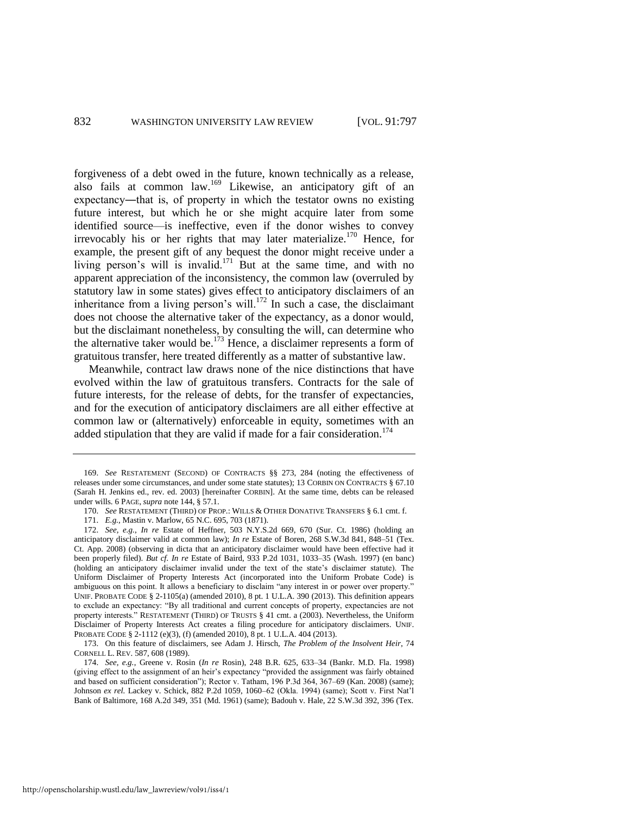<span id="page-36-0"></span>forgiveness of a debt owed in the future, known technically as a release, also fails at common law.<sup>169</sup> Likewise, an anticipatory gift of an expectancy―that is, of property in which the testator owns no existing future interest, but which he or she might acquire later from some identified source—is ineffective, even if the donor wishes to convey irrevocably his or her rights that may later materialize.<sup>170</sup> Hence, for example, the present gift of any bequest the donor might receive under a living person's will is invalid.<sup>171</sup> But at the same time, and with no apparent appreciation of the inconsistency, the common law (overruled by statutory law in some states) gives effect to anticipatory disclaimers of an inheritance from a living person's will.<sup>172</sup> In such a case, the disclaimant does not choose the alternative taker of the expectancy, as a donor would, but the disclaimant nonetheless, by consulting the will, can determine who the alternative taker would be.<sup>173</sup> Hence, a disclaimer represents a form of gratuitous transfer, here treated differently as a matter of substantive law.

Meanwhile, contract law draws none of the nice distinctions that have evolved within the law of gratuitous transfers. Contracts for the sale of future interests, for the release of debts, for the transfer of expectancies, and for the execution of anticipatory disclaimers are all either effective at common law or (alternatively) enforceable in equity, sometimes with an added stipulation that they are valid if made for a fair consideration.<sup>174</sup>

172. *See, e.g.*, *In re* Estate of Heffner, 503 N.Y.S.2d 669, 670 (Sur. Ct. 1986) (holding an anticipatory disclaimer valid at common law); *In re* Estate of Boren, 268 S.W.3d 841, 848–51 (Tex. Ct. App. 2008) (observing in dicta that an anticipatory disclaimer would have been effective had it been properly filed). *But cf. In re* Estate of Baird, 933 P.2d 1031, 1033–35 (Wash. 1997) (en banc) (holding an anticipatory disclaimer invalid under the text of the state's disclaimer statute). The Uniform Disclaimer of Property Interests Act (incorporated into the Uniform Probate Code) is ambiguous on this point. It allows a beneficiary to disclaim "any interest in or power over property." UNIF. PROBATE CODE § 2-1105(a) (amended 2010), 8 pt. 1 U.L.A. 390 (2013). This definition appears to exclude an expectancy: "By all traditional and current concepts of property, expectancies are not property interests." RESTATEMENT (THIRD) OF TRUSTS § 41 cmt. a (2003). Nevertheless, the Uniform Disclaimer of Property Interests Act creates a filing procedure for anticipatory disclaimers. UNIF. PROBATE CODE § 2-1112 (e)(3), (f) (amended 2010), 8 pt. 1 U.L.A. 404 (2013).

<sup>169.</sup> *See* RESTATEMENT (SECOND) OF CONTRACTS §§ 273, 284 (noting the effectiveness of releases under some circumstances, and under some state statutes); 13 CORBIN ON CONTRACTS § 67.10 (Sarah H. Jenkins ed., rev. ed. 2003) [hereinafter CORBIN]. At the same time, debts can be released under wills. 6 PAGE, *supra* not[e 144,](#page-29-0) § 57.1.

<sup>170.</sup> *See* RESTATEMENT (THIRD) OF PROP.: WILLS & OTHER DONATIVE TRANSFERS § 6.1 cmt. f.

<sup>171.</sup> *E.g.*, Mastin v. Marlow, 65 N.C. 695, 703 (1871).

<sup>173.</sup> On this feature of disclaimers, see Adam J. Hirsch, *The Problem of the Insolvent Heir*, 74 CORNELL L. REV. 587, 608 (1989).

<sup>174.</sup> *See, e.g.*, Greene v. Rosin (*In re* Rosin), 248 B.R. 625, 633–34 (Bankr. M.D. Fla. 1998) (giving effect to the assignment of an heir's expectancy "provided the assignment was fairly obtained and based on sufficient consideration"); Rector v. Tatham, 196 P.3d 364, 367–69 (Kan. 2008) (same); Johnson *ex rel.* Lackey v. Schick, 882 P.2d 1059, 1060–62 (Okla. 1994) (same); Scott v. First Nat'l Bank of Baltimore, 168 A.2d 349, 351 (Md. 1961) (same); Badouh v. Hale, 22 S.W.3d 392, 396 (Tex.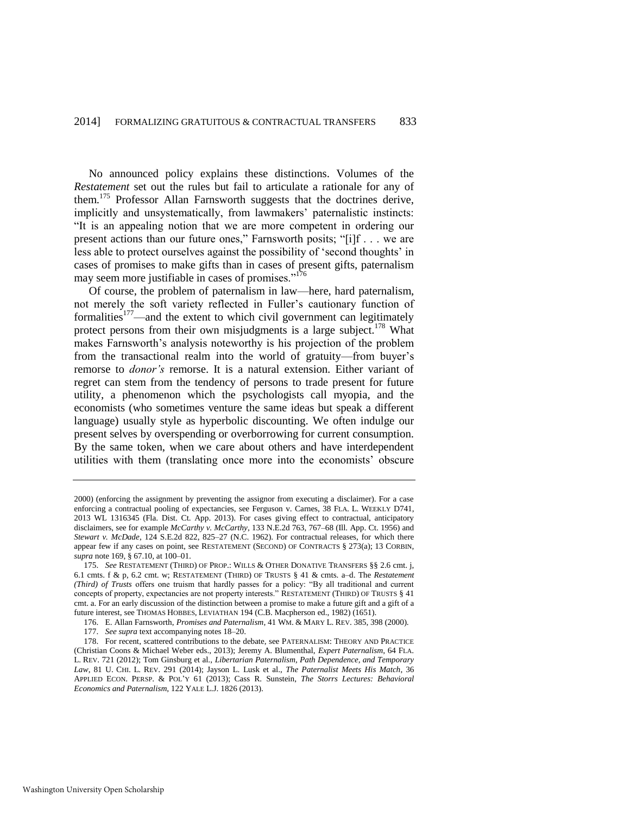No announced policy explains these distinctions. Volumes of the *Restatement* set out the rules but fail to articulate a rationale for any of them.<sup>175</sup> Professor Allan Farnsworth suggests that the doctrines derive, implicitly and unsystematically, from lawmakers' paternalistic instincts: "It is an appealing notion that we are more competent in ordering our present actions than our future ones," Farnsworth posits; "[i]f . . . we are less able to protect ourselves against the possibility of 'second thoughts' in cases of promises to make gifts than in cases of present gifts, paternalism may seem more justifiable in cases of promises."<sup>176</sup>

<span id="page-37-1"></span><span id="page-37-0"></span>Of course, the problem of paternalism in law—here, hard paternalism, not merely the soft variety reflected in Fuller's cautionary function of formalities $177$ —and the extent to which civil government can legitimately protect persons from their own misjudgments is a large subject.<sup>178</sup> What makes Farnsworth's analysis noteworthy is his projection of the problem from the transactional realm into the world of gratuity—from buyer's remorse to *donor's* remorse. It is a natural extension. Either variant of regret can stem from the tendency of persons to trade present for future utility, a phenomenon which the psychologists call myopia, and the economists (who sometimes venture the same ideas but speak a different language) usually style as hyperbolic discounting. We often indulge our present selves by overspending or overborrowing for current consumption. By the same token, when we care about others and have interdependent utilities with them (translating once more into the economists' obscure

<sup>2000) (</sup>enforcing the assignment by preventing the assignor from executing a disclaimer). For a case enforcing a contractual pooling of expectancies, see Ferguson v. Carnes, 38 FLA. L. WEEKLY D741, 2013 WL 1316345 (Fla. Dist. Ct. App. 2013). For cases giving effect to contractual, anticipatory disclaimers, see for example *McCarthy v. McCarthy*, 133 N.E.2d 763, 767–68 (Ill. App. Ct. 1956) and *Stewart v. McDade*, 124 S.E.2d 822, 825–27 (N.C. 1962). For contractual releases, for which there appear few if any cases on point, see RESTATEMENT (SECOND) OF CONTRACTS § 273(a); 13 CORBIN, *supra* not[e 169,](#page-36-0) § 67.10, at 100–01.

<sup>175.</sup> *See* RESTATEMENT (THIRD) OF PROP.: WILLS & OTHER DONATIVE TRANSFERS §§ 2.6 cmt. j, 6.1 cmts. f & p, 6.2 cmt. w; RESTATEMENT (THIRD) OF TRUSTS § 41 & cmts. a–d. The *Restatement (Third) of Trusts* offers one truism that hardly passes for a policy: "By all traditional and current concepts of property, expectancies are not property interests." RESTATEMENT (THIRD) OF TRUSTS § 41 cmt. a. For an early discussion of the distinction between a promise to make a future gift and a gift of a future interest, see THOMAS HOBBES, LEVIATHAN 194 (C.B. Macpherson ed., 1982) (1651).

<sup>176.</sup> E. Allan Farnsworth, *Promises and Paternalism*, 41 WM. & MARY L. REV. 385, 398 (2000).

<sup>177.</sup> *See supra* text accompanying note[s 18](#page-6-0)[–20.](#page-6-3)

<sup>178.</sup> For recent, scattered contributions to the debate, see PATERNALISM: THEORY AND PRACTICE (Christian Coons & Michael Weber eds., 2013); Jeremy A. Blumenthal, *Expert Paternalism*, 64 FLA. L. REV. 721 (2012); Tom Ginsburg et al., *Libertarian Paternalism, Path Dependence, and Temporary Law*, 81 U. CHI. L. REV. 291 (2014); Jayson L. Lusk et al., *The Paternalist Meets His Match*, 36 APPLIED ECON. PERSP. & POL'Y 61 (2013); Cass R. Sunstein, *The Storrs Lectures: Behavioral Economics and Paternalism*, 122 YALE L.J. 1826 (2013).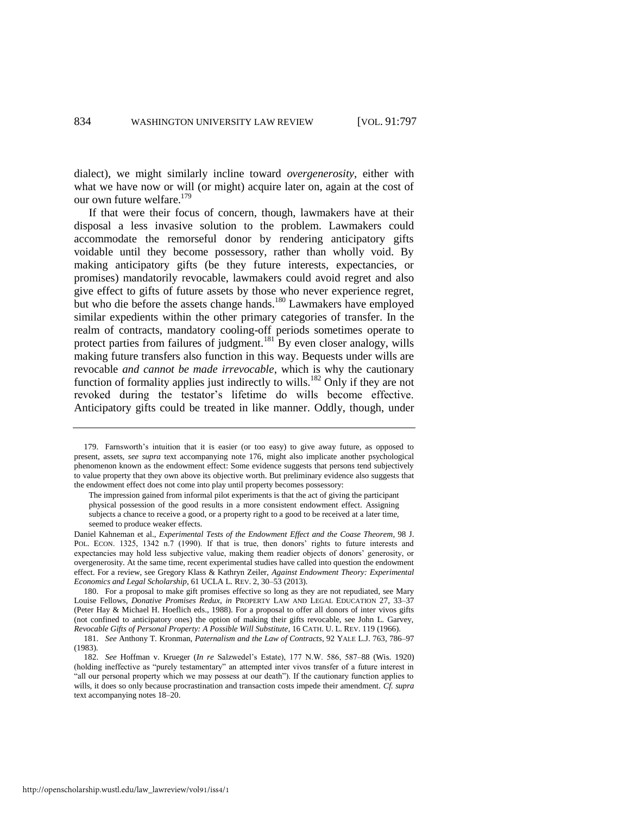dialect), we might similarly incline toward *overgenerosity*, either with what we have now or will (or might) acquire later on, again at the cost of our own future welfare.<sup>179</sup>

If that were their focus of concern, though, lawmakers have at their disposal a less invasive solution to the problem. Lawmakers could accommodate the remorseful donor by rendering anticipatory gifts voidable until they become possessory, rather than wholly void. By making anticipatory gifts (be they future interests, expectancies, or promises) mandatorily revocable, lawmakers could avoid regret and also give effect to gifts of future assets by those who never experience regret, but who die before the assets change hands.<sup>180</sup> Lawmakers have employed similar expedients within the other primary categories of transfer. In the realm of contracts, mandatory cooling-off periods sometimes operate to protect parties from failures of judgment.<sup>181</sup> By even closer analogy, wills making future transfers also function in this way. Bequests under wills are revocable *and cannot be made irrevocable*, which is why the cautionary function of formality applies just indirectly to wills.<sup>182</sup> Only if they are not revoked during the testator's lifetime do wills become effective. Anticipatory gifts could be treated in like manner. Oddly, though, under

180. For a proposal to make gift promises effective so long as they are not repudiated, see Mary Louise Fellows, *Donative Promises Redux*, *in* PROPERTY LAW AND LEGAL EDUCATION 27, 33–37 (Peter Hay & Michael H. Hoeflich eds., 1988). For a proposal to offer all donors of inter vivos gifts (not confined to anticipatory ones) the option of making their gifts revocable, see John L. Garvey, *Revocable Gifts of Personal Property: A Possible Will Substitute*, 16 CATH. U. L. REV. 119 (1966).

<sup>179.</sup> Farnsworth's intuition that it is easier (or too easy) to give away future, as opposed to present, assets, *see supra* text accompanying note [176,](#page-37-1) might also implicate another psychological phenomenon known as the endowment effect: Some evidence suggests that persons tend subjectively to value property that they own above its objective worth. But preliminary evidence also suggests that the endowment effect does not come into play until property becomes possessory:

The impression gained from informal pilot experiments is that the act of giving the participant physical possession of the good results in a more consistent endowment effect. Assigning subjects a chance to receive a good, or a property right to a good to be received at a later time, seemed to produce weaker effects.

Daniel Kahneman et al., *Experimental Tests of the Endowment Effect and the Coase Theorem*, 98 J. POL. ECON. 1325, 1342 n.7 (1990). If that is true, then donors' rights to future interests and expectancies may hold less subjective value, making them readier objects of donors' generosity, or overgenerosity. At the same time, recent experimental studies have called into question the endowment effect. For a review, see Gregory Klass & Kathryn Zeiler, *Against Endowment Theory: Experimental Economics and Legal Scholarship*, 61 UCLA L. REV. 2, 30–53 (2013).

<sup>181.</sup> *See* Anthony T. Kronman, *Paternalism and the Law of Contracts*, 92 YALE L.J. 763, 786–97 (1983).

<sup>182.</sup> *See* Hoffman v. Krueger (*In re* Salzwedel's Estate), 177 N.W. 586, 587–88 (Wis. 1920) (holding ineffective as "purely testamentary" an attempted inter vivos transfer of a future interest in "all our personal property which we may possess at our death"). If the cautionary function applies to wills, it does so only because procrastination and transaction costs impede their amendment. *Cf. supra* text accompanying note[s 18](#page-6-0)[–20.](#page-6-3)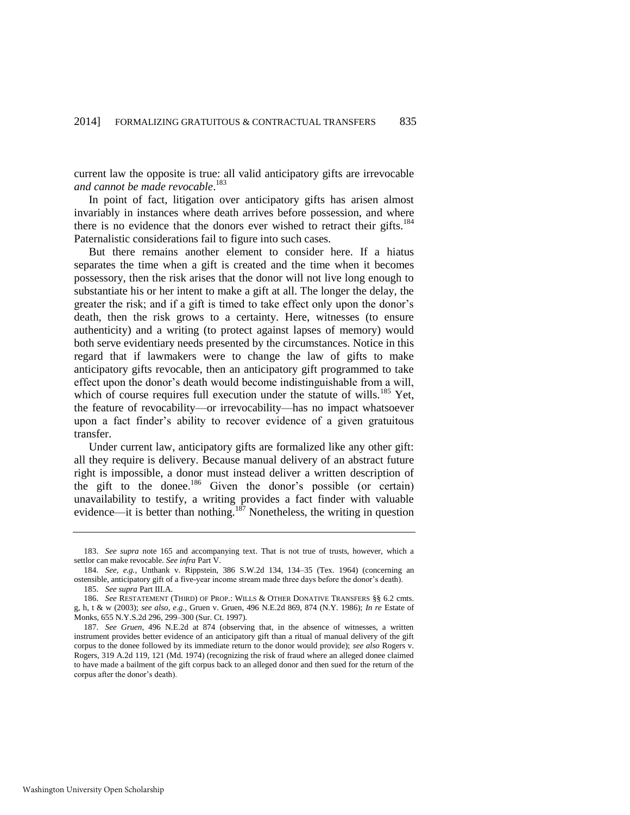current law the opposite is true: all valid anticipatory gifts are irrevocable *and cannot be made revocable*. 183

In point of fact, litigation over anticipatory gifts has arisen almost invariably in instances where death arrives before possession, and where there is no evidence that the donors ever wished to retract their gifts.<sup>184</sup> Paternalistic considerations fail to figure into such cases.

But there remains another element to consider here. If a hiatus separates the time when a gift is created and the time when it becomes possessory, then the risk arises that the donor will not live long enough to substantiate his or her intent to make a gift at all. The longer the delay, the greater the risk; and if a gift is timed to take effect only upon the donor's death, then the risk grows to a certainty. Here, witnesses (to ensure authenticity) and a writing (to protect against lapses of memory) would both serve evidentiary needs presented by the circumstances. Notice in this regard that if lawmakers were to change the law of gifts to make anticipatory gifts revocable, then an anticipatory gift programmed to take effect upon the donor's death would become indistinguishable from a will, which of course requires full execution under the statute of wills.<sup>185</sup> Yet, the feature of revocability—or irrevocability—has no impact whatsoever upon a fact finder's ability to recover evidence of a given gratuitous transfer.

<span id="page-39-0"></span>Under current law, anticipatory gifts are formalized like any other gift: all they require is delivery. Because manual delivery of an abstract future right is impossible, a donor must instead deliver a written description of the gift to the donee.<sup>186</sup> Given the donor's possible (or certain) unavailability to testify, a writing provides a fact finder with valuable evidence—it is better than nothing.<sup>187</sup> Nonetheless, the writing in question

<sup>183.</sup> *See supra* note [165](#page-35-1) and accompanying text. That is not true of trusts, however, which a settlor can make revocable. *See infra* Part V.

<sup>184.</sup> *See, e.g.*, Unthank v. Rippstein, 386 S.W.2d 134, 134–35 (Tex. 1964) (concerning an ostensible, anticipatory gift of a five-year income stream made three days before the donor's death).

<sup>185.</sup> *See supra* Part III.A.

<sup>186.</sup> *See* RESTATEMENT (THIRD) OF PROP.: WILLS & OTHER DONATIVE TRANSFERS §§ 6.2 cmts. g, h, t & w (2003); *see also*, *e.g.*, Gruen v. Gruen, 496 N.E.2d 869, 874 (N.Y. 1986); *In re* Estate of Monks, 655 N.Y.S.2d 296, 299–300 (Sur. Ct. 1997).

<sup>187.</sup> *See Gruen*, 496 N.E.2d at 874 (observing that, in the absence of witnesses, a written instrument provides better evidence of an anticipatory gift than a ritual of manual delivery of the gift corpus to the donee followed by its immediate return to the donor would provide); *see also* Rogers v. Rogers, 319 A.2d 119, 121 (Md. 1974) (recognizing the risk of fraud where an alleged donee claimed to have made a bailment of the gift corpus back to an alleged donor and then sued for the return of the corpus after the donor's death).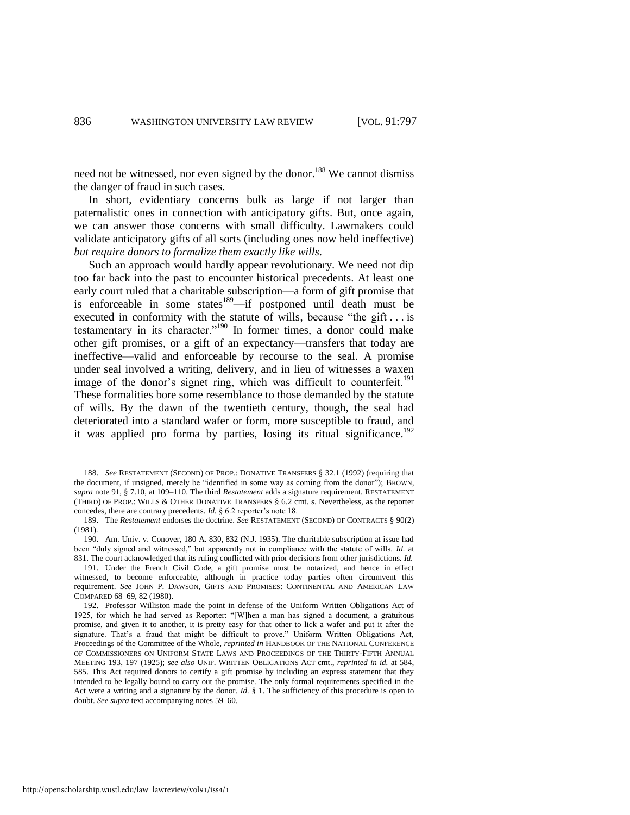<span id="page-40-1"></span>need not be witnessed, nor even signed by the donor.<sup>188</sup> We cannot dismiss the danger of fraud in such cases.

In short, evidentiary concerns bulk as large if not larger than paternalistic ones in connection with anticipatory gifts. But, once again, we can answer those concerns with small difficulty. Lawmakers could validate anticipatory gifts of all sorts (including ones now held ineffective) *but require donors to formalize them exactly like wills*.

Such an approach would hardly appear revolutionary. We need not dip too far back into the past to encounter historical precedents. At least one early court ruled that a charitable subscription—a form of gift promise that is enforceable in some states<sup>189</sup>—if postponed until death must be executed in conformity with the statute of wills, because "the gift . . . is testamentary in its character."<sup>190</sup> In former times, a donor could make other gift promises, or a gift of an expectancy—transfers that today are ineffective—valid and enforceable by recourse to the seal. A promise under seal involved a writing, delivery, and in lieu of witnesses a waxen image of the donor's signet ring, which was difficult to counterfeit.<sup>191</sup> These formalities bore some resemblance to those demanded by the statute of wills. By the dawn of the twentieth century, though, the seal had deteriorated into a standard wafer or form, more susceptible to fraud, and it was applied pro forma by parties, losing its ritual significance.<sup>192</sup>

<span id="page-40-0"></span><sup>188.</sup> *See* RESTATEMENT (SECOND) OF PROP.: DONATIVE TRANSFERS § 32.1 (1992) (requiring that the document, if unsigned, merely be "identified in some way as coming from the donor"); BROWN, *supra* not[e 91,](#page-19-0) § 7.10, at 109–110. The third *Restatement* adds a signature requirement. RESTATEMENT (THIRD) OF PROP.: WILLS & OTHER DONATIVE TRANSFERS § 6.2 cmt. s. Nevertheless, as the reporter concedes, there are contrary precedents. *Id.* § 6.2 reporter's note 18.

<sup>189.</sup> The *Restatement* endorses the doctrine. *See* RESTATEMENT (SECOND) OF CONTRACTS § 90(2) (1981).

<sup>190.</sup> Am. Univ. v. Conover, 180 A. 830, 832 (N.J. 1935). The charitable subscription at issue had been "duly signed and witnessed," but apparently not in compliance with the statute of wills. *Id.* at 831. The court acknowledged that its ruling conflicted with prior decisions from other jurisdictions. *Id.*

<sup>191.</sup> Under the French Civil Code, a gift promise must be notarized, and hence in effect witnessed, to become enforceable, although in practice today parties often circumvent this requirement. *See* JOHN P. DAWSON, GIFTS AND PROMISES: CONTINENTAL AND AMERICAN LAW COMPARED 68–69, 82 (1980).

<sup>192.</sup> Professor Williston made the point in defense of the Uniform Written Obligations Act of 1925, for which he had served as Reporter: "[W]hen a man has signed a document, a gratuitous promise, and given it to another, it is pretty easy for that other to lick a wafer and put it after the signature. That's a fraud that might be difficult to prove." Uniform Written Obligations Act, Proceedings of the Committee of the Whole, *reprinted in* HANDBOOK OF THE NATIONAL CONFERENCE OF COMMISSIONERS ON UNIFORM STATE LAWS AND PROCEEDINGS OF THE THIRTY-FIFTH ANNUAL MEETING 193, 197 (1925); *see also* UNIF. WRITTEN OBLIGATIONS ACT cmt., *reprinted in id.* at 584, 585. This Act required donors to certify a gift promise by including an express statement that they intended to be legally bound to carry out the promise. The only formal requirements specified in the Act were a writing and a signature by the donor. *Id.* § 1. The sufficiency of this procedure is open to doubt. *See supra* text accompanying notes [59](#page-13-1)[–60.](#page-13-0)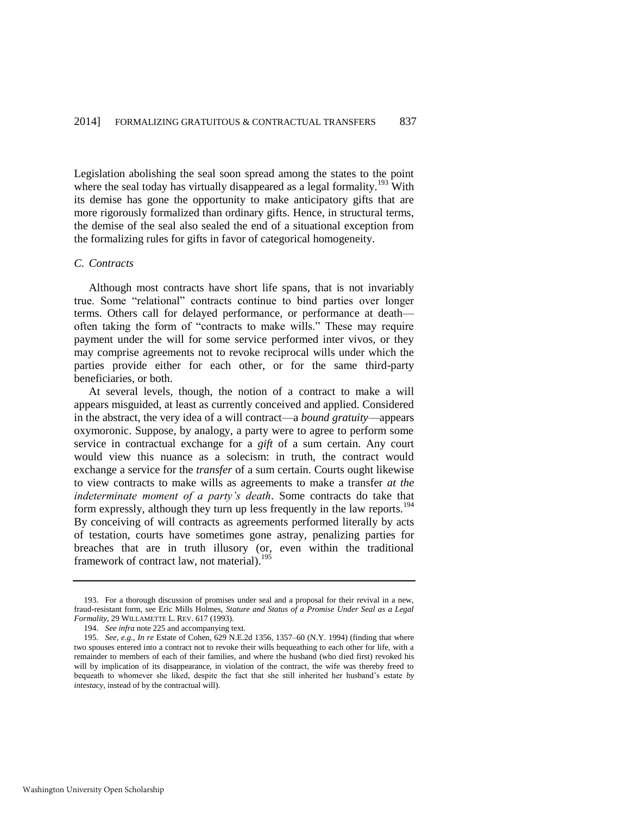Legislation abolishing the seal soon spread among the states to the point where the seal today has virtually disappeared as a legal formality.<sup>193</sup> With its demise has gone the opportunity to make anticipatory gifts that are more rigorously formalized than ordinary gifts. Hence, in structural terms, the demise of the seal also sealed the end of a situational exception from the formalizing rules for gifts in favor of categorical homogeneity.

#### *C. Contracts*

Although most contracts have short life spans, that is not invariably true. Some "relational" contracts continue to bind parties over longer terms. Others call for delayed performance, or performance at death often taking the form of "contracts to make wills." These may require payment under the will for some service performed inter vivos, or they may comprise agreements not to revoke reciprocal wills under which the parties provide either for each other, or for the same third-party beneficiaries, or both.

At several levels, though, the notion of a contract to make a will appears misguided, at least as currently conceived and applied. Considered in the abstract, the very idea of a will contract—a *bound gratuity*—appears oxymoronic. Suppose, by analogy, a party were to agree to perform some service in contractual exchange for a *gift* of a sum certain. Any court would view this nuance as a solecism: in truth, the contract would exchange a service for the *transfer* of a sum certain. Courts ought likewise to view contracts to make wills as agreements to make a transfer *at the indeterminate moment of a party's death*. Some contracts do take that form expressly, although they turn up less frequently in the law reports.<sup>194</sup> By conceiving of will contracts as agreements performed literally by acts of testation, courts have sometimes gone astray, penalizing parties for breaches that are in truth illusory (or, even within the traditional framework of contract law, not material).<sup>195</sup>

<sup>193.</sup> For a thorough discussion of promises under seal and a proposal for their revival in a new, fraud-resistant form, see Eric Mills Holmes, *Stature and Status of a Promise Under Seal as a Legal Formality*, 29 WILLAMETTE L. REV. 617 (1993).

<span id="page-41-0"></span><sup>194.</sup> *See infra* not[e 225 a](#page-47-0)nd accompanying text.

<sup>195.</sup> *See, e.g.*, *In re* Estate of Cohen, 629 N.E.2d 1356, 1357–60 (N.Y. 1994) (finding that where two spouses entered into a contract not to revoke their wills bequeathing to each other for life, with a remainder to members of each of their families, and where the husband (who died first) revoked his will by implication of its disappearance, in violation of the contract, the wife was thereby freed to bequeath to whomever she liked, despite the fact that she still inherited her husband's estate *by intestacy*, instead of by the contractual will).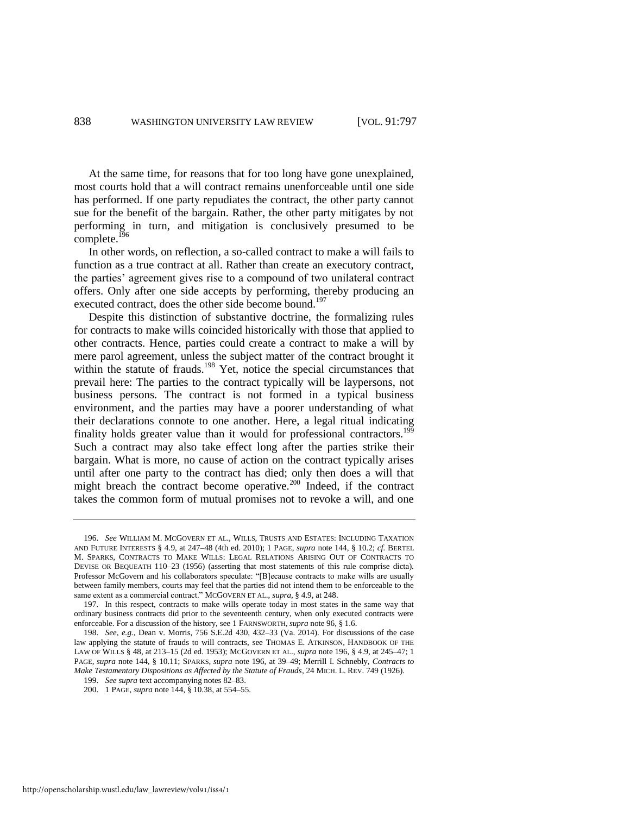At the same time, for reasons that for too long have gone unexplained, most courts hold that a will contract remains unenforceable until one side has performed. If one party repudiates the contract, the other party cannot sue for the benefit of the bargain. Rather, the other party mitigates by not performing in turn, and mitigation is conclusively presumed to be complete. $^{196}$ 

<span id="page-42-0"></span>In other words, on reflection, a so-called contract to make a will fails to function as a true contract at all. Rather than create an executory contract, the parties' agreement gives rise to a compound of two unilateral contract offers. Only after one side accepts by performing, thereby producing an executed contract, does the other side become bound.<sup>197</sup>

<span id="page-42-1"></span>Despite this distinction of substantive doctrine, the formalizing rules for contracts to make wills coincided historically with those that applied to other contracts. Hence, parties could create a contract to make a will by mere parol agreement, unless the subject matter of the contract brought it within the statute of frauds.<sup>198</sup> Yet, notice the special circumstances that prevail here: The parties to the contract typically will be laypersons, not business persons. The contract is not formed in a typical business environment, and the parties may have a poorer understanding of what their declarations connote to one another. Here, a legal ritual indicating finality holds greater value than it would for professional contractors.<sup>199</sup> Such a contract may also take effect long after the parties strike their bargain. What is more, no cause of action on the contract typically arises until after one party to the contract has died; only then does a will that might breach the contract become operative.<sup>200</sup> Indeed, if the contract takes the common form of mutual promises not to revoke a will, and one

<sup>196.</sup> *See* WILLIAM M. MCGOVERN ET AL., WILLS, TRUSTS AND ESTATES: INCLUDING TAXATION AND FUTURE INTERESTS § 4.9, at 247–48 (4th ed. 2010); 1 PAGE, *supra* note [144,](#page-29-0) § 10.2; *cf.* BERTEL M. SPARKS, CONTRACTS TO MAKE WILLS: LEGAL RELATIONS ARISING OUT OF CONTRACTS TO DEVISE OR BEQUEATH 110–23 (1956) (asserting that most statements of this rule comprise dicta). Professor McGovern and his collaborators speculate: "[B]ecause contracts to make wills are usually between family members, courts may feel that the parties did not intend them to be enforceable to the same extent as a commercial contract." MCGOVERN ET AL., *supra*, § 4.9, at 248.

<sup>197.</sup> In this respect, contracts to make wills operate today in most states in the same way that ordinary business contracts did prior to the seventeenth century, when only executed contracts were enforceable. For a discussion of the history, see 1 FARNSWORTH, *supra* not[e 96,](#page-20-2) § 1.6.

<sup>198.</sup> *See, e.g.*, Dean v. Morris, 756 S.E.2d 430, 432–33 (Va. 2014). For discussions of the case law applying the statute of frauds to will contracts, see THOMAS E. ATKINSON, HANDBOOK OF THE LAW OF WILLS § 48, at 213–15 (2d ed. 1953); MCGOVERN ET AL., *supra* not[e 196,](#page-42-0) § 4.9, at 245–47; 1 PAGE, *supra* note [144,](#page-29-0) § 10.11; SPARKS, *supra* note [196,](#page-42-0) at 39–49; Merrill I. Schnebly, *Contracts to Make Testamentary Dispositions as Affected by the Statute of Frauds*, 24 MICH. L. REV. 749 (1926).

<sup>199.</sup> *See supra* text accompanying note[s 82](#page-18-0)[–83.](#page-18-1)

<sup>200. 1</sup> PAGE, *supra* not[e 144,](#page-29-0) § 10.38, at 554–55.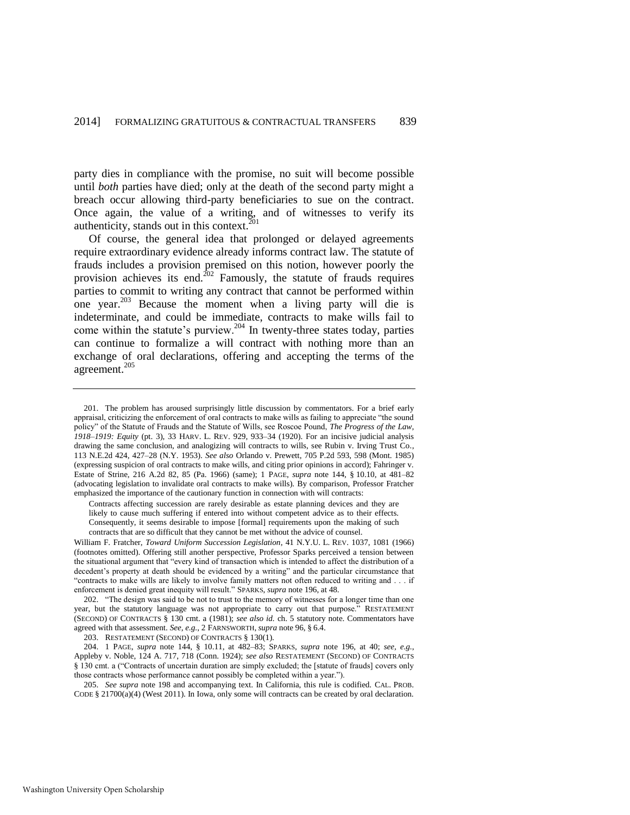party dies in compliance with the promise, no suit will become possible until *both* parties have died; only at the death of the second party might a breach occur allowing third-party beneficiaries to sue on the contract. Once again, the value of a writing, and of witnesses to verify its authenticity, stands out in this context. $201$ 

Of course, the general idea that prolonged or delayed agreements require extraordinary evidence already informs contract law. The statute of frauds includes a provision premised on this notion, however poorly the provision achieves its end. $^{202}$  Famously, the statute of frauds requires parties to commit to writing any contract that cannot be performed within one year.<sup>203</sup> Because the moment when a living party will die is indeterminate, and could be immediate, contracts to make wills fail to come within the statute's purview.<sup>204</sup> In twenty-three states today, parties can continue to formalize a will contract with nothing more than an exchange of oral declarations, offering and accepting the terms of the agreement.<sup>205</sup>

Contracts affecting succession are rarely desirable as estate planning devices and they are likely to cause much suffering if entered into without competent advice as to their effects. Consequently, it seems desirable to impose [formal] requirements upon the making of such contracts that are so difficult that they cannot be met without the advice of counsel.

William F. Fratcher, *Toward Uniform Succession Legislation*, 41 N.Y.U. L. REV. 1037, 1081 (1966) (footnotes omitted). Offering still another perspective, Professor Sparks perceived a tension between the situational argument that "every kind of transaction which is intended to affect the distribution of a decedent's property at death should be evidenced by a writing" and the particular circumstance that "contracts to make wills are likely to involve family matters not often reduced to writing and . . . if enforcement is denied great inequity will result." SPARKS, *supra* not[e 196,](#page-42-0) at 48.

202. "The design was said to be not to trust to the memory of witnesses for a longer time than one year, but the statutory language was not appropriate to carry out that purpose." RESTATEMENT (SECOND) OF CONTRACTS § 130 cmt. a (1981); *see also id.* ch. 5 statutory note. Commentators have agreed with that assessment. *See, e.g.*, 2 FARNSWORTH, *supra* not[e 96,](#page-20-2) § 6.4.

203. RESTATEMENT (SECOND) OF CONTRACTS § 130(1).

204. 1 PAGE, *supra* note [144,](#page-29-0) § 10.11, at 482–83; SPARKS, *supra* note [196,](#page-42-0) at 40; *see, e.g.*, Appleby v. Noble, 124 A. 717, 718 (Conn. 1924); *see also* RESTATEMENT (SECOND) OF CONTRACTS § 130 cmt. a ("Contracts of uncertain duration are simply excluded; the [statute of frauds] covers only those contracts whose performance cannot possibly be completed within a year.").

205. *See supra* not[e 198](#page-42-1) and accompanying text. In California, this rule is codified. CAL. PROB. CODE § 21700(a)(4) (West 2011). In Iowa, only some will contracts can be created by oral declaration.

<sup>201.</sup> The problem has aroused surprisingly little discussion by commentators. For a brief early appraisal, criticizing the enforcement of oral contracts to make wills as failing to appreciate "the sound policy" of the Statute of Frauds and the Statute of Wills, see Roscoe Pound, *The Progress of the Law, 1918–1919: Equity* (pt. 3), 33 HARV. L. REV. 929, 933–34 (1920). For an incisive judicial analysis drawing the same conclusion, and analogizing will contracts to wills, see Rubin v. Irving Trust Co*.*, 113 N.E.2d 424, 427–28 (N.Y. 1953). *See also* Orlando v. Prewett, 705 P.2d 593, 598 (Mont. 1985) (expressing suspicion of oral contracts to make wills, and citing prior opinions in accord); Fahringer v. Estate of Strine, 216 A.2d 82, 85 (Pa. 1966) (same); 1 PAGE, *supra* note [144,](#page-29-0) § 10.10, at 481–82 (advocating legislation to invalidate oral contracts to make wills). By comparison, Professor Fratcher emphasized the importance of the cautionary function in connection with will contracts: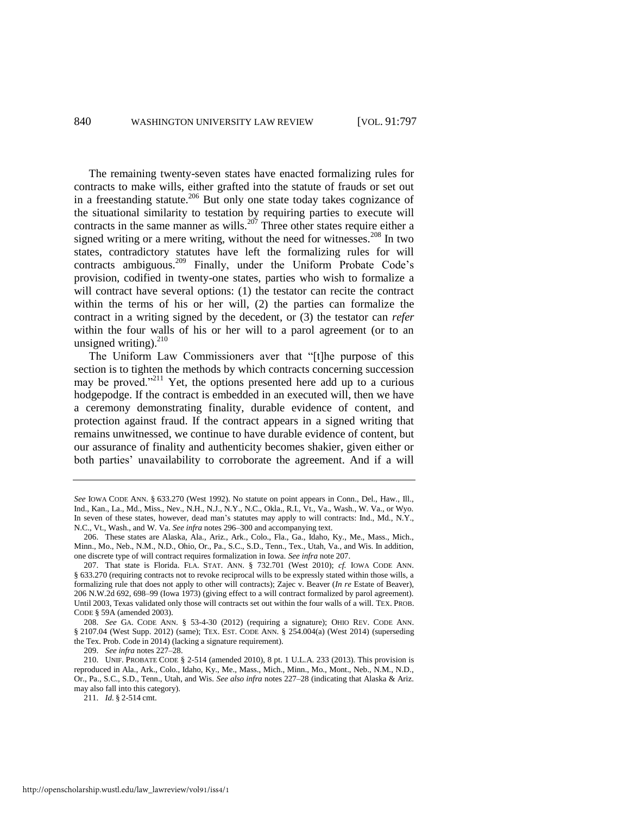<span id="page-44-0"></span>The remaining twenty-seven states have enacted formalizing rules for contracts to make wills, either grafted into the statute of frauds or set out in a freestanding statute.<sup>206</sup> But only one state today takes cognizance of the situational similarity to testation by requiring parties to execute will contracts in the same manner as wills.<sup>207</sup> Three other states require either a signed writing or a mere writing, without the need for witnesses.<sup>208</sup> In two states, contradictory statutes have left the formalizing rules for will contracts ambiguous.<sup>209</sup> Finally, under the Uniform Probate Code's provision, codified in twenty-one states, parties who wish to formalize a will contract have several options: (1) the testator can recite the contract within the terms of his or her will, (2) the parties can formalize the contract in a writing signed by the decedent, or (3) the testator can *refer* within the four walls of his or her will to a parol agreement (or to an unsigned writing).<sup>210</sup>

<span id="page-44-1"></span>The Uniform Law Commissioners aver that "[t]he purpose of this section is to tighten the methods by which contracts concerning succession may be proved."<sup>211</sup> Yet, the options presented here add up to a curious hodgepodge. If the contract is embedded in an executed will, then we have a ceremony demonstrating finality, durable evidence of content, and protection against fraud. If the contract appears in a signed writing that remains unwitnessed, we continue to have durable evidence of content, but our assurance of finality and authenticity becomes shakier, given either or both parties' unavailability to corroborate the agreement. And if a will

209. *See infra* notes [227–](#page-47-1)28.

210. UNIF. PROBATE CODE § 2-514 (amended 2010), 8 pt. 1 U.L.A. 233 (2013). This provision is reproduced in Ala., Ark., Colo., Idaho, Ky., Me., Mass., Mich., Minn., Mo., Mont., Neb., N.M., N.D., Or., Pa., S.C., S.D., Tenn., Utah, and Wis. *See also infra* note[s 227–](#page-47-1)28 (indicating that Alaska & Ariz. may also fall into this category).

211. *Id.* § 2-514 cmt.

*See* IOWA CODE ANN. § 633.270 (West 1992). No statute on point appears in Conn., Del., Haw., Ill., Ind., Kan., La., Md., Miss., Nev., N.H., N.J., N.Y., N.C., Okla., R.I., Vt., Va., Wash., W. Va., or Wyo. In seven of these states, however, dead man's statutes may apply to will contracts: Ind., Md., N.Y., N.C., Vt., Wash., and W. Va. *See infra* note[s 296–](#page-60-0)300 and accompanying text.

<sup>206.</sup> These states are Alaska, Ala., Ariz., Ark., Colo., Fla., Ga., Idaho, Ky., Me., Mass., Mich., Minn., Mo., Neb., N.M., N.D., Ohio, Or., Pa., S.C., S.D., Tenn., Tex., Utah, Va., and Wis. In addition, one discrete type of will contract requires formalization in Iowa. *See infra* note 207.

<sup>207.</sup> That state is Florida. FLA. STAT. ANN. § 732.701 (West 2010); *cf.* IOWA CODE ANN. § 633.270 (requiring contracts not to revoke reciprocal wills to be expressly stated within those wills, a formalizing rule that does not apply to other will contracts); Zajec v. Beaver (*In re* Estate of Beaver), 206 N.W.2d 692, 698–99 (Iowa 1973) (giving effect to a will contract formalized by parol agreement). Until 2003, Texas validated only those will contracts set out within the four walls of a will. TEX. PROB. CODE § 59A (amended 2003).

<sup>208.</sup> *See* GA. CODE ANN. § 53-4-30 (2012) (requiring a signature); OHIO REV. CODE ANN. § 2107.04 (West Supp. 2012) (same); TEX. EST. CODE ANN. § 254.004(a) (West 2014) (superseding the Tex. Prob. Code in 2014) (lacking a signature requirement).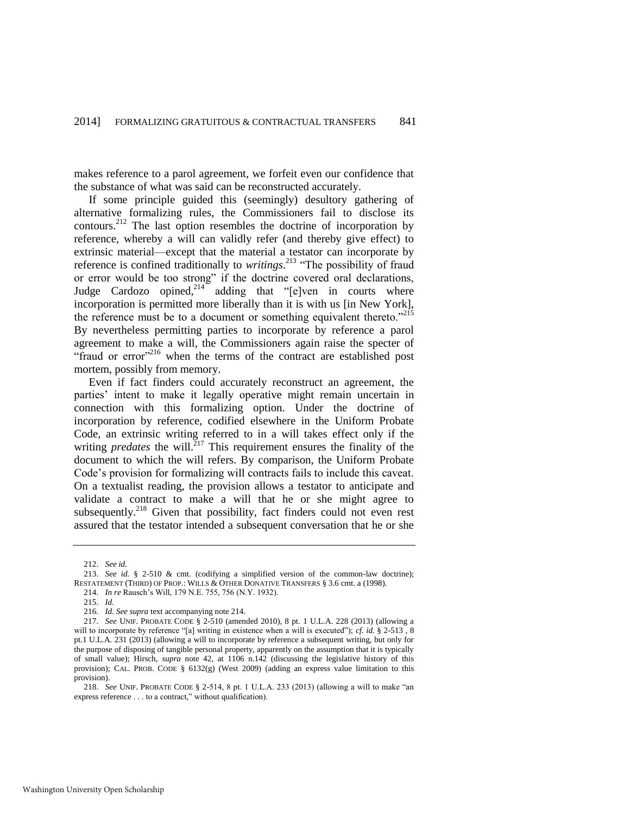makes reference to a parol agreement, we forfeit even our confidence that the substance of what was said can be reconstructed accurately.

<span id="page-45-0"></span>If some principle guided this (seemingly) desultory gathering of alternative formalizing rules, the Commissioners fail to disclose its contours.<sup>212</sup> The last option resembles the doctrine of incorporation by reference, whereby a will can validly refer (and thereby give effect) to extrinsic material—except that the material a testator can incorporate by reference is confined traditionally to *writings*. <sup>213</sup> "The possibility of fraud or error would be too strong" if the doctrine covered oral declarations, Judge Cardozo opined, $2^{14}$  adding that "[e]ven in courts where incorporation is permitted more liberally than it is with us [in New York], the reference must be to a document or something equivalent thereto."<sup>215</sup> By nevertheless permitting parties to incorporate by reference a parol agreement to make a will, the Commissioners again raise the specter of "fraud or error"<sup>216</sup> when the terms of the contract are established post mortem, possibly from memory.

Even if fact finders could accurately reconstruct an agreement, the parties' intent to make it legally operative might remain uncertain in connection with this formalizing option. Under the doctrine of incorporation by reference, codified elsewhere in the Uniform Probate Code, an extrinsic writing referred to in a will takes effect only if the writing *predates* the will.<sup>217</sup> This requirement ensures the finality of the document to which the will refers. By comparison, the Uniform Probate Code's provision for formalizing will contracts fails to include this caveat. On a textualist reading, the provision allows a testator to anticipate and validate a contract to make a will that he or she might agree to subsequently.<sup>218</sup> Given that possibility, fact finders could not even rest assured that the testator intended a subsequent conversation that he or she

<sup>212.</sup> *See id.*

<sup>213.</sup> *See id.* § 2-510 & cmt. (codifying a simplified version of the common-law doctrine); RESTATEMENT (THIRD) OF PROP.: WILLS & OTHER DONATIVE TRANSFERS § 3.6 cmt. a (1998).

<sup>214.</sup> *In re* Rausch's Will, 179 N.E. 755, 756 (N.Y. 1932).

<sup>215.</sup> *Id.*

<sup>216.</sup> *Id. See supra* text accompanying not[e 214.](#page-45-0) 

<sup>217.</sup> *See* UNIF. PROBATE CODE § 2-510 (amended 2010), 8 pt. 1 U.L.A. 228 (2013) (allowing a will to incorporate by reference "[a] writing in existence when a will is executed"); *cf. id.* § 2-513 , 8 pt.1 U.L.A. 231 (2013) (allowing a will to incorporate by reference a subsequent writing, but only for the purpose of disposing of tangible personal property, apparently on the assumption that it is typically of small value); Hirsch, *supra* note [42,](#page-10-0) at 1106 n.142 (discussing the legislative history of this provision); CAL. PROB. CODE § 6132(g) (West 2009) (adding an express value limitation to this provision).

<sup>218.</sup> *See* UNIF. PROBATE CODE § 2-514, 8 pt. 1 U.L.A. 233 (2013) (allowing a will to make "an express reference . . . to a contract," without qualification).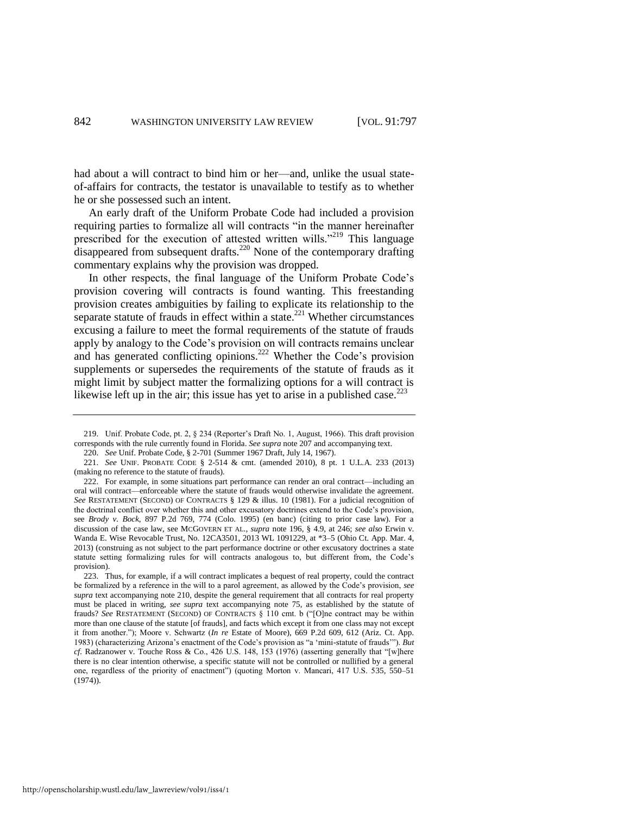had about a will contract to bind him or her—and, unlike the usual stateof-affairs for contracts, the testator is unavailable to testify as to whether he or she possessed such an intent.

An early draft of the Uniform Probate Code had included a provision requiring parties to formalize all will contracts "in the manner hereinafter prescribed for the execution of attested written wills."<sup>219</sup> This language  $\frac{1}{2}$  disappeared from subsequent drafts.<sup>220</sup> None of the contemporary drafting commentary explains why the provision was dropped.

In other respects, the final language of the Uniform Probate Code's provision covering will contracts is found wanting. This freestanding provision creates ambiguities by failing to explicate its relationship to the separate statute of frauds in effect within a state.<sup>221</sup> Whether circumstances excusing a failure to meet the formal requirements of the statute of frauds apply by analogy to the Code's provision on will contracts remains unclear and has generated conflicting opinions.<sup>222</sup> Whether the Code's provision supplements or supersedes the requirements of the statute of frauds as it might limit by subject matter the formalizing options for a will contract is likewise left up in the air; this issue has yet to arise in a published case.<sup>223</sup>

<sup>219.</sup> Unif. Probate Code, pt. 2, § 234 (Reporter's Draft No. 1, August, 1966). This draft provision corresponds with the rule currently found in Florida. *See supra* not[e 207](#page-44-0) and accompanying text.

<sup>220.</sup> *See* Unif. Probate Code, § 2-701 (Summer 1967 Draft, July 14, 1967).

<sup>221.</sup> *See* UNIF. PROBATE CODE § 2-514 & cmt. (amended 2010), 8 pt. 1 U.L.A. 233 (2013) (making no reference to the statute of frauds).

<sup>222.</sup> For example, in some situations part performance can render an oral contract—including an oral will contract—enforceable where the statute of frauds would otherwise invalidate the agreement. *See* RESTATEMENT (SECOND) OF CONTRACTS § 129 & illus. 10 (1981). For a judicial recognition of the doctrinal conflict over whether this and other excusatory doctrines extend to the Code's provision, see *Brody v. Bock*, 897 P.2d 769, 774 (Colo. 1995) (en banc) (citing to prior case law). For a discussion of the case law, see MCGOVERN ET AL., *supra* note [196,](#page-42-0) § 4.9, at 246; *see also* Erwin v. Wanda E. Wise Revocable Trust, No. 12CA3501, 2013 WL 1091229, at \*3–5 (Ohio Ct. App. Mar. 4, 2013) (construing as not subject to the part performance doctrine or other excusatory doctrines a state statute setting formalizing rules for will contracts analogous to, but different from, the Code's provision).

<sup>223.</sup> Thus, for example, if a will contract implicates a bequest of real property, could the contract be formalized by a reference in the will to a parol agreement, as allowed by the Code's provision, *see supra* text accompanying note [210,](#page-44-1) despite the general requirement that all contracts for real property must be placed in writing, *see supra* text accompanying note [75,](#page-17-5) as established by the statute of frauds? *See* RESTATEMENT (SECOND) OF CONTRACTS § 110 cmt. b ("[O]ne contract may be within more than one clause of the statute [of frauds], and facts which except it from one class may not except it from another."); Moore v. Schwartz (*In re* Estate of Moore), 669 P.2d 609, 612 (Ariz. Ct. App. 1983) (characterizing Arizona's enactment of the Code's provision as "a 'mini-statute of frauds'"). *But cf.* Radzanower v. Touche Ross & Co., 426 U.S. 148, 153 (1976) (asserting generally that "[w]here there is no clear intention otherwise, a specific statute will not be controlled or nullified by a general one, regardless of the priority of enactment") (quoting Morton v. Mancari, 417 U.S. 535, 550–51 (1974)).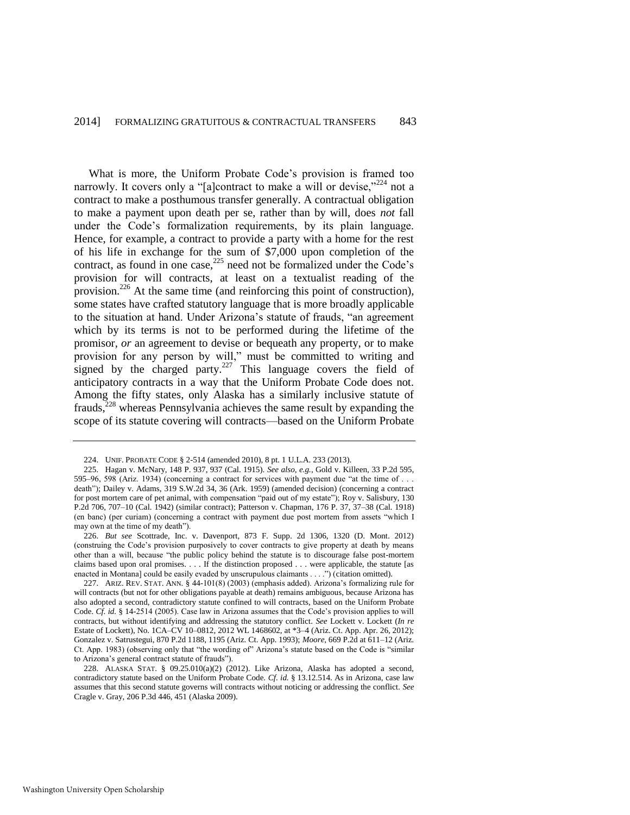<span id="page-47-2"></span><span id="page-47-0"></span>What is more, the Uniform Probate Code's provision is framed too narrowly. It covers only a "[a]contract to make a will or devise," $^{224}$  not a contract to make a posthumous transfer generally. A contractual obligation to make a payment upon death per se, rather than by will, does *not* fall under the Code's formalization requirements, by its plain language. Hence, for example, a contract to provide a party with a home for the rest of his life in exchange for the sum of \$7,000 upon completion of the contract, as found in one case, $225$  need not be formalized under the Code's provision for will contracts, at least on a textualist reading of the provision.<sup>226</sup> At the same time (and reinforcing this point of construction), some states have crafted statutory language that is more broadly applicable to the situation at hand. Under Arizona's statute of frauds, "an agreement which by its terms is not to be performed during the lifetime of the promisor, *or* an agreement to devise or bequeath any property, or to make provision for any person by will," must be committed to writing and signed by the charged party.<sup>227</sup> This language covers the field of anticipatory contracts in a way that the Uniform Probate Code does not. Among the fifty states, only Alaska has a similarly inclusive statute of frauds,<sup>228</sup> whereas Pennsylvania achieves the same result by expanding the scope of its statute covering will contracts—based on the Uniform Probate

<span id="page-47-1"></span><sup>224.</sup> UNIF. PROBATE CODE § 2-514 (amended 2010), 8 pt. 1 U.L.A. 233 (2013).

<sup>225.</sup> Hagan v. McNary, 148 P. 937, 937 (Cal. 1915). *See also, e.g.*, Gold v. Killeen, 33 P.2d 595, 595–96, 598 (Ariz. 1934) (concerning a contract for services with payment due "at the time of . . . death"); Dailey v. Adams, 319 S.W.2d 34, 36 (Ark. 1959) (amended decision) (concerning a contract for post mortem care of pet animal, with compensation "paid out of my estate"); Roy v. Salisbury, 130 P.2d 706, 707–10 (Cal. 1942) (similar contract); Patterson v. Chapman, 176 P. 37, 37–38 (Cal. 1918) (en banc) (per curiam) (concerning a contract with payment due post mortem from assets "which I may own at the time of my death").

<sup>226.</sup> *But see* Scottrade, Inc. v. Davenport, 873 F. Supp. 2d 1306, 1320 (D. Mont. 2012) (construing the Code's provision purposively to cover contracts to give property at death by means other than a will, because "the public policy behind the statute is to discourage false post-mortem claims based upon oral promises. . . . If the distinction proposed . . . were applicable, the statute [as enacted in Montana] could be easily evaded by unscrupulous claimants . . . .") (citation omitted).

<sup>227.</sup> ARIZ. REV. STAT. ANN. § 44-101(8) (2003) (emphasis added). Arizona's formalizing rule for will contracts (but not for other obligations payable at death) remains ambiguous, because Arizona has also adopted a second, contradictory statute confined to will contracts, based on the Uniform Probate Code. *Cf. id.* § 14-2514 (2005). Case law in Arizona assumes that the Code's provision applies to will contracts, but without identifying and addressing the statutory conflict. *See* Lockett v. Lockett (*In re* Estate of Lockett), No. 1CA–CV 10–0812, 2012 WL 1468602, at \*3–4 (Ariz. Ct. App. Apr. 26, 2012); Gonzalez v. Satrustegui, 870 P.2d 1188, 1195 (Ariz. Ct. App. 1993); *Moore*, 669 P.2d at 611–12 (Ariz. Ct. App. 1983) (observing only that "the wording of" Arizona's statute based on the Code is "similar to Arizona's general contract statute of frauds").

<sup>228.</sup> ALASKA STAT. § 09.25.010(a)(2) (2012). Like Arizona, Alaska has adopted a second, contradictory statute based on the Uniform Probate Code. *Cf. id.* § 13.12.514. As in Arizona, case law assumes that this second statute governs will contracts without noticing or addressing the conflict. *See* Cragle v. Gray, 206 P.3d 446, 451 (Alaska 2009).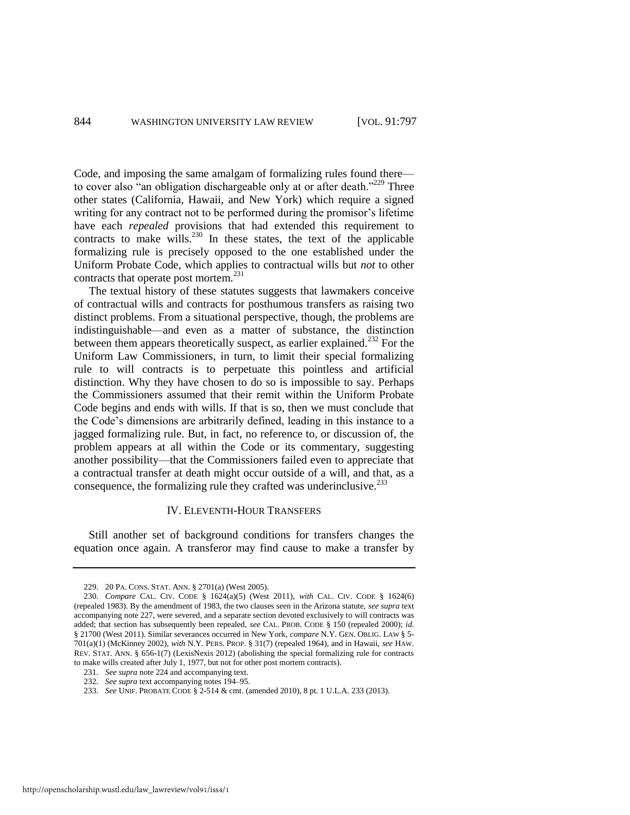Code, and imposing the same amalgam of formalizing rules found there to cover also "an obligation dischargeable only at or after death."<sup>229</sup> Three other states (California, Hawaii, and New York) which require a signed writing for any contract not to be performed during the promisor's lifetime have each *repealed* provisions that had extended this requirement to contracts to make wills.<sup>230</sup> In these states, the text of the applicable formalizing rule is precisely opposed to the one established under the Uniform Probate Code, which applies to contractual wills but *not* to other contracts that operate post mortem.<sup>231</sup>

The textual history of these statutes suggests that lawmakers conceive of contractual wills and contracts for posthumous transfers as raising two distinct problems. From a situational perspective, though, the problems are indistinguishable—and even as a matter of substance, the distinction between them appears theoretically suspect, as earlier explained.<sup>232</sup> For the Uniform Law Commissioners, in turn, to limit their special formalizing rule to will contracts is to perpetuate this pointless and artificial distinction. Why they have chosen to do so is impossible to say. Perhaps the Commissioners assumed that their remit within the Uniform Probate Code begins and ends with wills. If that is so, then we must conclude that the Code's dimensions are arbitrarily defined, leading in this instance to a jagged formalizing rule. But, in fact, no reference to, or discussion of, the problem appears at all within the Code or its commentary, suggesting another possibility—that the Commissioners failed even to appreciate that a contractual transfer at death might occur outside of a will, and that, as a consequence, the formalizing rule they crafted was underinclusive.<sup>233</sup>

#### IV. ELEVENTH-HOUR TRANSFERS

Still another set of background conditions for transfers changes the equation once again. A transferor may find cause to make a transfer by

<sup>229. 20</sup> PA. CONS. STAT. ANN. § 2701(a) (West 2005).

<sup>230.</sup> *Compare* CAL. CIV. CODE § 1624(a)(5) (West 2011), *with* CAL. CIV. CODE § 1624(6) (repealed 1983). By the amendment of 1983, the two clauses seen in the Arizona statute, *see supra* text accompanying note 227, were severed, and a separate section devoted exclusively to will contracts was added; that section has subsequently been repealed, *see* CAL. PROB. CODE § 150 (repealed 2000); *id.* § 21700 (West 2011). Similar severances occurred in New York, *compare* N.Y. GEN. OBLIG. LAW § 5- 701(a)(1) (McKinney 2002), *with* N.Y. PERS. PROP. § 31(7) (repealed 1964), and in Hawaii, *see* HAW. REV. STAT. ANN. § 656-1(7) (LexisNexis 2012) (abolishing the special formalizing rule for contracts to make wills created after July 1, 1977, but not for other post mortem contracts).

<sup>231.</sup> *See supra* not[e 224 a](#page-47-2)nd accompanying text.

<sup>232.</sup> *See supra* text accompanying note[s 194–](#page-41-0)95.

<sup>233.</sup> *See* UNIF. PROBATE CODE § 2-514 & cmt. (amended 2010), 8 pt. 1 U.L.A. 233 (2013).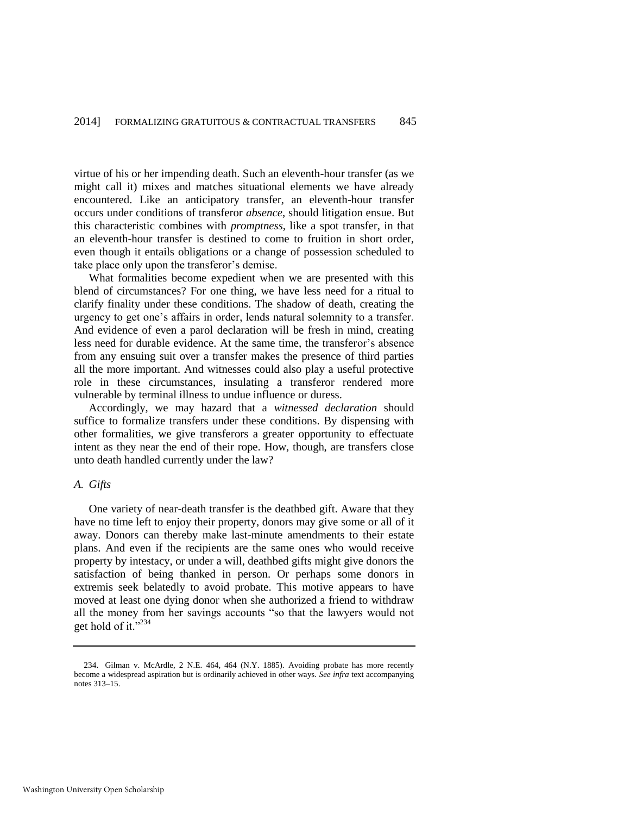virtue of his or her impending death. Such an eleventh-hour transfer (as we might call it) mixes and matches situational elements we have already encountered. Like an anticipatory transfer, an eleventh-hour transfer occurs under conditions of transferor *absence*, should litigation ensue. But this characteristic combines with *promptness*, like a spot transfer, in that an eleventh-hour transfer is destined to come to fruition in short order, even though it entails obligations or a change of possession scheduled to take place only upon the transferor's demise.

What formalities become expedient when we are presented with this blend of circumstances? For one thing, we have less need for a ritual to clarify finality under these conditions. The shadow of death, creating the urgency to get one's affairs in order, lends natural solemnity to a transfer. And evidence of even a parol declaration will be fresh in mind, creating less need for durable evidence. At the same time, the transferor's absence from any ensuing suit over a transfer makes the presence of third parties all the more important. And witnesses could also play a useful protective role in these circumstances, insulating a transferor rendered more vulnerable by terminal illness to undue influence or duress.

Accordingly, we may hazard that a *witnessed declaration* should suffice to formalize transfers under these conditions. By dispensing with other formalities, we give transferors a greater opportunity to effectuate intent as they near the end of their rope. How, though, are transfers close unto death handled currently under the law?

#### *A. Gifts*

One variety of near-death transfer is the deathbed gift. Aware that they have no time left to enjoy their property, donors may give some or all of it away. Donors can thereby make last-minute amendments to their estate plans. And even if the recipients are the same ones who would receive property by intestacy, or under a will, deathbed gifts might give donors the satisfaction of being thanked in person. Or perhaps some donors in extremis seek belatedly to avoid probate. This motive appears to have moved at least one dying donor when she authorized a friend to withdraw all the money from her savings accounts "so that the lawyers would not get hold of it."234

<sup>234.</sup> Gilman v. McArdle, 2 N.E. 464, 464 (N.Y. 1885). Avoiding probate has more recently become a widespread aspiration but is ordinarily achieved in other ways. *See infra* text accompanying notes 313–15.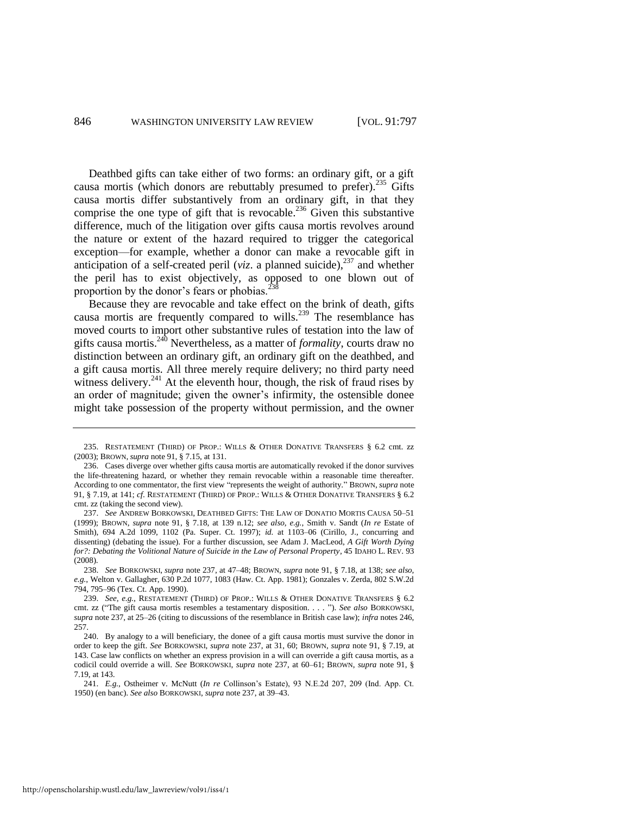Deathbed gifts can take either of two forms: an ordinary gift, or a gift causa mortis (which donors are rebuttably presumed to prefer). $^{235}$  Gifts causa mortis differ substantively from an ordinary gift, in that they comprise the one type of gift that is revocable.<sup>236</sup> Given this substantive difference, much of the litigation over gifts causa mortis revolves around the nature or extent of the hazard required to trigger the categorical exception—for example, whether a donor can make a revocable gift in anticipation of a self-created peril ( $viz$ . a planned suicide),<sup>237</sup> and whether the peril has to exist objectively, as opposed to one blown out of proportion by the donor's fears or phobias.<sup>2</sup>

<span id="page-50-0"></span>Because they are revocable and take effect on the brink of death, gifts causa mortis are frequently compared to wills.<sup>239</sup> The resemblance has moved courts to import other substantive rules of testation into the law of gifts causa mortis.<sup>240</sup> Nevertheless, as a matter of *formality*, courts draw no distinction between an ordinary gift, an ordinary gift on the deathbed, and a gift causa mortis. All three merely require delivery; no third party need witness delivery.<sup>241</sup> At the eleventh hour, though, the risk of fraud rises by an order of magnitude; given the owner's infirmity, the ostensible donee might take possession of the property without permission, and the owner

<sup>235.</sup> RESTATEMENT (THIRD) OF PROP.: WILLS & OTHER DONATIVE TRANSFERS § 6.2 cmt. zz (2003); BROWN, *supra* note 91, § 7.15, at 131.

<sup>236.</sup> Cases diverge over whether gifts causa mortis are automatically revoked if the donor survives the life-threatening hazard, or whether they remain revocable within a reasonable time thereafter. According to one commentator, the first view "represents the weight of authority." BROWN, *supra* note 91, § 7.19, at 141; *cf*. RESTATEMENT (THIRD) OF PROP.: WILLS & OTHER DONATIVE TRANSFERS § 6.2 cmt. zz (taking the second view).

<sup>237.</sup> *See* ANDREW BORKOWSKI, DEATHBED GIFTS: THE LAW OF DONATIO MORTIS CAUSA 50–51 (1999); BROWN, *supra* note [91,](#page-19-0) § 7.18, at 139 n.12; *see also, e.g.*, Smith v. Sandt (*In re* Estate of Smith), 694 A.2d 1099, 1102 (Pa. Super. Ct. 1997); *id.* at 1103–06 (Cirillo, J., concurring and dissenting) (debating the issue). For a further discussion, see Adam J. MacLeod, *A Gift Worth Dying for?: Debating the Volitional Nature of Suicide in the Law of Personal Property*, 45 IDAHO L. REV. 93 (2008).

<sup>238.</sup> *See* BORKOWSKI, *supra* note [237,](#page-50-0) at 47–48; BROWN, *supra* not[e 91,](#page-19-0) § 7.18, at 138; *see also, e.g.*, Welton v. Gallagher, 630 P.2d 1077, 1083 (Haw. Ct. App. 1981); Gonzales v. Zerda, 802 S.W.2d 794, 795–96 (Tex. Ct. App. 1990).

<sup>239.</sup> *See, e.g.*, RESTATEMENT (THIRD) OF PROP.: WILLS & OTHER DONATIVE TRANSFERS § 6.2 cmt. zz ("The gift causa mortis resembles a testamentary disposition. . . . "). *See also* BORKOWSKI, *supra* note 237, at 25–26 (citing to discussions of the resemblance in British case law); *infra* notes 246, 257.

<sup>240.</sup> By analogy to a will beneficiary, the donee of a gift causa mortis must survive the donor in order to keep the gift. *See* BORKOWSKI, *supra* note 237, at 31, 60; BROWN, *supra* note 91, § 7.19, at 143. Case law conflicts on whether an express provision in a will can override a gift causa mortis, as a codicil could override a will. *See* BORKOWSKI, *supra* note 237, at 60–61; BROWN, *supra* note 91, § 7.19, at 143.

<sup>241.</sup> *E.g.*, Ostheimer v. McNutt (*In re* Collinson's Estate), 93 N.E.2d 207, 209 (Ind. App. Ct. 1950) (en banc). *See also* BORKOWSKI, *supra* note 237, at 39–43.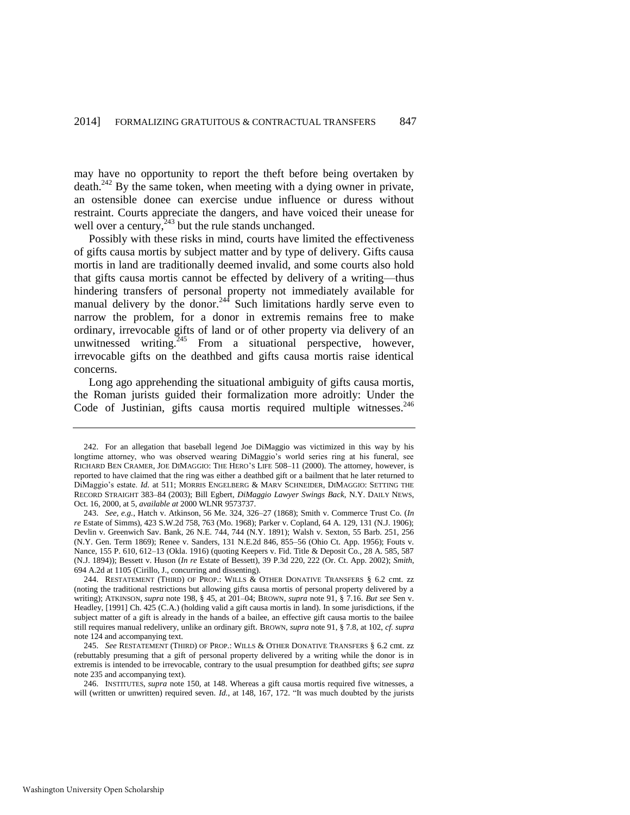may have no opportunity to report the theft before being overtaken by death.<sup>242</sup> By the same token, when meeting with a dying owner in private, an ostensible donee can exercise undue influence or duress without restraint. Courts appreciate the dangers, and have voiced their unease for well over a century,  $^{243}$  but the rule stands unchanged.

<span id="page-51-0"></span>Possibly with these risks in mind, courts have limited the effectiveness of gifts causa mortis by subject matter and by type of delivery. Gifts causa mortis in land are traditionally deemed invalid, and some courts also hold that gifts causa mortis cannot be effected by delivery of a writing—thus hindering transfers of personal property not immediately available for manual delivery by the donor.<sup>244</sup> Such limitations hardly serve even to narrow the problem, for a donor in extremis remains free to make ordinary, irrevocable gifts of land or of other property via delivery of an unwitnessed writing. $245$  From a situational perspective, however, irrevocable gifts on the deathbed and gifts causa mortis raise identical concerns.

Long ago apprehending the situational ambiguity of gifts causa mortis, the Roman jurists guided their formalization more adroitly: Under the Code of Justinian, gifts causa mortis required multiple witnesses.<sup>246</sup>

<sup>242.</sup> For an allegation that baseball legend Joe DiMaggio was victimized in this way by his longtime attorney, who was observed wearing DiMaggio's world series ring at his funeral, see RICHARD BEN CRAMER, JOE DIMAGGIO: THE HERO'S LIFE 508–11 (2000). The attorney, however, is reported to have claimed that the ring was either a deathbed gift or a bailment that he later returned to DiMaggio's estate. *Id.* at 511; MORRIS ENGELBERG & MARV SCHNEIDER, DIMAGGIO: SETTING THE RECORD STRAIGHT 383–84 (2003); Bill Egbert, *DiMaggio Lawyer Swings Back*, N.Y. DAILY NEWS, Oct. 16, 2000, at 5, *available at* 2000 WLNR 9573737.

<sup>243.</sup> *See, e.g.*, Hatch v. Atkinson, 56 Me. 324, 326–27 (1868); Smith v. Commerce Trust Co. (*In re* Estate of Simms), 423 S.W.2d 758, 763 (Mo. 1968); Parker v. Copland, 64 A. 129, 131 (N.J. 1906); Devlin v. Greenwich Sav. Bank, 26 N.E. 744, 744 (N.Y. 1891); Walsh v. Sexton, 55 Barb. 251, 256 (N.Y. Gen. Term 1869); Renee v. Sanders, 131 N.E.2d 846, 855–56 (Ohio Ct. App. 1956); Fouts v. Nance, 155 P. 610, 612–13 (Okla. 1916) (quoting Keepers v. Fid. Title & Deposit Co., 28 A. 585, 587 (N.J. 1894)); Bessett v. Huson (*In re* Estate of Bessett), 39 P.3d 220, 222 (Or. Ct. App. 2002); *Smith*, 694 A.2d at 1105 (Cirillo, J., concurring and dissenting).

<sup>244.</sup> RESTATEMENT (THIRD) OF PROP.: WILLS & OTHER DONATIVE TRANSFERS § 6.2 cmt. zz (noting the traditional restrictions but allowing gifts causa mortis of personal property delivered by a writing); ATKINSON, *supra* note [198,](#page-42-1) § 45, at 201–04; BROWN, *supra* not[e 91,](#page-19-0) § 7.16. *But see* Sen v. Headley, [1991] Ch. 425 (C.A.) (holding valid a gift causa mortis in land). In some jurisdictions, if the subject matter of a gift is already in the hands of a bailee, an effective gift causa mortis to the bailee still requires manual redelivery, unlike an ordinary gift. BROWN, *supra* note 91, § 7.8, at 102, *cf. supra* note [124 a](#page-24-1)nd accompanying text.

<sup>245.</sup> *See* RESTATEMENT (THIRD) OF PROP.: WILLS & OTHER DONATIVE TRANSFERS § 6.2 cmt. zz (rebuttably presuming that a gift of personal property delivered by a writing while the donor is in extremis is intended to be irrevocable, contrary to the usual presumption for deathbed gifts; *see supra* note 235 and accompanying text).

<sup>246.</sup> INSTITUTES, *supra* note 150, at 148. Whereas a gift causa mortis required five witnesses, a will (written or unwritten) required seven. *Id.*, at 148, 167, 172. "It was much doubted by the jurists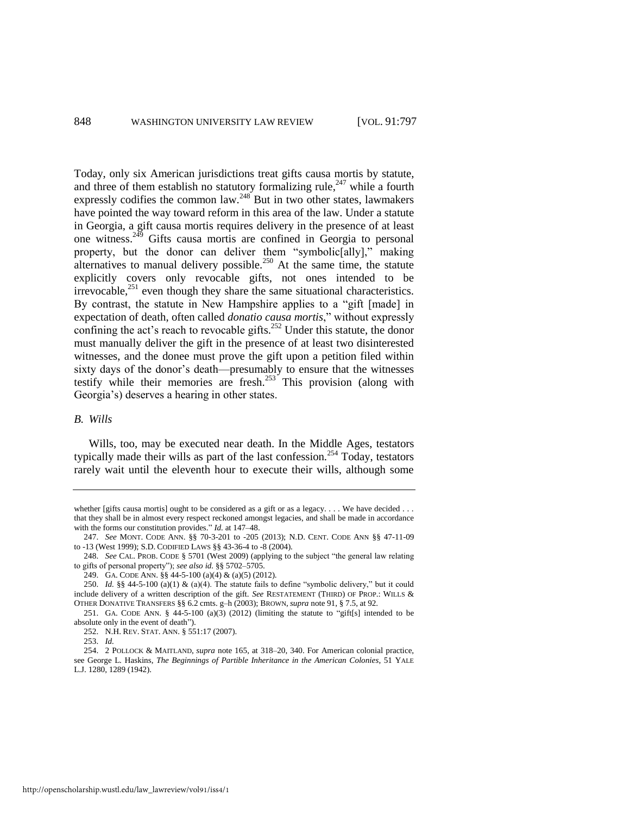Today, only six American jurisdictions treat gifts causa mortis by statute, and three of them establish no statutory formalizing rule,<sup>247</sup> while a fourth expressly codifies the common law.<sup>248</sup> But in two other states, lawmakers have pointed the way toward reform in this area of the law. Under a statute in Georgia, a gift causa mortis requires delivery in the presence of at least one witness.<sup>249</sup> Gifts causa mortis are confined in Georgia to personal property, but the donor can deliver them "symbolic[ally]," making alternatives to manual delivery possible.<sup>250</sup> At the same time, the statute explicitly covers only revocable gifts, not ones intended to be irrevocable,<sup>251</sup> even though they share the same situational characteristics. By contrast, the statute in New Hampshire applies to a "gift [made] in expectation of death, often called *donatio causa mortis*," without expressly confining the act's reach to revocable gifts.<sup>252</sup> Under this statute, the donor must manually deliver the gift in the presence of at least two disinterested witnesses, and the donee must prove the gift upon a petition filed within sixty days of the donor's death—presumably to ensure that the witnesses testify while their memories are fresh.<sup>253</sup> This provision (along with Georgia's) deserves a hearing in other states.

#### *B. Wills*

Wills, too, may be executed near death. In the Middle Ages, testators typically made their wills as part of the last confession.<sup>254</sup> Today, testators rarely wait until the eleventh hour to execute their wills, although some

whether [gifts causa mortis] ought to be considered as a gift or as a legacy. . . . We have decided . . . that they shall be in almost every respect reckoned amongst legacies, and shall be made in accordance with the forms our constitution provides." *Id.* at 147–48.

<sup>247.</sup> *See* MONT. CODE ANN. §§ 70-3-201 to -205 (2013); N.D. CENT. CODE ANN §§ 47-11-09 to -13 (West 1999); S.D. CODIFIED LAWS §§ 43-36-4 to -8 (2004).

<sup>248.</sup> *See* CAL. PROB. CODE § 5701 (West 2009) (applying to the subject "the general law relating to gifts of personal property"); *see also id.* §§ 5702–5705.

<sup>249.</sup> GA. CODE ANN. §§ 44-5-100 (a)(4) & (a)(5) (2012).

<sup>250.</sup> *Id.* §§ 44-5-100 (a)(1) & (a)(4). The statute fails to define "symbolic delivery," but it could include delivery of a written description of the gift. *See* RESTATEMENT (THIRD) OF PROP.: WILLS & OTHER DONATIVE TRANSFERS §§ 6.2 cmts. g–h (2003); BROWN, *supra* not[e 91,](#page-19-0) § 7.5, at 92.

<sup>251.</sup> GA. CODE ANN.  $\S$  44-5-100 (a)(3) (2012) (limiting the statute to "gift[s] intended to be absolute only in the event of death").

<sup>252.</sup> N.H. REV. STAT. ANN. § 551:17 (2007).

<sup>253.</sup> *Id.*

<sup>254. 2</sup> POLLOCK & MAITLAND, *supra* note [165,](#page-35-1) at 318–20, 340. For American colonial practice, see George L. Haskins, *The Beginnings of Partible Inheritance in the American Colonies*, 51 YALE L.J. 1280, 1289 (1942).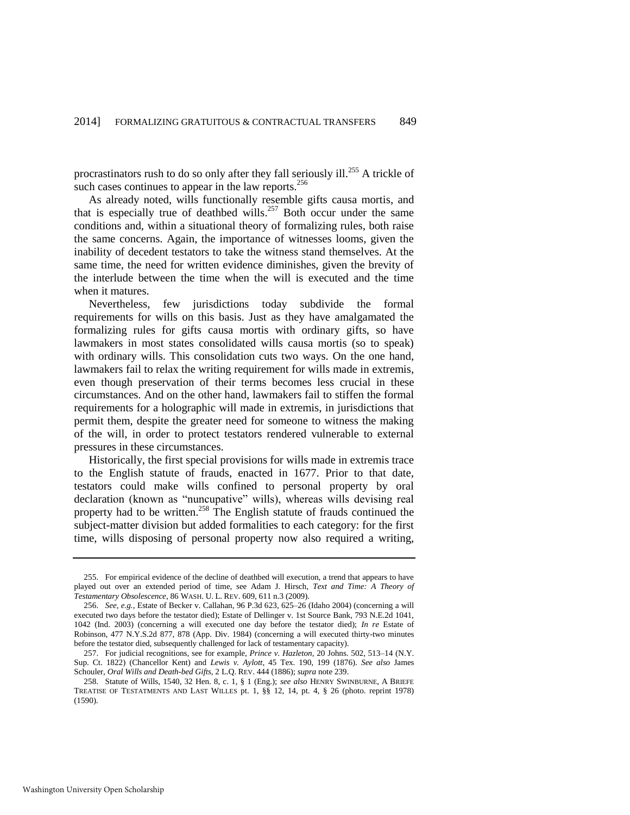procrastinators rush to do so only after they fall seriously ill.<sup>255</sup> A trickle of such cases continues to appear in the law reports.<sup>256</sup>

As already noted, wills functionally resemble gifts causa mortis, and that is especially true of deathbed wills.<sup>257</sup> Both occur under the same conditions and, within a situational theory of formalizing rules, both raise the same concerns. Again, the importance of witnesses looms, given the inability of decedent testators to take the witness stand themselves. At the same time, the need for written evidence diminishes, given the brevity of the interlude between the time when the will is executed and the time when it matures.

Nevertheless, few jurisdictions today subdivide the formal requirements for wills on this basis. Just as they have amalgamated the formalizing rules for gifts causa mortis with ordinary gifts, so have lawmakers in most states consolidated wills causa mortis (so to speak) with ordinary wills. This consolidation cuts two ways. On the one hand, lawmakers fail to relax the writing requirement for wills made in extremis, even though preservation of their terms becomes less crucial in these circumstances. And on the other hand, lawmakers fail to stiffen the formal requirements for a holographic will made in extremis, in jurisdictions that permit them, despite the greater need for someone to witness the making of the will, in order to protect testators rendered vulnerable to external pressures in these circumstances.

Historically, the first special provisions for wills made in extremis trace to the English statute of frauds, enacted in 1677. Prior to that date, testators could make wills confined to personal property by oral declaration (known as "nuncupative" wills), whereas wills devising real property had to be written.<sup>258</sup> The English statute of frauds continued the subject-matter division but added formalities to each category: for the first time, wills disposing of personal property now also required a writing,

<sup>255.</sup> For empirical evidence of the decline of deathbed will execution, a trend that appears to have played out over an extended period of time, see Adam J. Hirsch, *Text and Time: A Theory of Testamentary Obsolescence*, 86 WASH. U. L. REV. 609, 611 n.3 (2009).

<sup>256.</sup> *See, e.g.*, Estate of Becker v. Callahan, 96 P.3d 623, 625–26 (Idaho 2004) (concerning a will executed two days before the testator died); Estate of Dellinger v. 1st Source Bank, 793 N.E.2d 1041, 1042 (Ind. 2003) (concerning a will executed one day before the testator died); *In re* Estate of Robinson, 477 N.Y.S.2d 877, 878 (App. Div. 1984) (concerning a will executed thirty-two minutes before the testator died, subsequently challenged for lack of testamentary capacity).

<sup>257.</sup> For judicial recognitions, see for example, *Prince v. Hazleton*, 20 Johns. 502, 513–14 (N.Y. Sup. Ct. 1822) (Chancellor Kent) and *Lewis v. Aylott*, 45 Tex. 190, 199 (1876). *See also* James Schouler, *Oral Wills and Death-bed Gifts*, 2 L.Q. REV. 444 (1886); *supra* note 239.

<sup>258.</sup> Statute of Wills, 1540, 32 Hen. 8, c. 1, § 1 (Eng.); *see also* HENRY SWINBURNE, A BRIEFE TREATISE OF TESTATMENTS AND LAST WILLES pt. 1, §§ 12, 14, pt. 4, § 26 (photo. reprint 1978) (1590).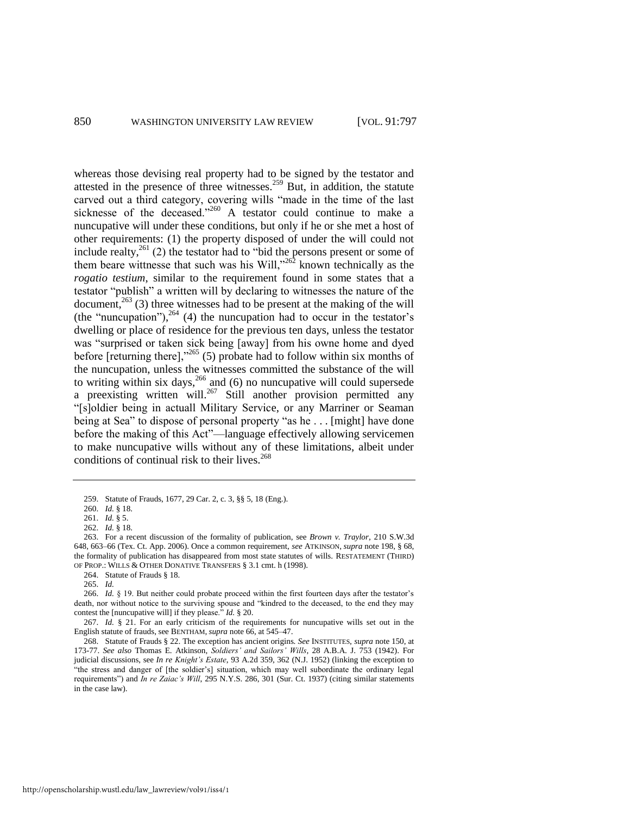whereas those devising real property had to be signed by the testator and attested in the presence of three witnesses.<sup>259</sup> But, in addition, the statute carved out a third category, covering wills "made in the time of the last sicknesse of the deceased."<sup>260</sup> A testator could continue to make a nuncupative will under these conditions, but only if he or she met a host of other requirements: (1) the property disposed of under the will could not include realty,  $^{261}$  (2) the testator had to "bid the persons present or some of them beare wittnesse that such was his Will, $^{262}$  known technically as the *rogatio testium*, similar to the requirement found in some states that a testator "publish" a written will by declaring to witnesses the nature of the document,<sup>263</sup> (3) three witnesses had to be present at the making of the will (the "nuncupation"), $^{264}$  (4) the nuncupation had to occur in the testator's dwelling or place of residence for the previous ten days, unless the testator was "surprised or taken sick being [away] from his owne home and dyed before [returning there],<sup>2265</sup> (5) probate had to follow within six months of the nuncupation, unless the witnesses committed the substance of the will to writing within six days,  $266$  and (6) no nuncupative will could supersede a preexisting written will.<sup>267</sup> Still another provision permitted any "[s]oldier being in actuall Military Service, or any Marriner or Seaman being at Sea" to dispose of personal property "as he . . . [might] have done before the making of this Act"—language effectively allowing servicemen to make nuncupative wills without any of these limitations, albeit under conditions of continual risk to their lives.<sup>268</sup>

http://openscholarship.wustl.edu/law\_lawreview/vol91/iss4/1

<span id="page-54-0"></span><sup>259.</sup> Statute of Frauds, 1677, 29 Car. 2, c. 3, §§ 5, 18 (Eng.).

<sup>260.</sup> *Id.* § 18.

<sup>261.</sup> *Id.* § 5.

<sup>262.</sup> *Id.* § 18.

<sup>263.</sup> For a recent discussion of the formality of publication, see *Brown v. Traylor*, 210 S.W.3d 648, 663–66 (Tex. Ct. App. 2006). Once a common requirement, *see* ATKINSON, *supra* not[e 198,](#page-42-1) § 68, the formality of publication has disappeared from most state statutes of wills. RESTATEMENT (THIRD) OF PROP.: WILLS & OTHER DONATIVE TRANSFERS § 3.1 cmt. h (1998).

<sup>264.</sup> Statute of Frauds § 18.

<sup>265.</sup> *Id.*

<sup>266.</sup> *Id.* § 19. But neither could probate proceed within the first fourteen days after the testator's death, nor without notice to the surviving spouse and "kindred to the deceased, to the end they may contest the [nuncupative will] if they please." *Id.* § 20.

<sup>267.</sup> *Id.* § 21. For an early criticism of the requirements for nuncupative wills set out in the English statute of frauds, see BENTHAM, *supra* not[e 66,](#page-14-0) at 545–47.

<sup>268.</sup> Statute of Frauds § 22. The exception has ancient origins. *See* INSTITUTES, *supra* note 150, at 173-77. *See also* Thomas E. Atkinson, *Soldiers' and Sailors' Wills*, 28 A.B.A. J. 753 (1942). For judicial discussions, see *In re Knight's Estate*, 93 A.2d 359, 362 (N.J. 1952) (linking the exception to "the stress and danger of [the soldier's] situation, which may well subordinate the ordinary legal requirements") and *In re Zaiac's Will*, 295 N.Y.S. 286, 301 (Sur. Ct. 1937) (citing similar statements in the case law).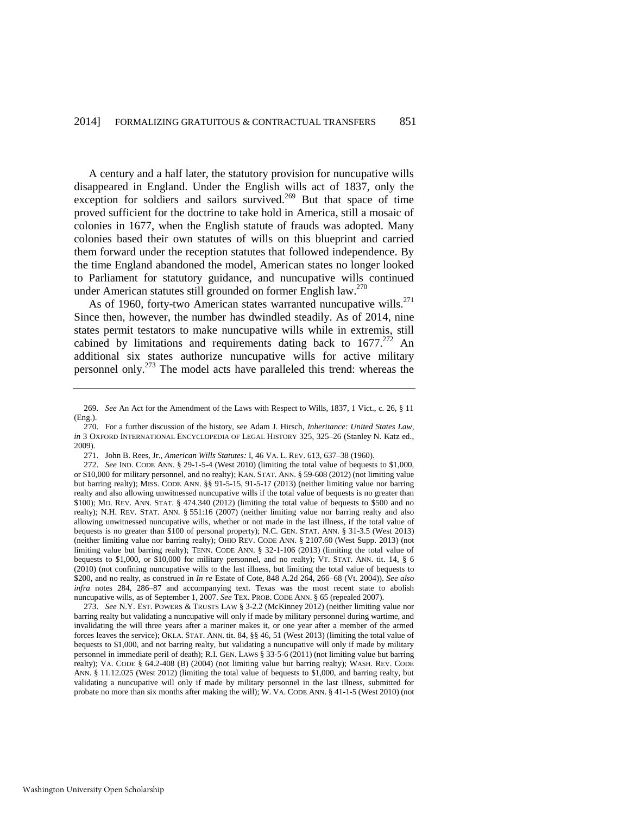A century and a half later, the statutory provision for nuncupative wills disappeared in England. Under the English wills act of 1837, only the exception for soldiers and sailors survived.<sup>269</sup> But that space of time proved sufficient for the doctrine to take hold in America, still a mosaic of colonies in 1677, when the English statute of frauds was adopted. Many colonies based their own statutes of wills on this blueprint and carried them forward under the reception statutes that followed independence. By the time England abandoned the model, American states no longer looked to Parliament for statutory guidance, and nuncupative wills continued under American statutes still grounded on former English law.<sup>270</sup>

<span id="page-55-1"></span>As of 1960, forty-two American states warranted nuncupative wills.<sup>271</sup> Since then, however, the number has dwindled steadily. As of 2014, nine states permit testators to make nuncupative wills while in extremis, still cabined by limitations and requirements dating back to  $1677.^{272}$  An additional six states authorize nuncupative wills for active military personnel only.<sup>273</sup> The model acts have paralleled this trend: whereas the

<span id="page-55-0"></span><sup>269.</sup> *See* An Act for the Amendment of the Laws with Respect to Wills, 1837, 1 Vict., c. 26, § 11 (Eng.).

<sup>270.</sup> For a further discussion of the history, see Adam J. Hirsch, *Inheritance: United States Law*, *in* 3 OXFORD INTERNATIONAL ENCYCLOPEDIA OF LEGAL HISTORY 325, 325–26 (Stanley N. Katz ed., 2009).

<sup>271.</sup> John B. Rees, Jr., *American Wills Statutes:* I, 46 VA. L. REV. 613, 637–38 (1960).

<sup>272.</sup> *See* IND. CODE ANN. § 29-1-5-4 (West 2010) (limiting the total value of bequests to \$1,000, or \$10,000 for military personnel, and no realty); KAN. STAT. ANN. § 59-608 (2012) (not limiting value but barring realty); MISS. CODE ANN. §§ 91-5-15, 91-5-17 (2013) (neither limiting value nor barring realty and also allowing unwitnessed nuncupative wills if the total value of bequests is no greater than \$100); MO. REV. ANN. STAT. § 474.340 (2012) (limiting the total value of bequests to \$500 and no realty); N.H. REV. STAT. ANN. § 551:16 (2007) (neither limiting value nor barring realty and also allowing unwitnessed nuncupative wills, whether or not made in the last illness, if the total value of bequests is no greater than \$100 of personal property); N.C. GEN. STAT. ANN. § 31-3.5 (West 2013) (neither limiting value nor barring realty); OHIO REV. CODE ANN. § 2107.60 (West Supp. 2013) (not limiting value but barring realty); TENN. CODE ANN. § 32-1-106 (2013) (limiting the total value of bequests to \$1,000, or \$10,000 for military personnel, and no realty); VT. STAT. ANN. tit. 14, § 6 (2010) (not confining nuncupative wills to the last illness, but limiting the total value of bequests to \$200, and no realty, as construed in *In re* Estate of Cote, 848 A.2d 264, 266–68 (Vt. 2004)). *See also infra* notes 284, 286–87 and accompanying text. Texas was the most recent state to abolish nuncupative wills, as of September 1, 2007. *See* TEX. PROB. CODE ANN. § 65 (repealed 2007).

<sup>273.</sup> *See* N.Y. EST. POWERS & TRUSTS LAW § 3-2.2 (McKinney 2012) (neither limiting value nor barring realty but validating a nuncupative will only if made by military personnel during wartime, and invalidating the will three years after a mariner makes it, or one year after a member of the armed forces leaves the service); OKLA. STAT. ANN. tit. 84, §§ 46, 51 (West 2013) (limiting the total value of bequests to \$1,000, and not barring realty, but validating a nuncupative will only if made by military personnel in immediate peril of death); R.I. GEN. LAWS § 33-5-6 (2011) (not limiting value but barring realty); VA. CODE § 64.2-408 (B) (2004) (not limiting value but barring realty); WASH. REV. CODE ANN. § 11.12.025 (West 2012) (limiting the total value of bequests to \$1,000, and barring realty, but validating a nuncupative will only if made by military personnel in the last illness, submitted for probate no more than six months after making the will); W. VA. CODE ANN. § 41-1-5 (West 2010) (not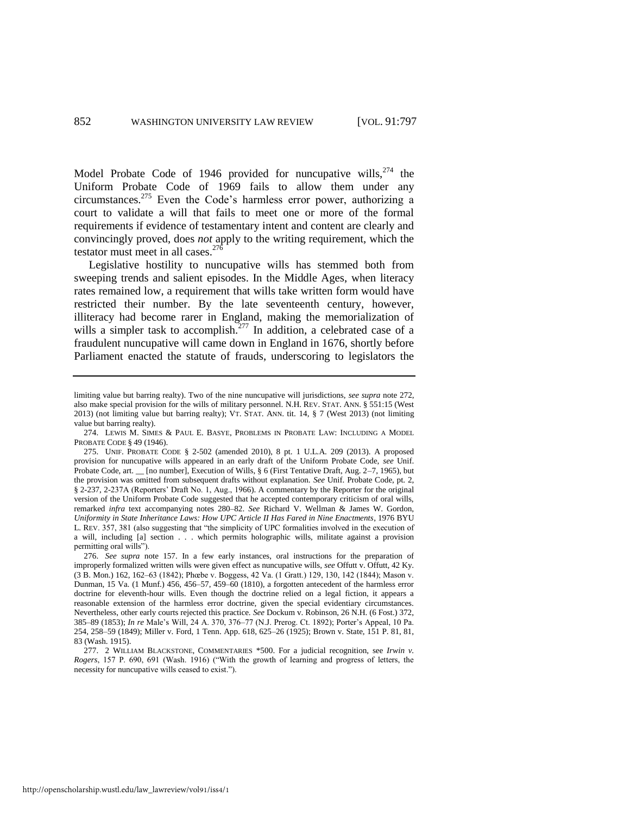<span id="page-56-0"></span>Model Probate Code of 1946 provided for nuncupative wills, $274$  the Uniform Probate Code of 1969 fails to allow them under any circumstances.<sup>275</sup> Even the Code's harmless error power, authorizing a court to validate a will that fails to meet one or more of the formal requirements if evidence of testamentary intent and content are clearly and convincingly proved, does *not* apply to the writing requirement, which the testator must meet in all cases.  $27\overline{6}$ 

Legislative hostility to nuncupative wills has stemmed both from sweeping trends and salient episodes. In the Middle Ages, when literacy rates remained low, a requirement that wills take written form would have restricted their number. By the late seventeenth century, however, illiteracy had become rarer in England, making the memorialization of wills a simpler task to accomplish.<sup>277</sup> In addition, a celebrated case of a fraudulent nuncupative will came down in England in 1676, shortly before Parliament enacted the statute of frauds, underscoring to legislators the

limiting value but barring realty). Two of the nine nuncupative will jurisdictions, *see supra* note 272, also make special provision for the wills of military personnel. N.H. REV. STAT. ANN. § 551:15 (West 2013) (not limiting value but barring realty); VT. STAT. ANN. tit. 14, § 7 (West 2013) (not limiting value but barring realty).

<sup>274.</sup> LEWIS M. SIMES & PAUL E. BASYE, PROBLEMS IN PROBATE LAW: INCLUDING A MODEL PROBATE CODE § 49 (1946).

<sup>275.</sup> UNIF. PROBATE CODE § 2-502 (amended 2010), 8 pt. 1 U.L.A. 209 (2013). A proposed provision for nuncupative wills appeared in an early draft of the Uniform Probate Code, *see* Unif. Probate Code, art. \_\_ [no number], Execution of Wills, § 6 (First Tentative Draft, Aug. 2–7, 1965), but the provision was omitted from subsequent drafts without explanation. *See* Unif. Probate Code, pt. 2, § 2-237, 2-237A (Reporters' Draft No. 1, Aug., 1966). A commentary by the Reporter for the original version of the Uniform Probate Code suggested that he accepted contemporary criticism of oral wills, remarked *infra* text accompanying notes 280–82. *See* Richard V. Wellman & James W. Gordon, *Uniformity in State Inheritance Laws: How UPC Article II Has Fared in Nine Enactments*, 1976 BYU L. REV. 357, 381 (also suggesting that "the simplicity of UPC formalities involved in the execution of a will, including [a] section . . . which permits holographic wills, militate against a provision permitting oral wills").

<sup>276.</sup> *See supra* note [157.](#page-32-0) In a few early instances, oral instructions for the preparation of improperly formalized written wills were given effect as nuncupative wills, *see* Offutt v. Offutt, 42 Ky. (3 B. Mon.) 162, 162–63 (1842); Phœbe v. Boggess, 42 Va. (1 Gratt.) 129, 130, 142 (1844); Mason v. Dunman, 15 Va. (1 Munf.) 456, 456–57, 459–60 (1810), a forgotten antecedent of the harmless error doctrine for eleventh-hour wills. Even though the doctrine relied on a legal fiction, it appears a reasonable extension of the harmless error doctrine, given the special evidentiary circumstances. Nevertheless, other early courts rejected this practice. *See* Dockum v. Robinson, 26 N.H. (6 Fost.) 372, 385–89 (1853); *In re* Male's Will, 24 A. 370, 376–77 (N.J. Prerog. Ct. 1892); Porter's Appeal, 10 Pa. 254, 258–59 (1849); Miller v. Ford, 1 Tenn. App. 618, 625–26 (1925); Brown v. State, 151 P. 81, 81, 83 (Wash. 1915).

<sup>277. 2</sup> WILLIAM BLACKSTONE, COMMENTARIES \*500. For a judicial recognition, see *Irwin v. Rogers*, 157 P. 690, 691 (Wash. 1916) ("With the growth of learning and progress of letters, the necessity for nuncupative wills ceased to exist.").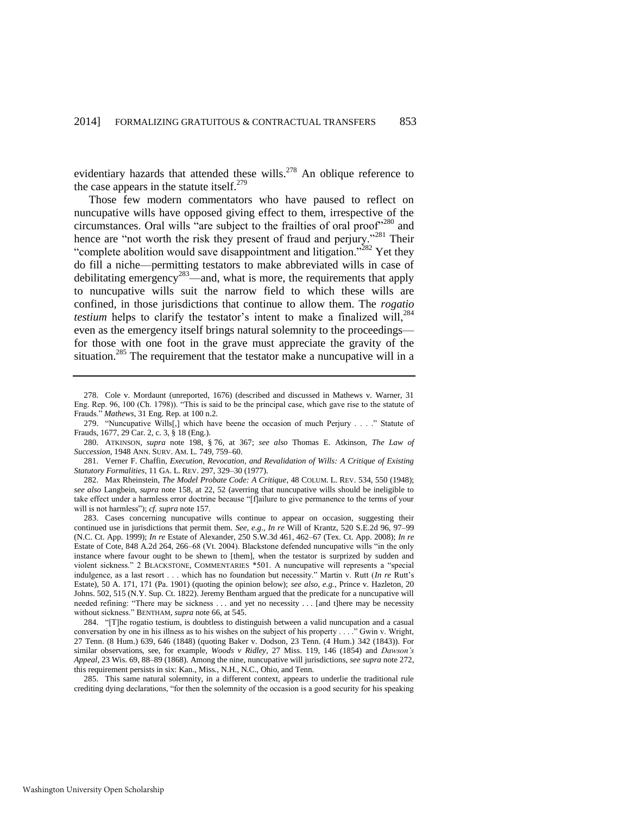evidentiary hazards that attended these wills.<sup>278</sup> An oblique reference to the case appears in the statute itself. $279$ 

<span id="page-57-2"></span><span id="page-57-1"></span>Those few modern commentators who have paused to reflect on nuncupative wills have opposed giving effect to them, irrespective of the circumstances. Oral wills "are subject to the frailties of oral proof"<sup>280</sup> and hence are "not worth the risk they present of fraud and perjury."<sup>281</sup> Their "complete abolition would save disappointment and litigation."<sup> $282$ </sup> Yet they do fill a niche—permitting testators to make abbreviated wills in case of debilitating emergency<sup>283</sup>—and, what is more, the requirements that apply to nuncupative wills suit the narrow field to which these wills are confined, in those jurisdictions that continue to allow them. The *rogatio testium* helps to clarify the testator's intent to make a finalized will,<sup>284</sup> even as the emergency itself brings natural solemnity to the proceedings for those with one foot in the grave must appreciate the gravity of the situation.<sup>285</sup> The requirement that the testator make a nuncupative will in a

<span id="page-57-0"></span><sup>278.</sup> Cole v. Mordaunt (unreported, 1676) (described and discussed in Mathews v. Warner, 31 Eng. Rep. 96, 100 (Ch. 1798)). "This is said to be the principal case, which gave rise to the statute of Frauds." *Mathews*, 31 Eng. Rep. at 100 n.2.

<sup>279. &</sup>quot;Nuncupative Wills[,] which have beene the occasion of much Perjury . . . ." Statute of Frauds, 1677, 29 Car. 2, c. 3, § 18 (Eng.).

<sup>280.</sup> ATKINSON, *supra* note [198,](#page-42-1) § 76, at 367; *see also* Thomas E. Atkinson, *The Law of Succession*, 1948 ANN. SURV. AM. L. 749, 759–60.

<sup>281.</sup> Verner F. Chaffin, *Execution, Revocation, and Revalidation of Wills: A Critique of Existing Statutory Formalities*, 11 GA. L. REV. 297, 329–30 (1977).

<sup>282.</sup> Max Rheinstein, *The Model Probate Code: A Critique*, 48 COLUM. L. REV. 534, 550 (1948); *see also* Langbein, *supra* note [158,](#page-32-1) at 22, 52 (averring that nuncupative wills should be ineligible to take effect under a harmless error doctrine because "[f]ailure to give permanence to the terms of your will is not harmless"); *cf. supra* not[e 157.](#page-32-0) 

<sup>283.</sup> Cases concerning nuncupative wills continue to appear on occasion, suggesting their continued use in jurisdictions that permit them. *See, e.g*., *In re* Will of Krantz, 520 S.E.2d 96, 97–99 (N.C. Ct. App. 1999); *In re* Estate of Alexander, 250 S.W.3d 461, 462–67 (Tex. Ct. App. 2008); *In re* Estate of Cote, 848 A.2d 264, 266–68 (Vt. 2004). Blackstone defended nuncupative wills "in the only instance where favour ought to be shewn to [them], when the testator is surprized by sudden and violent sickness." 2 BLACKSTONE, COMMENTARIES \*501. A nuncupative will represents a "special indulgence, as a last resort . . . which has no foundation but necessity." Martin v. Rutt (*In re* Rutt's Estate), 50 A. 171, 171 (Pa. 1901) (quoting the opinion below); *see also, e.g.*, Prince v. Hazleton, 20 Johns. 502, 515 (N.Y. Sup. Ct. 1822). Jeremy Bentham argued that the predicate for a nuncupative will needed refining: "There may be sickness . . . and yet no necessity . . . [and t]here may be necessity without sickness." BENTHAM, *supra* note [66,](#page-14-0) at 545.

<sup>284. &</sup>quot;[T]he rogatio testium, is doubtless to distinguish between a valid nuncupation and a casual conversation by one in his illness as to his wishes on the subject of his property . . . ." Gwin v. Wright, 27 Tenn. (8 Hum.) 639, 646 (1848) (quoting Baker v. Dodson, 23 Tenn. (4 Hum.) 342 (1843)). For similar observations, see, for example, *Woods v Ridley*, 27 Miss. 119, 146 (1854) and *Dawson's Appeal*, 23 Wis. 69, 88–89 (1868). Among the nine, nuncupative will jurisdictions, *see supra* not[e 272,](#page-55-1)  this requirement persists in six: Kan., Miss., N.H., N.C., Ohio, and Tenn.

<sup>285.</sup> This same natural solemnity, in a different context, appears to underlie the traditional rule crediting dying declarations, "for then the solemnity of the occasion is a good security for his speaking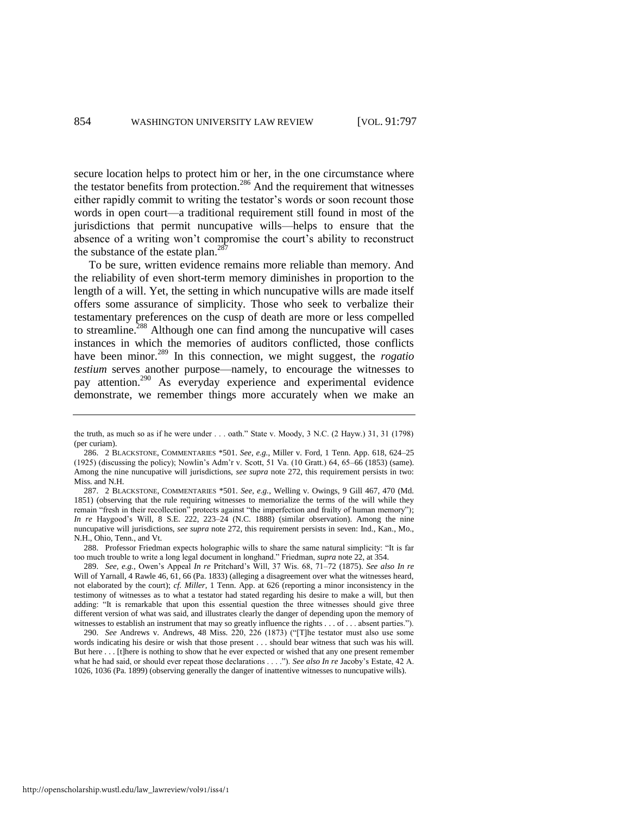secure location helps to protect him or her, in the one circumstance where the testator benefits from protection.<sup>286</sup> And the requirement that witnesses either rapidly commit to writing the testator's words or soon recount those words in open court—a traditional requirement still found in most of the jurisdictions that permit nuncupative wills—helps to ensure that the absence of a writing won't compromise the court's ability to reconstruct the substance of the estate plan.<sup>287</sup>

<span id="page-58-0"></span>To be sure, written evidence remains more reliable than memory. And the reliability of even short-term memory diminishes in proportion to the length of a will. Yet, the setting in which nuncupative wills are made itself offers some assurance of simplicity. Those who seek to verbalize their testamentary preferences on the cusp of death are more or less compelled to streamline.<sup>288</sup> Although one can find among the nuncupative will cases instances in which the memories of auditors conflicted, those conflicts have been minor.<sup>289</sup> In this connection, we might suggest, the *rogatio testium* serves another purpose—namely, to encourage the witnesses to pay attention.<sup>290</sup> As everyday experience and experimental evidence demonstrate, we remember things more accurately when we make an

288. Professor Friedman expects holographic wills to share the same natural simplicity: "It is far too much trouble to write a long legal document in longhand." Friedman, *supra* not[e 22,](#page-7-0) at 354.

290. *See* Andrews v. Andrews, 48 Miss. 220, 226 (1873) ("[T]he testator must also use some words indicating his desire or wish that those present . . . should bear witness that such was his will. But here . . . [t]here is nothing to show that he ever expected or wished that any one present remember what he had said, or should ever repeat those declarations . . . ."). *See also In re* Jacoby's Estate, 42 A. 1026, 1036 (Pa. 1899) (observing generally the danger of inattentive witnesses to nuncupative wills).

the truth, as much so as if he were under . . . oath." State v. Moody, 3 N.C. (2 Hayw.) 31, 31 (1798) (per curiam).

<sup>286. 2</sup> BLACKSTONE, COMMENTARIES \*501. *See, e.g.*, Miller v. Ford, 1 Tenn. App. 618, 624–25 (1925) (discussing the policy); Nowlin's Adm'r v. Scott, 51 Va. (10 Gratt.) 64, 65–66 (1853) (same). Among the nine nuncupative will jurisdictions, *see supra* note [272,](#page-55-1) this requirement persists in two: Miss. and N.H.

<sup>287. 2</sup> BLACKSTONE, COMMENTARIES \*501. *See, e.g.*, Welling v. Owings, 9 Gill 467, 470 (Md. 1851) (observing that the rule requiring witnesses to memorialize the terms of the will while they remain "fresh in their recollection" protects against "the imperfection and frailty of human memory"); *In re* Haygood's Will, 8 S.E. 222, 223–24 (N.C. 1888) (similar observation). Among the nine nuncupative will jurisdictions, *see supra* not[e 272,](#page-55-1) this requirement persists in seven: Ind., Kan., Mo., N.H., Ohio, Tenn., and Vt.

<sup>289.</sup> *See, e.g.*, Owen's Appeal *In re* Pritchard's Will, 37 Wis. 68, 71–72 (1875). *See also In re* Will of Yarnall, 4 Rawle 46, 61, 66 (Pa. 1833) (alleging a disagreement over what the witnesses heard, not elaborated by the court); *cf. Miller*, 1 Tenn. App. at 626 (reporting a minor inconsistency in the testimony of witnesses as to what a testator had stated regarding his desire to make a will, but then adding: "It is remarkable that upon this essential question the three witnesses should give three different version of what was said, and illustrates clearly the danger of depending upon the memory of witnesses to establish an instrument that may so greatly influence the rights . . . of . . . absent parties.").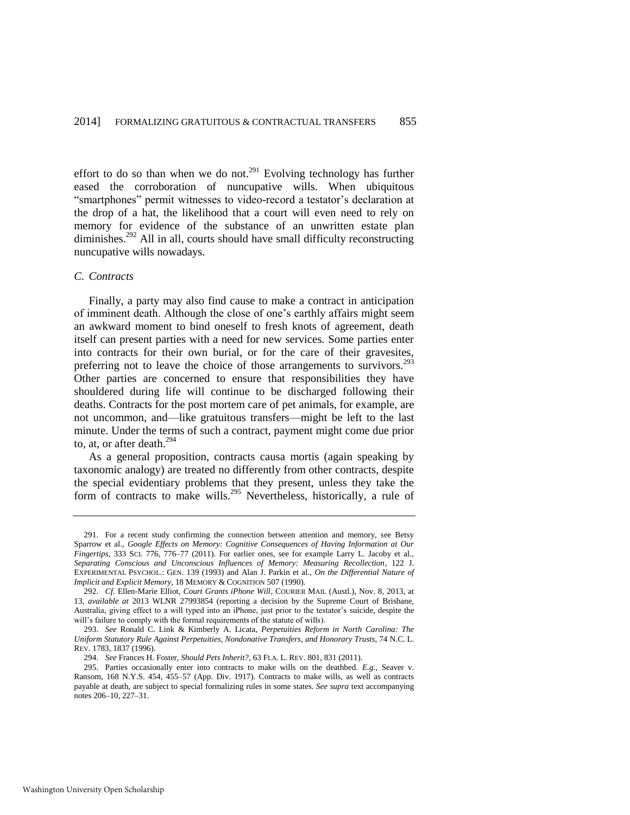effort to do so than when we do not.<sup>291</sup> Evolving technology has further eased the corroboration of nuncupative wills. When ubiquitous "smartphones" permit witnesses to video-record a testator's declaration at the drop of a hat, the likelihood that a court will even need to rely on memory for evidence of the substance of an unwritten estate plan diminishes.<sup>292</sup> All in all, courts should have small difficulty reconstructing nuncupative wills nowadays.

#### *C. Contracts*

Finally, a party may also find cause to make a contract in anticipation of imminent death. Although the close of one's earthly affairs might seem an awkward moment to bind oneself to fresh knots of agreement, death itself can present parties with a need for new services. Some parties enter into contracts for their own burial, or for the care of their gravesites, preferring not to leave the choice of those arrangements to survivors.<sup>293</sup> Other parties are concerned to ensure that responsibilities they have shouldered during life will continue to be discharged following their deaths. Contracts for the post mortem care of pet animals, for example, are not uncommon, and—like gratuitous transfers—might be left to the last minute. Under the terms of such a contract, payment might come due prior to, at, or after death.<sup>294</sup>

As a general proposition, contracts causa mortis (again speaking by taxonomic analogy) are treated no differently from other contracts, despite the special evidentiary problems that they present, unless they take the form of contracts to make wills.<sup>295</sup> Nevertheless, historically, a rule of

<sup>291.</sup> For a recent study confirming the connection between attention and memory, see Betsy Sparrow et al., *Google Effects on Memory: Cognitive Consequences of Having Information at Our Fingertips*, 333 SCI. 776, 776–77 (2011). For earlier ones, see for example Larry L. Jacoby et al., *Separating Conscious and Unconscious Influences of Memory: Measuring Recollection*, 122 J. EXPERIMENTAL PSYCHOL.: GEN. 139 (1993) and Alan J. Parkin et al., *On the Differential Nature of Implicit and Explicit Memory*, 18 MEMORY & COGNITION 507 (1990).

<sup>292.</sup> *Cf.* Ellen-Marie Elliot, *Court Grants iPhone Will*, COURIER MAIL (Austl.), Nov. 8, 2013, at 13, *available at* 2013 WLNR 27993854 (reporting a decision by the Supreme Court of Brisbane, Australia, giving effect to a will typed into an iPhone, just prior to the testator's suicide, despite the will's failure to comply with the formal requirements of the statute of wills).

<sup>293.</sup> *See* Ronald C. Link & Kimberly A. Licata, *Perpetuities Reform in North Carolina: The Uniform Statutory Rule Against Perpetuities, Nondonative Transfers, and Honorary Trusts*, 74 N.C. L. REV. 1783, 1837 (1996).

<sup>294.</sup> *See* Frances H. Foster, *Should Pets Inherit?*, 63 FLA. L. REV. 801, 831 (2011).

<sup>295.</sup> Parties occasionally enter into contracts to make wills on the deathbed. *E.g.*, Seaver v. Ransom, 168 N.Y.S. 454, 455–57 (App. Div. 1917). Contracts to make wills, as well as contracts payable at death, are subject to special formalizing rules in some states. *See supra* text accompanying notes 206–10, 227–31.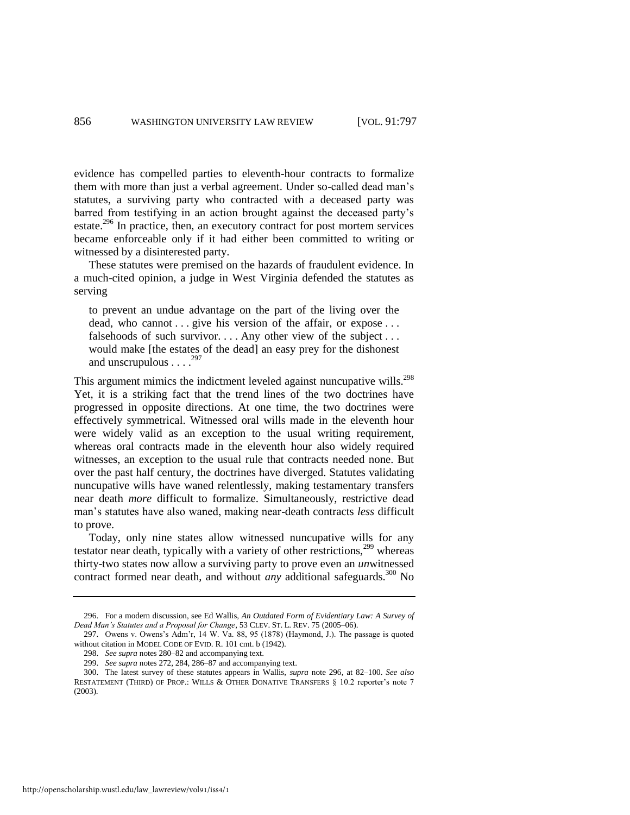evidence has compelled parties to eleventh-hour contracts to formalize them with more than just a verbal agreement. Under so-called dead man's statutes, a surviving party who contracted with a deceased party was barred from testifying in an action brought against the deceased party's estate.<sup>296</sup> In practice, then, an executory contract for post mortem services became enforceable only if it had either been committed to writing or witnessed by a disinterested party.

<span id="page-60-0"></span>These statutes were premised on the hazards of fraudulent evidence. In a much-cited opinion, a judge in West Virginia defended the statutes as serving

to prevent an undue advantage on the part of the living over the dead, who cannot . . . give his version of the affair, or expose . . . falsehoods of such survivor. . . . Any other view of the subject . . . would make [the estates of the dead] an easy prey for the dishonest and unscrupulous  $\ldots$ <sup>297</sup>

This argument mimics the indictment leveled against nuncupative wills.<sup>298</sup> Yet, it is a striking fact that the trend lines of the two doctrines have progressed in opposite directions. At one time, the two doctrines were effectively symmetrical. Witnessed oral wills made in the eleventh hour were widely valid as an exception to the usual writing requirement, whereas oral contracts made in the eleventh hour also widely required witnesses, an exception to the usual rule that contracts needed none. But over the past half century, the doctrines have diverged. Statutes validating nuncupative wills have waned relentlessly, making testamentary transfers near death *more* difficult to formalize. Simultaneously, restrictive dead man's statutes have also waned, making near-death contracts *less* difficult to prove.

Today, only nine states allow witnessed nuncupative wills for any testator near death, typically with a variety of other restrictions, $299$  whereas thirty-two states now allow a surviving party to prove even an *un*witnessed contract formed near death, and without *any* additional safeguards.<sup>300</sup> No

298. *See supra* note[s 280–](#page-57-1)82 and accompanying text.

<sup>296.</sup> For a modern discussion, see Ed Wallis, *An Outdated Form of Evidentiary Law: A Survey of Dead Man's Statutes and a Proposal for Change*, 53 CLEV. ST. L. REV. 75 (2005–06).

<sup>297.</sup> Owens v. Owens's Adm'r, 14 W. Va. 88, 95 (1878) (Haymond, J.). The passage is quoted without citation in MODEL CODE OF EVID. R. 101 cmt. b (1942).

<sup>299.</sup> *See supra* note[s 272,](#page-55-1) 284, 286–87 and accompanying text.

<sup>300.</sup> The latest survey of these statutes appears in Wallis, *supra* note [296,](#page-60-0) at 82–100. *See also* RESTATEMENT (THIRD) OF PROP.: WILLS & OTHER DONATIVE TRANSFERS § 10.2 reporter's note 7 (2003).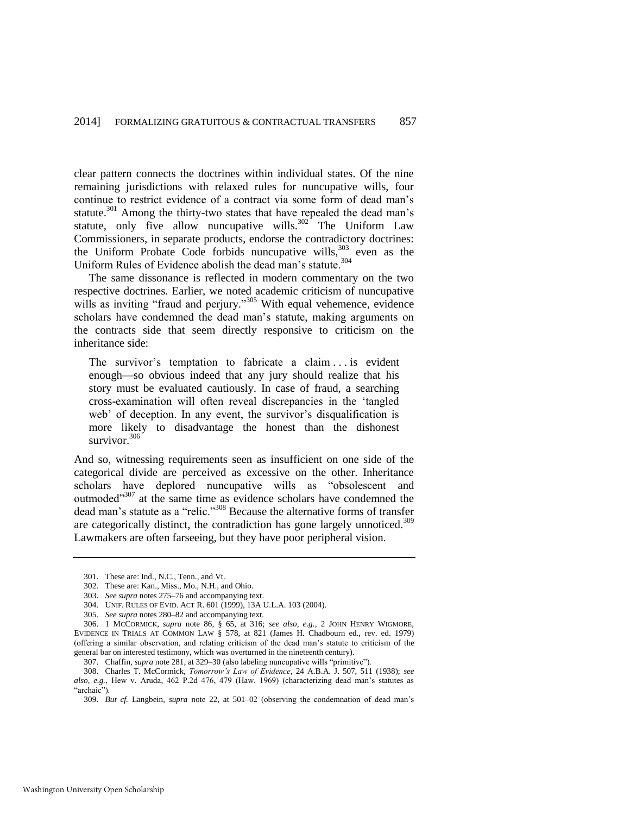clear pattern connects the doctrines within individual states. Of the nine remaining jurisdictions with relaxed rules for nuncupative wills, four continue to restrict evidence of a contract via some form of dead man's statute.<sup>301</sup> Among the thirty-two states that have repealed the dead man's statute, only five allow nuncupative wills. $302<sup>2</sup>$  The Uniform Law Commissioners, in separate products, endorse the contradictory doctrines: the Uniform Probate Code forbids nuncupative wills,<sup>303</sup> even as the Uniform Rules of Evidence abolish the dead man's statute.<sup>304</sup>

The same dissonance is reflected in modern commentary on the two respective doctrines. Earlier, we noted academic criticism of nuncupative wills as inviting "fraud and perjury."<sup>305</sup> With equal vehemence, evidence scholars have condemned the dead man's statute, making arguments on the contracts side that seem directly responsive to criticism on the inheritance side:

The survivor's temptation to fabricate a claim . . . is evident enough—so obvious indeed that any jury should realize that his story must be evaluated cautiously. In case of fraud, a searching cross-examination will often reveal discrepancies in the 'tangled web' of deception. In any event, the survivor's disqualification is more likely to disadvantage the honest than the dishonest survivor $^{306}$ 

And so, witnessing requirements seen as insufficient on one side of the categorical divide are perceived as excessive on the other. Inheritance scholars have deplored nuncupative wills as "obsolescent and outmoded"<sup>307</sup> at the same time as evidence scholars have condemned the dead man's statute as a "relic."<sup>308</sup> Because the alternative forms of transfer are categorically distinct, the contradiction has gone largely unnoticed.<sup>309</sup> Lawmakers are often farseeing, but they have poor peripheral vision.

<sup>301.</sup> These are: Ind., N.C., Tenn., and Vt.

<sup>302.</sup> These are: Kan., Miss., Mo., N.H., and Ohio.

<sup>303.</sup> *See supra* note[s 275–](#page-56-0)76 and accompanying text.

<sup>304.</sup> UNIF. RULES OF EVID. ACT R. 601 (1999), 13A U.L.A. 103 (2004).

<sup>305.</sup> *See supra* note[s 280–](#page-57-1)82 and accompanying text.

<sup>306. 1</sup> MCCORMICK, *supra* note [86,](#page-18-2) § 65, at 316; *see also, e.g.*, 2 JOHN HENRY WIGMORE, EVIDENCE IN TRIALS AT COMMON LAW § 578, at 821 (James H. Chadbourn ed., rev. ed. 1979) (offering a similar observation, and relating criticism of the dead man's statute to criticism of the general bar on interested testimony, which was overturned in the nineteenth century).

<sup>307.</sup> Chaffin, *supra* not[e 281,](#page-57-2) at 329–30 (also labeling nuncupative wills "primitive").

<sup>308.</sup> Charles T. McCormick, *Tomorrow's Law of Evidence*, 24 A.B.A. J. 507, 511 (1938); *see also, e.g.*, Hew v. Aruda, 462 P.2d 476, 479 (Haw. 1969) (characterizing dead man's statutes as "archaic").

<sup>309.</sup> *But cf.* Langbein, *supra* note [22,](#page-7-0) at 501–02 (observing the condemnation of dead man's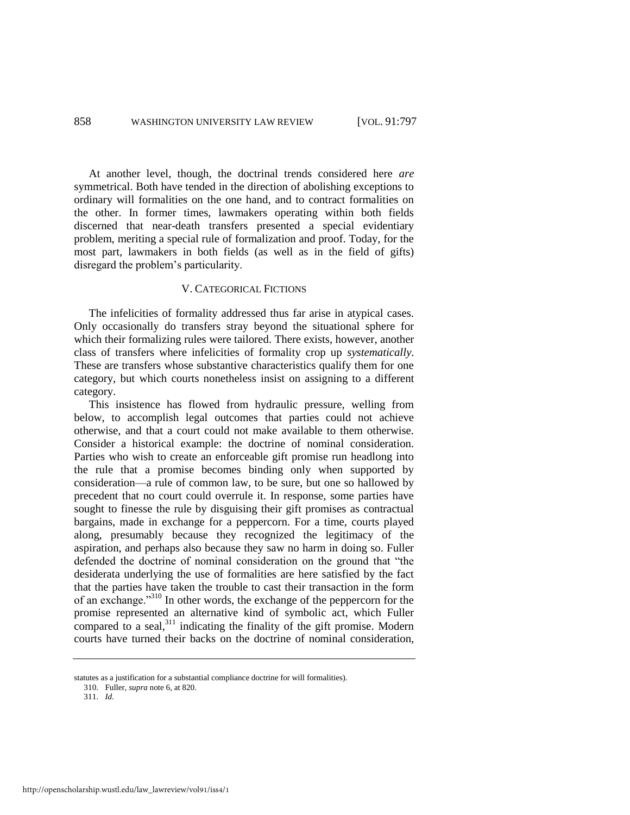At another level, though, the doctrinal trends considered here *are* symmetrical. Both have tended in the direction of abolishing exceptions to ordinary will formalities on the one hand, and to contract formalities on the other. In former times, lawmakers operating within both fields discerned that near-death transfers presented a special evidentiary problem, meriting a special rule of formalization and proof. Today, for the most part, lawmakers in both fields (as well as in the field of gifts) disregard the problem's particularity.

#### V. CATEGORICAL FICTIONS

The infelicities of formality addressed thus far arise in atypical cases. Only occasionally do transfers stray beyond the situational sphere for which their formalizing rules were tailored. There exists, however, another class of transfers where infelicities of formality crop up *systematically*. These are transfers whose substantive characteristics qualify them for one category, but which courts nonetheless insist on assigning to a different category.

This insistence has flowed from hydraulic pressure, welling from below, to accomplish legal outcomes that parties could not achieve otherwise, and that a court could not make available to them otherwise. Consider a historical example: the doctrine of nominal consideration. Parties who wish to create an enforceable gift promise run headlong into the rule that a promise becomes binding only when supported by consideration—a rule of common law, to be sure, but one so hallowed by precedent that no court could overrule it. In response, some parties have sought to finesse the rule by disguising their gift promises as contractual bargains, made in exchange for a peppercorn. For a time, courts played along, presumably because they recognized the legitimacy of the aspiration, and perhaps also because they saw no harm in doing so. Fuller defended the doctrine of nominal consideration on the ground that "the desiderata underlying the use of formalities are here satisfied by the fact that the parties have taken the trouble to cast their transaction in the form of an exchange."<sup>310</sup> In other words, the exchange of the peppercorn for the promise represented an alternative kind of symbolic act, which Fuller compared to a seal,<sup>311</sup> indicating the finality of the gift promise. Modern courts have turned their backs on the doctrine of nominal consideration,

<span id="page-62-0"></span>statutes as a justification for a substantial compliance doctrine for will formalities).

<sup>310.</sup> Fuller, *supra* not[e 6,](#page-4-1) at 820.

<sup>311.</sup> *Id.*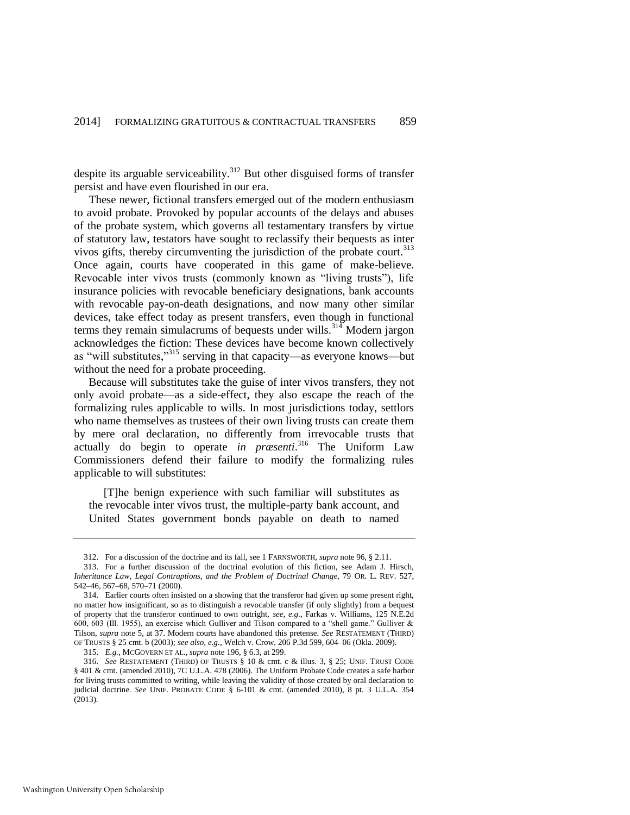despite its arguable serviceability.<sup>312</sup> But other disguised forms of transfer persist and have even flourished in our era.

These newer, fictional transfers emerged out of the modern enthusiasm to avoid probate. Provoked by popular accounts of the delays and abuses of the probate system, which governs all testamentary transfers by virtue of statutory law, testators have sought to reclassify their bequests as inter vivos gifts, thereby circumventing the jurisdiction of the probate court.<sup>313</sup> Once again, courts have cooperated in this game of make-believe. Revocable inter vivos trusts (commonly known as "living trusts"), life insurance policies with revocable beneficiary designations, bank accounts with revocable pay-on-death designations, and now many other similar devices, take effect today as present transfers, even though in functional terms they remain simulacrums of bequests under wills.<sup>314</sup> Modern jargon acknowledges the fiction: These devices have become known collectively as "will substitutes,"<sup>315</sup> serving in that capacity—as everyone knows—but without the need for a probate proceeding.

Because will substitutes take the guise of inter vivos transfers, they not only avoid probate—as a side-effect, they also escape the reach of the formalizing rules applicable to wills. In most jurisdictions today, settlors who name themselves as trustees of their own living trusts can create them by mere oral declaration, no differently from irrevocable trusts that actually do begin to operate *in præsenti*. <sup>316</sup> The Uniform Law Commissioners defend their failure to modify the formalizing rules applicable to will substitutes:

 [T]he benign experience with such familiar will substitutes as the revocable inter vivos trust, the multiple-party bank account, and United States government bonds payable on death to named

<sup>312.</sup> For a discussion of the doctrine and its fall, see 1 FARNSWORTH, *supra* not[e 96,](#page-20-2) § 2.11.

<sup>313.</sup> For a further discussion of the doctrinal evolution of this fiction, see Adam J. Hirsch, *Inheritance Law, Legal Contraptions, and the Problem of Doctrinal Change*, 79 OR. L. REV. 527, 542–46, 567–68, 570–71 (2000).

<sup>314.</sup> Earlier courts often insisted on a showing that the transferor had given up some present right, no matter how insignificant, so as to distinguish a revocable transfer (if only slightly) from a bequest of property that the transferor continued to own outright, *see, e.g*., Farkas v. Williams, 125 N.E.2d 600, 603 (Ill. 1955), an exercise which Gulliver and Tilson compared to a "shell game." Gulliver & Tilson, *supra* note [5,](#page-4-0) at 37. Modern courts have abandoned this pretense. *See* RESTATEMENT (THIRD) OF TRUSTS § 25 cmt. b (2003); *see also, e.g.*, Welch v. Crow, 206 P.3d 599, 604–06 (Okla. 2009).

<sup>315.</sup> *E.g.*, MCGOVERN ET AL., *supra* not[e 196,](#page-42-0) § 6.3, at 299.

<sup>316.</sup> *See* RESTATEMENT (THIRD) OF TRUSTS § 10 & cmt. c & illus. 3, § 25; UNIF. TRUST CODE § 401 & cmt. (amended 2010), 7C U.L.A. 478 (2006). The Uniform Probate Code creates a safe harbor for living trusts committed to writing, while leaving the validity of those created by oral declaration to judicial doctrine. *See* UNIF. PROBATE CODE § 6-101 & cmt. (amended 2010), 8 pt. 3 U.L.A. 354 (2013).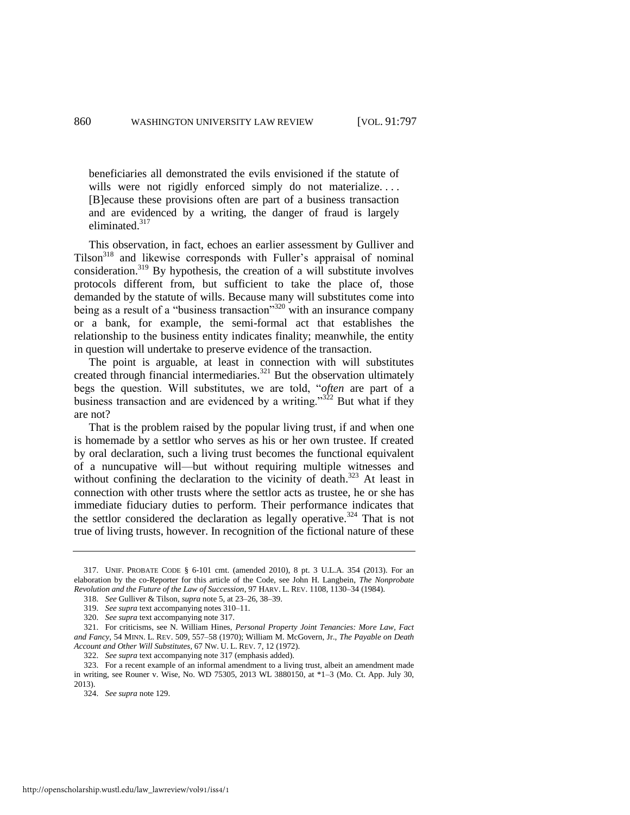beneficiaries all demonstrated the evils envisioned if the statute of wills were not rigidly enforced simply do not materialize.... [B]ecause these provisions often are part of a business transaction and are evidenced by a writing, the danger of fraud is largely eliminated.<sup>317</sup>

<span id="page-64-0"></span>This observation, in fact, echoes an earlier assessment by Gulliver and Tilson<sup>318</sup> and likewise corresponds with Fuller's appraisal of nominal consideration.<sup>319</sup> By hypothesis, the creation of a will substitute involves protocols different from, but sufficient to take the place of, those demanded by the statute of wills. Because many will substitutes come into being as a result of a "business transaction"<sup>320</sup> with an insurance company or a bank, for example, the semi-formal act that establishes the relationship to the business entity indicates finality; meanwhile, the entity in question will undertake to preserve evidence of the transaction.

The point is arguable, at least in connection with will substitutes created through financial intermediaries.<sup>321</sup> But the observation ultimately begs the question. Will substitutes, we are told, "*often* are part of a business transaction and are evidenced by a writing." $322$  But what if they are not?

That is the problem raised by the popular living trust, if and when one is homemade by a settlor who serves as his or her own trustee. If created by oral declaration, such a living trust becomes the functional equivalent of a nuncupative will—but without requiring multiple witnesses and without confining the declaration to the vicinity of death.<sup>323</sup> At least in connection with other trusts where the settlor acts as trustee, he or she has immediate fiduciary duties to perform. Their performance indicates that the settlor considered the declaration as legally operative.<sup>324</sup> That is not true of living trusts, however. In recognition of the fictional nature of these

<sup>317.</sup> UNIF. PROBATE CODE § 6-101 cmt. (amended 2010), 8 pt. 3 U.L.A. 354 (2013). For an elaboration by the co-Reporter for this article of the Code, see John H. Langbein, *The Nonprobate Revolution and the Future of the Law of Succession*, 97 HARV. L. REV. 1108, 1130–34 (1984).

<sup>318.</sup> *See* Gulliver & Tilson, *supra* not[e 5,](#page-4-0) at 23–26, 38–39.

<sup>319.</sup> *See supra* text accompanying note[s 310–](#page-62-0)11.

<sup>320.</sup> *See supra* text accompanying not[e 317.](#page-64-0)

<sup>321.</sup> For criticisms, see N. William Hines, *Personal Property Joint Tenancies: More Law, Fact and Fancy*, 54 MINN. L. REV. 509, 557–58 (1970); William M. McGovern, Jr., *The Payable on Death Account and Other Will Substitutes*, 67 NW. U. L. REV. 7, 12 (1972).

<sup>322.</sup> *See supra* text accompanying not[e 317](#page-64-0) (emphasis added).

<sup>323.</sup> For a recent example of an informal amendment to a living trust, albeit an amendment made in writing, see Rouner v. Wise, No. WD 75305, 2013 WL 3880150, at \*1–3 (Mo. Ct. App. July 30, 2013).

<sup>324.</sup> *See supra* not[e 129.](#page-24-0)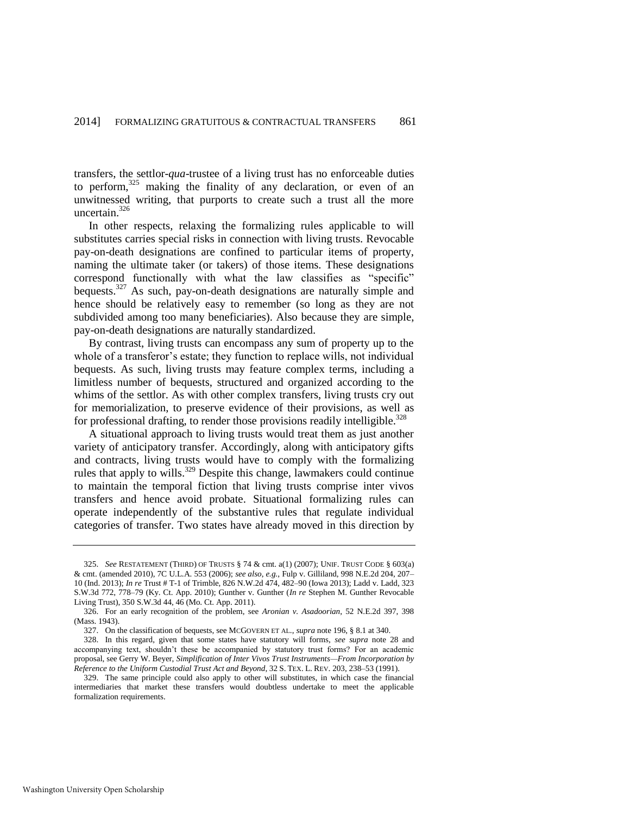transfers, the settlor-*qua*-trustee of a living trust has no enforceable duties to perform,<sup>325</sup> making the finality of any declaration, or even of an unwitnessed writing, that purports to create such a trust all the more uncertain.<sup>326</sup>

In other respects, relaxing the formalizing rules applicable to will substitutes carries special risks in connection with living trusts. Revocable pay-on-death designations are confined to particular items of property, naming the ultimate taker (or takers) of those items. These designations correspond functionally with what the law classifies as "specific" bequests.<sup>327</sup> As such, pay-on-death designations are naturally simple and hence should be relatively easy to remember (so long as they are not subdivided among too many beneficiaries). Also because they are simple, pay-on-death designations are naturally standardized.

By contrast, living trusts can encompass any sum of property up to the whole of a transferor's estate; they function to replace wills, not individual bequests. As such, living trusts may feature complex terms, including a limitless number of bequests, structured and organized according to the whims of the settlor. As with other complex transfers, living trusts cry out for memorialization, to preserve evidence of their provisions, as well as for professional drafting, to render those provisions readily intelligible.<sup>328</sup>

A situational approach to living trusts would treat them as just another variety of anticipatory transfer. Accordingly, along with anticipatory gifts and contracts, living trusts would have to comply with the formalizing rules that apply to wills.<sup>329</sup> Despite this change, lawmakers could continue to maintain the temporal fiction that living trusts comprise inter vivos transfers and hence avoid probate. Situational formalizing rules can operate independently of the substantive rules that regulate individual categories of transfer. Two states have already moved in this direction by

<sup>325.</sup> *See* RESTATEMENT (THIRD) OF TRUSTS § 74 & cmt. a(1) (2007); UNIF. TRUST CODE § 603(a) & cmt. (amended 2010), 7C U.L.A. 553 (2006); *see also*, *e.g.*, Fulp v. Gilliland, 998 N.E.2d 204, 207– 10 (Ind. 2013); *In re* Trust # T-1 of Trimble, 826 N.W.2d 474, 482–90 (Iowa 2013); Ladd v. Ladd, 323 S.W.3d 772, 778–79 (Ky. Ct. App. 2010); Gunther v. Gunther (*In re* Stephen M. Gunther Revocable Living Trust), 350 S.W.3d 44, 46 (Mo. Ct. App. 2011).

<sup>326.</sup> For an early recognition of the problem, see *Aronian v. Asadoorian*, 52 N.E.2d 397, 398 (Mass. 1943).

<sup>327.</sup> On the classification of bequests, see MCGOVERN ET AL., *supra* not[e 196,](#page-42-0) § 8.1 at 340.

<sup>328.</sup> In this regard, given that some states have statutory will forms, *see supra* note [28](#page-8-3) and accompanying text, shouldn't these be accompanied by statutory trust forms? For an academic proposal, see Gerry W. Beyer, *Simplification of Inter Vivos Trust Instruments—From Incorporation by Reference to the Uniform Custodial Trust Act and Beyond*, 32 S. TEX. L. REV. 203, 238–53 (1991).

<sup>329.</sup> The same principle could also apply to other will substitutes, in which case the financial intermediaries that market these transfers would doubtless undertake to meet the applicable formalization requirements.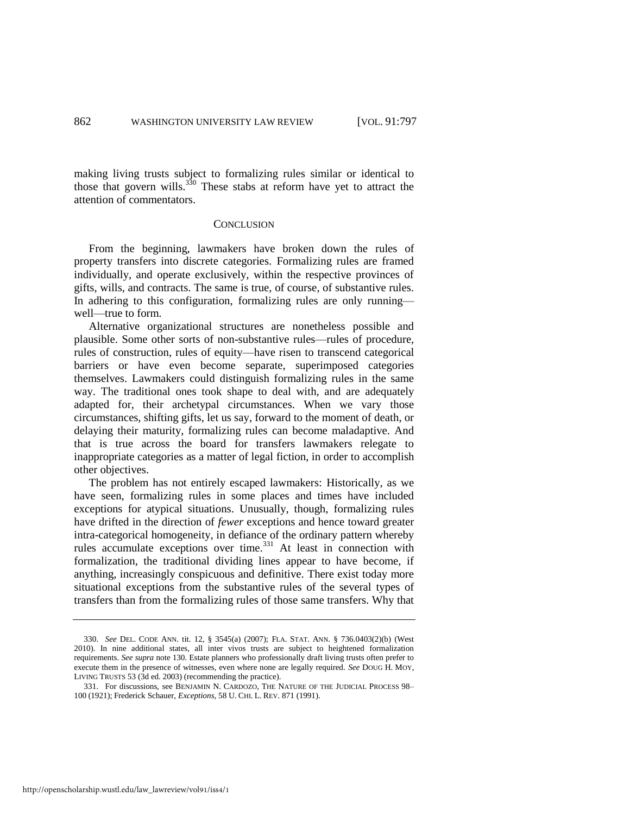making living trusts subject to formalizing rules similar or identical to those that govern wills.<sup>330</sup> These stabs at reform have yet to attract the attention of commentators.

#### <span id="page-66-0"></span>**CONCLUSION**

From the beginning, lawmakers have broken down the rules of property transfers into discrete categories. Formalizing rules are framed individually, and operate exclusively, within the respective provinces of gifts, wills, and contracts. The same is true, of course, of substantive rules. In adhering to this configuration, formalizing rules are only running well—true to form.

Alternative organizational structures are nonetheless possible and plausible. Some other sorts of non-substantive rules—rules of procedure, rules of construction, rules of equity—have risen to transcend categorical barriers or have even become separate, superimposed categories themselves. Lawmakers could distinguish formalizing rules in the same way. The traditional ones took shape to deal with, and are adequately adapted for, their archetypal circumstances. When we vary those circumstances, shifting gifts, let us say, forward to the moment of death, or delaying their maturity, formalizing rules can become maladaptive. And that is true across the board for transfers lawmakers relegate to inappropriate categories as a matter of legal fiction, in order to accomplish other objectives.

The problem has not entirely escaped lawmakers: Historically, as we have seen, formalizing rules in some places and times have included exceptions for atypical situations. Unusually, though, formalizing rules have drifted in the direction of *fewer* exceptions and hence toward greater intra-categorical homogeneity, in defiance of the ordinary pattern whereby rules accumulate exceptions over time.<sup>331</sup> At least in connection with formalization, the traditional dividing lines appear to have become, if anything, increasingly conspicuous and definitive. There exist today more situational exceptions from the substantive rules of the several types of transfers than from the formalizing rules of those same transfers. Why that

<sup>330.</sup> *See* DEL. CODE ANN. tit. 12, § 3545(a) (2007); FLA. STAT. ANN. § 736.0403(2)(b) (West 2010). In nine additional states, all inter vivos trusts are subject to heightened formalization requirements. *See supra* note 130. Estate planners who professionally draft living trusts often prefer to execute them in the presence of witnesses, even where none are legally required. *See* DOUG H. MOY, LIVING TRUSTS 53 (3d ed. 2003) (recommending the practice).

<sup>331.</sup> For discussions, see BENJAMIN N. CARDOZO, THE NATURE OF THE JUDICIAL PROCESS 98– 100 (1921); Frederick Schauer, *Exceptions*, 58 U. CHI. L. REV. 871 (1991).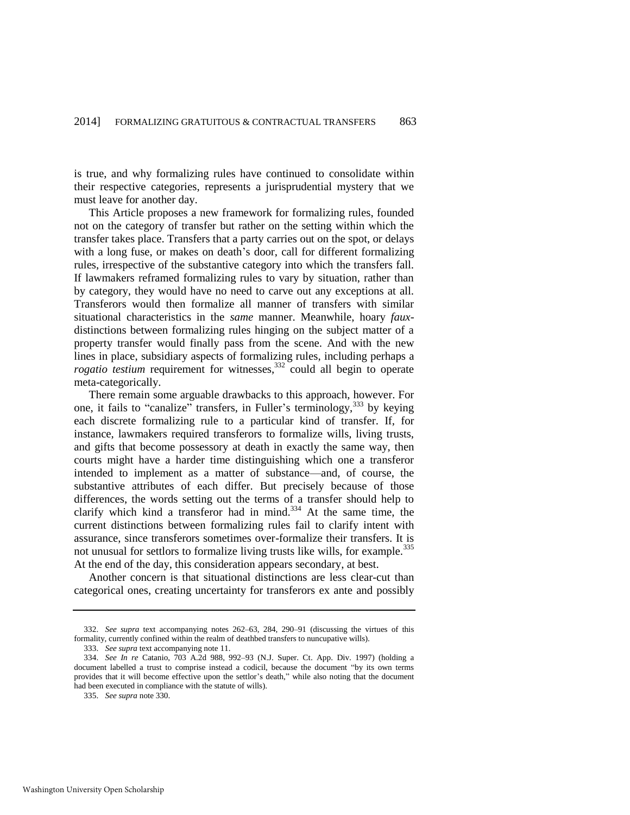is true, and why formalizing rules have continued to consolidate within their respective categories, represents a jurisprudential mystery that we must leave for another day.

This Article proposes a new framework for formalizing rules, founded not on the category of transfer but rather on the setting within which the transfer takes place. Transfers that a party carries out on the spot, or delays with a long fuse, or makes on death's door, call for different formalizing rules, irrespective of the substantive category into which the transfers fall. If lawmakers reframed formalizing rules to vary by situation, rather than by category, they would have no need to carve out any exceptions at all. Transferors would then formalize all manner of transfers with similar situational characteristics in the *same* manner. Meanwhile, hoary *faux*distinctions between formalizing rules hinging on the subject matter of a property transfer would finally pass from the scene. And with the new lines in place, subsidiary aspects of formalizing rules, including perhaps a *rogatio testium* requirement for witnesses,<sup>332</sup> could all begin to operate meta-categorically.

There remain some arguable drawbacks to this approach, however. For one, it fails to "canalize" transfers, in Fuller's terminology,<sup>333</sup> by keying each discrete formalizing rule to a particular kind of transfer. If, for instance, lawmakers required transferors to formalize wills, living trusts, and gifts that become possessory at death in exactly the same way, then courts might have a harder time distinguishing which one a transferor intended to implement as a matter of substance—and, of course, the substantive attributes of each differ. But precisely because of those differences, the words setting out the terms of a transfer should help to clarify which kind a transferor had in mind.<sup>334</sup> At the same time, the current distinctions between formalizing rules fail to clarify intent with assurance, since transferors sometimes over-formalize their transfers. It is not unusual for settlors to formalize living trusts like wills, for example.<sup>335</sup> At the end of the day, this consideration appears secondary, at best.

Another concern is that situational distinctions are less clear-cut than categorical ones, creating uncertainty for transferors ex ante and possibly

<sup>332.</sup> *See supra* text accompanying notes 262–63, 284, 290–91 (discussing the virtues of this formality, currently confined within the realm of deathbed transfers to nuncupative wills).

<sup>333.</sup> *See supra* text accompanying not[e 11.](#page-5-2)

<sup>334.</sup> *See In re* Catanio, 703 A.2d 988, 992–93 (N.J. Super. Ct. App. Div. 1997) (holding a document labelled a trust to comprise instead a codicil, because the document "by its own terms provides that it will become effective upon the settlor's death," while also noting that the document had been executed in compliance with the statute of wills).

<sup>335.</sup> *See supra* note 330.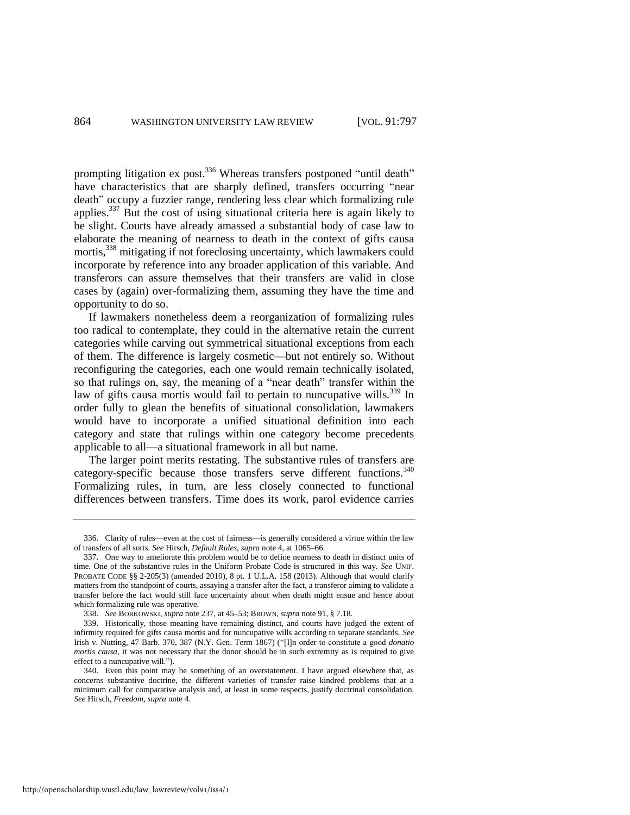prompting litigation ex post.<sup>336</sup> Whereas transfers postponed "until death" have characteristics that are sharply defined, transfers occurring "near death" occupy a fuzzier range, rendering less clear which formalizing rule applies.<sup>337</sup> But the cost of using situational criteria here is again likely to be slight. Courts have already amassed a substantial body of case law to elaborate the meaning of nearness to death in the context of gifts causa mortis,<sup>338</sup> mitigating if not foreclosing uncertainty, which lawmakers could incorporate by reference into any broader application of this variable. And transferors can assure themselves that their transfers are valid in close cases by (again) over-formalizing them, assuming they have the time and opportunity to do so.

If lawmakers nonetheless deem a reorganization of formalizing rules too radical to contemplate, they could in the alternative retain the current categories while carving out symmetrical situational exceptions from each of them. The difference is largely cosmetic—but not entirely so. Without reconfiguring the categories, each one would remain technically isolated, so that rulings on, say, the meaning of a "near death" transfer within the law of gifts causa mortis would fail to pertain to nuncupative wills.<sup>339</sup> In order fully to glean the benefits of situational consolidation, lawmakers would have to incorporate a unified situational definition into each category and state that rulings within one category become precedents applicable to all—a situational framework in all but name.

The larger point merits restating. The substantive rules of transfers are category-specific because those transfers serve different functions.<sup>340</sup> Formalizing rules, in turn, are less closely connected to functional differences between transfers. Time does its work, parol evidence carries

http://openscholarship.wustl.edu/law\_lawreview/vol91/iss4/1

<sup>336.</sup> Clarity of rules—even at the cost of fairness—is generally considered a virtue within the law of transfers of all sorts. *See* Hirsch, *Default Rules*, *supra* note 4, at 1065–66.

<sup>337.</sup> One way to ameliorate this problem would be to define nearness to death in distinct units of time. One of the substantive rules in the Uniform Probate Code is structured in this way. *See* UNIF. PROBATE CODE §§ 2-205(3) (amended 2010), 8 pt. 1 U.L.A. 158 (2013). Although that would clarify matters from the standpoint of courts, assaying a transfer after the fact, a transferor aiming to validate a transfer before the fact would still face uncertainty about when death might ensue and hence about which formalizing rule was operative.

<sup>338.</sup> *See* BORKOWSKI, *supra* not[e 237,](#page-50-0) at 45–53; BROWN, *supra* not[e 91,](#page-19-0) § 7.18.

<sup>339.</sup> Historically, those meaning have remaining distinct, and courts have judged the extent of infirmity required for gifts causa mortis and for nuncupative wills according to separate standards. *See* Irish v. Nutting, 47 Barb. 370, 387 (N.Y. Gen. Term 1867) ("[I]n order to constitute a good *donatio mortis causa*, it was not necessary that the donor should be in such extremity as is required to give effect to a nuncupative will.").

<sup>340.</sup> Even this point may be something of an overstatement. I have argued elsewhere that, as concerns substantive doctrine, the different varieties of transfer raise kindred problems that at a minimum call for comparative analysis and, at least in some respects, justify doctrinal consolidation. *See* Hirsch, *Freedom*, *supra* note 4.